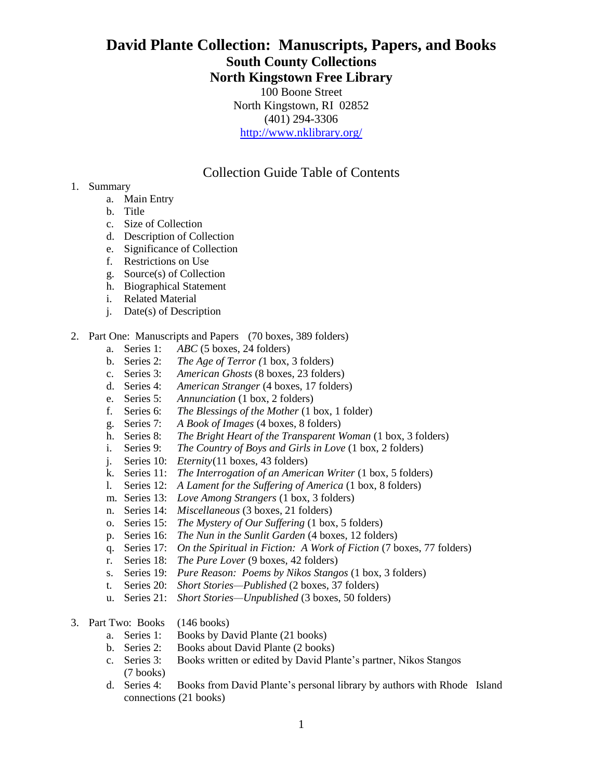# **David Plante Collection: Manuscripts, Papers, and Books South County Collections North Kingstown Free Library**

100 Boone Street North Kingstown, RI 02852 (401) 294-3306 <http://www.nklibrary.org/>

Collection Guide Table of Contents

- 1. Summary
	- a. Main Entry
	- b. Title
	- c. Size of Collection
	- d. Description of Collection
	- e. Significance of Collection
	- f. Restrictions on Use
	- g. Source(s) of Collection
	- h. Biographical Statement
	- i. Related Material
	- j. Date(s) of Description
- 2. Part One: Manuscripts and Papers (70 boxes, 389 folders)
	- a. Series 1: *ABC* (5 boxes, 24 folders)
	- b. Series 2: *The Age of Terror (*1 box, 3 folders)
	- c. Series 3: *American Ghosts* (8 boxes, 23 folders)
	- d. Series 4: *American Stranger* (4 boxes, 17 folders)
	- e. Series 5: *Annunciation* (1 box, 2 folders)
	- f. Series 6: *The Blessings of the Mother* (1 box, 1 folder)
	- g. Series 7: *A Book of Images* (4 boxes, 8 folders)
	- h. Series 8: *The Bright Heart of the Transparent Woman* (1 box, 3 folders)
	- i. Series 9: *The Country of Boys and Girls in Love* (1 box, 2 folders)
	- j. Series 10: *Eternity*(11 boxes, 43 folders)
	- k. Series 11: *The Interrogation of an American Writer* (1 box, 5 folders)
	- l. Series 12: *A Lament for the Suffering of America* (1 box, 8 folders)
	- m. Series 13: *Love Among Strangers* (1 box, 3 folders)
	- n. Series 14: *Miscellaneous* (3 boxes, 21 folders)
	- o. Series 15: *The Mystery of Our Suffering* (1 box, 5 folders)
	- p. Series 16: *The Nun in the Sunlit Garden* (4 boxes, 12 folders)
	- q. Series 17: *On the Spiritual in Fiction: A Work of Fiction* (7 boxes, 77 folders)
	- r. Series 18: *The Pure Lover* (9 boxes, 42 folders)
	- s. Series 19: *Pure Reason: Poems by Nikos Stangos* (1 box, 3 folders)
	- t. Series 20: *Short Stories—Published* (2 boxes, 37 folders)
	- u. Series 21: *Short Stories—Unpublished* (3 boxes, 50 folders)
- 3. Part Two: Books (146 books)
	- a. Series 1: Books by David Plante (21 books)
	- b. Series 2: Books about David Plante (2 books)
	- c. Series 3: Books written or edited by David Plante's partner, Nikos Stangos (7 books)
	- d. Series 4: Books from David Plante's personal library by authors with Rhode Island connections (21 books)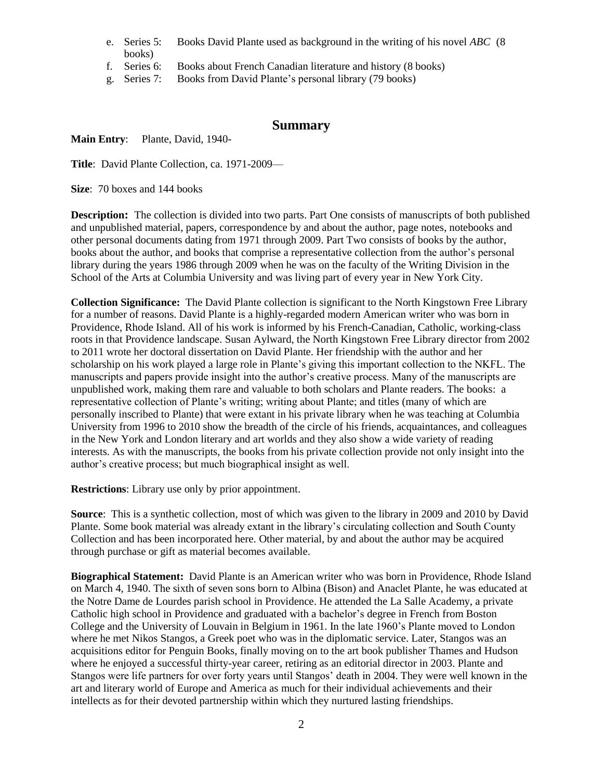- e. Series 5: Books David Plante used as background in the writing of his novel *ABC* (8 books)
- f. Series 6: Books about French Canadian literature and history (8 books)
- g. Series 7: Books from David Plante's personal library (79 books)

# **Summary**

# **Main Entry**: Plante, David, 1940-

**Title**: David Plante Collection, ca. 1971-2009—

**Size**: 70 boxes and 144 books

**Description:** The collection is divided into two parts. Part One consists of manuscripts of both published and unpublished material, papers, correspondence by and about the author, page notes, notebooks and other personal documents dating from 1971 through 2009. Part Two consists of books by the author, books about the author, and books that comprise a representative collection from the author's personal library during the years 1986 through 2009 when he was on the faculty of the Writing Division in the School of the Arts at Columbia University and was living part of every year in New York City.

**Collection Significance:** The David Plante collection is significant to the North Kingstown Free Library for a number of reasons. David Plante is a highly-regarded modern American writer who was born in Providence, Rhode Island. All of his work is informed by his French-Canadian, Catholic, working-class roots in that Providence landscape. Susan Aylward, the North Kingstown Free Library director from 2002 to 2011 wrote her doctoral dissertation on David Plante. Her friendship with the author and her scholarship on his work played a large role in Plante's giving this important collection to the NKFL. The manuscripts and papers provide insight into the author's creative process. Many of the manuscripts are unpublished work, making them rare and valuable to both scholars and Plante readers. The books: a representative collection of Plante's writing; writing about Plante; and titles (many of which are personally inscribed to Plante) that were extant in his private library when he was teaching at Columbia University from 1996 to 2010 show the breadth of the circle of his friends, acquaintances, and colleagues in the New York and London literary and art worlds and they also show a wide variety of reading interests. As with the manuscripts, the books from his private collection provide not only insight into the author's creative process; but much biographical insight as well.

**Restrictions**: Library use only by prior appointment.

**Source**: This is a synthetic collection, most of which was given to the library in 2009 and 2010 by David Plante. Some book material was already extant in the library's circulating collection and South County Collection and has been incorporated here. Other material, by and about the author may be acquired through purchase or gift as material becomes available.

**Biographical Statement:** David Plante is an American writer who was born in Providence, Rhode Island on March 4, 1940. The sixth of seven sons born to Albina (Bison) and Anaclet Plante, he was educated at the Notre Dame de Lourdes parish school in Providence. He attended the La Salle Academy, a private Catholic high school in Providence and graduated with a bachelor's degree in French from Boston College and the University of Louvain in Belgium in 1961. In the late 1960's Plante moved to London where he met Nikos Stangos, a Greek poet who was in the diplomatic service. Later, Stangos was an acquisitions editor for Penguin Books, finally moving on to the art book publisher Thames and Hudson where he enjoyed a successful thirty-year career, retiring as an editorial director in 2003. Plante and Stangos were life partners for over forty years until Stangos' death in 2004. They were well known in the art and literary world of Europe and America as much for their individual achievements and their intellects as for their devoted partnership within which they nurtured lasting friendships.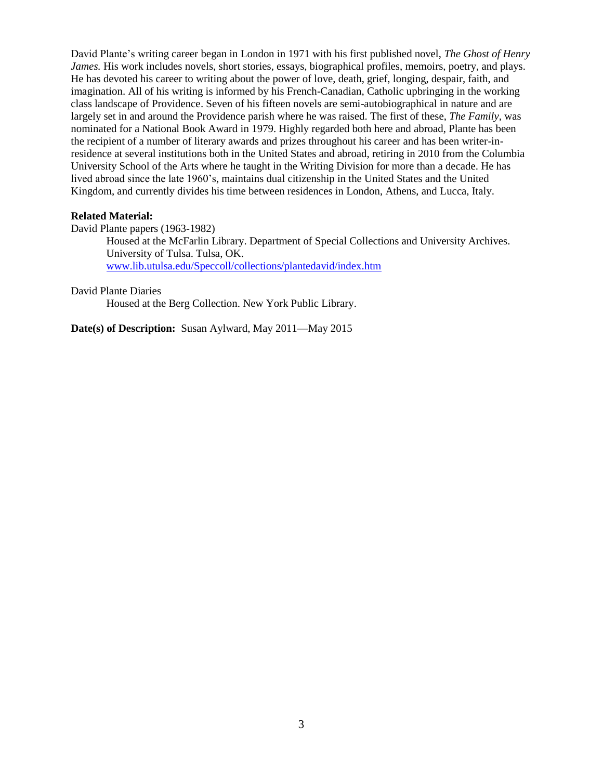David Plante's writing career began in London in 1971 with his first published novel, *The Ghost of Henry James.* His work includes novels, short stories, essays, biographical profiles, memoirs, poetry, and plays. He has devoted his career to writing about the power of love, death, grief, longing, despair, faith, and imagination. All of his writing is informed by his French-Canadian, Catholic upbringing in the working class landscape of Providence. Seven of his fifteen novels are semi-autobiographical in nature and are largely set in and around the Providence parish where he was raised. The first of these, *The Family,* was nominated for a National Book Award in 1979. Highly regarded both here and abroad, Plante has been the recipient of a number of literary awards and prizes throughout his career and has been writer-inresidence at several institutions both in the United States and abroad, retiring in 2010 from the Columbia University School of the Arts where he taught in the Writing Division for more than a decade. He has lived abroad since the late 1960's, maintains dual citizenship in the United States and the United Kingdom, and currently divides his time between residences in London, Athens, and Lucca, Italy.

#### **Related Material:**

David Plante papers (1963-1982)

Housed at the McFarlin Library. Department of Special Collections and University Archives. University of Tulsa. Tulsa, OK. [www.lib.utulsa.edu/Speccoll/collections/plantedavid/index.htm](http://www.lib.utulsa.edu/Speccoll/collections/plantedavid/index.htm)

#### David Plante Diaries

Housed at the Berg Collection. New York Public Library.

**Date(s) of Description:** Susan Aylward, May 2011—May 2015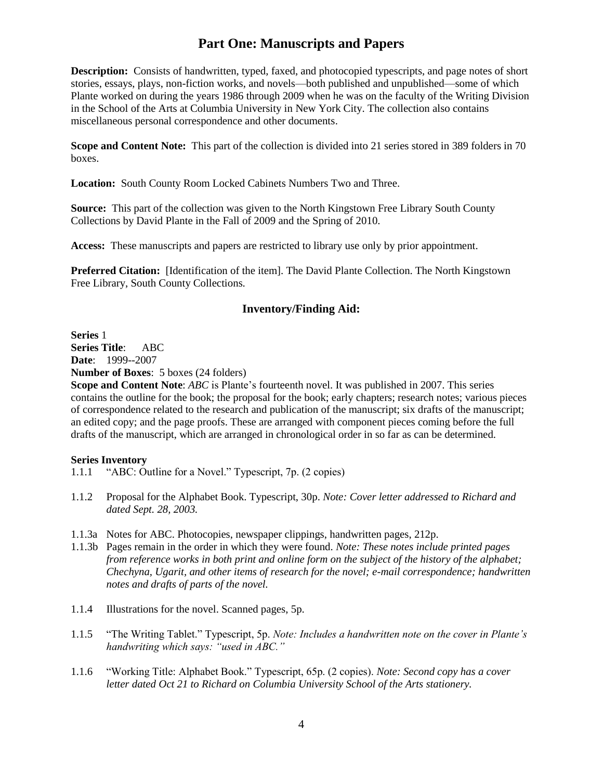# **Part One: Manuscripts and Papers**

**Description:** Consists of handwritten, typed, faxed, and photocopied typescripts, and page notes of short stories, essays, plays, non-fiction works, and novels—both published and unpublished—some of which Plante worked on during the years 1986 through 2009 when he was on the faculty of the Writing Division in the School of the Arts at Columbia University in New York City. The collection also contains miscellaneous personal correspondence and other documents.

**Scope and Content Note:** This part of the collection is divided into 21 series stored in 389 folders in 70 boxes.

**Location:** South County Room Locked Cabinets Numbers Two and Three.

**Source:** This part of the collection was given to the North Kingstown Free Library South County Collections by David Plante in the Fall of 2009 and the Spring of 2010.

**Access:** These manuscripts and papers are restricted to library use only by prior appointment.

**Preferred Citation:** [Identification of the item]. The David Plante Collection. The North Kingstown Free Library, South County Collections.

# **Inventory/Finding Aid:**

**Series** 1 **Series Title**: ABC **Date**: 1999--2007

**Number of Boxes**: 5 boxes (24 folders)

**Scope and Content Note**: *ABC* is Plante's fourteenth novel. It was published in 2007. This series contains the outline for the book; the proposal for the book; early chapters; research notes; various pieces of correspondence related to the research and publication of the manuscript; six drafts of the manuscript; an edited copy; and the page proofs. These are arranged with component pieces coming before the full drafts of the manuscript, which are arranged in chronological order in so far as can be determined.

- 1.1.1 "ABC: Outline for a Novel." Typescript, 7p. (2 copies)
- 1.1.2 Proposal for the Alphabet Book. Typescript, 30p. *Note: Cover letter addressed to Richard and dated Sept. 28, 2003.*
- 1.1.3a Notes for ABC. Photocopies, newspaper clippings, handwritten pages, 212p.
- 1.1.3b Pages remain in the order in which they were found. *Note: These notes include printed pages from reference works in both print and online form on the subject of the history of the alphabet; Chechyna, Ugarit, and other items of research for the novel; e-mail correspondence; handwritten notes and drafts of parts of the novel.*
- 1.1.4 Illustrations for the novel. Scanned pages, 5p.
- 1.1.5 "The Writing Tablet." Typescript, 5p. *Note: Includes a handwritten note on the cover in Plante's handwriting which says: "used in ABC."*
- 1.1.6 "Working Title: Alphabet Book." Typescript, 65p. (2 copies). *Note: Second copy has a cover letter dated Oct 21 to Richard on Columbia University School of the Arts stationery.*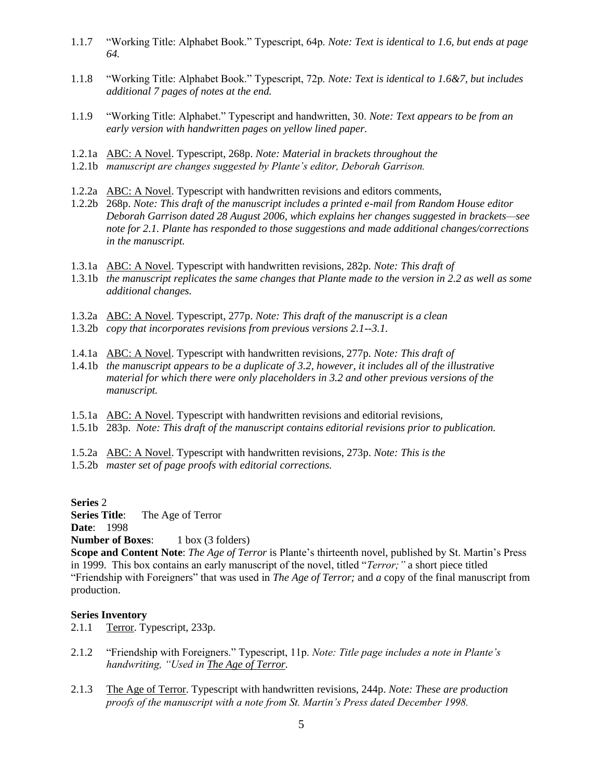- 1.1.7 "Working Title: Alphabet Book." Typescript, 64p. *Note: Text is identical to 1.6, but ends at page 64.*
- 1.1.8 "Working Title: Alphabet Book." Typescript, 72p. *Note: Text is identical to 1.6&7, but includes additional 7 pages of notes at the end.*
- 1.1.9 "Working Title: Alphabet." Typescript and handwritten, 30. *Note: Text appears to be from an early version with handwritten pages on yellow lined paper.*
- 1.2.1a ABC: A Novel. Typescript, 268p. *Note: Material in brackets throughout the*
- 1.2.1b *manuscript are changes suggested by Plante's editor, Deborah Garrison.*
- 1.2.2a ABC: A Novel. Typescript with handwritten revisions and editors comments,
- 1.2.2b 268p. *Note: This draft of the manuscript includes a printed e-mail from Random House editor Deborah Garrison dated 28 August 2006, which explains her changes suggested in brackets—see note for 2.1. Plante has responded to those suggestions and made additional changes/corrections in the manuscript.*
- 1.3.1a ABC: A Novel. Typescript with handwritten revisions, 282p. *Note: This draft of*
- 1.3.1b *the manuscript replicates the same changes that Plante made to the version in 2.2 as well as some additional changes.*
- 1.3.2a ABC: A Novel. Typescript, 277p. *Note: This draft of the manuscript is a clean*
- 1.3.2b *copy that incorporates revisions from previous versions 2.1--3.1.*
- 1.4.1a ABC: A Novel. Typescript with handwritten revisions, 277p. *Note: This draft of*
- 1.4.1b *the manuscript appears to be a duplicate of 3.2, however, it includes all of the illustrative material for which there were only placeholders in 3.2 and other previous versions of the manuscript.*
- 1.5.1a ABC: A Novel. Typescript with handwritten revisions and editorial revisions,
- 1.5.1b 283p. *Note: This draft of the manuscript contains editorial revisions prior to publication.*
- 1.5.2a ABC: A Novel. Typescript with handwritten revisions, 273p. *Note: This is the*
- 1.5.2b *master set of page proofs with editorial corrections.*

#### **Series** 2

**Series Title**: The Age of Terror

**Date**: 1998

# **Number of Boxes:** 1 box (3 folders)

**Scope and Content Note**: *The Age of Terror* is Plante's thirteenth novel, published by St. Martin's Press in 1999. This box contains an early manuscript of the novel, titled "*Terror;"* a short piece titled "Friendship with Foreigners" that was used in *The Age of Terror;* and *a* copy of the final manuscript from production.

- 2.1.1 Terror. Typescript, 233p.
- 2.1.2 "Friendship with Foreigners." Typescript, 11p. *Note: Title page includes a note in Plante's handwriting, "Used in The Age of Terror.*
- 2.1.3 The Age of Terror. Typescript with handwritten revisions, 244p. *Note: These are production proofs of the manuscript with a note from St. Martin's Press dated December 1998.*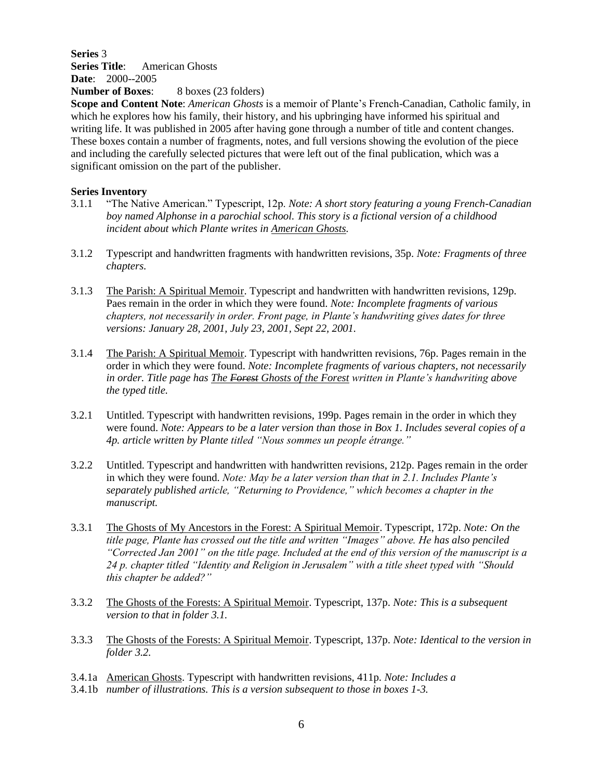# **Series** 3 **Series Title**: American Ghosts **Date**: 2000--2005

**Number of Boxes:** 8 boxes (23 folders)

**Scope and Content Note**: *American Ghosts* is a memoir of Plante's French-Canadian, Catholic family, in which he explores how his family, their history, and his upbringing have informed his spiritual and writing life. It was published in 2005 after having gone through a number of title and content changes. These boxes contain a number of fragments, notes, and full versions showing the evolution of the piece and including the carefully selected pictures that were left out of the final publication, which was a significant omission on the part of the publisher.

- 3.1.1 "The Native American." Typescript, 12p. *Note: A short story featuring a young French-Canadian boy named Alphonse in a parochial school. This story is a fictional version of a childhood incident about which Plante writes in American Ghosts.*
- 3.1.2 Typescript and handwritten fragments with handwritten revisions, 35p. *Note: Fragments of three chapters.*
- 3.1.3 The Parish: A Spiritual Memoir. Typescript and handwritten with handwritten revisions, 129p. Paes remain in the order in which they were found. *Note: Incomplete fragments of various chapters, not necessarily in order. Front page, in Plante's handwriting gives dates for three versions: January 28, 2001, July 23, 2001, Sept 22, 2001.*
- 3.1.4 The Parish: A Spiritual Memoir. Typescript with handwritten revisions, 76p. Pages remain in the order in which they were found. *Note: Incomplete fragments of various chapters, not necessarily in order. Title page has The Forest Ghosts of the Forest written in Plante's handwriting above the typed title.*
- 3.2.1 Untitled. Typescript with handwritten revisions, 199p. Pages remain in the order in which they were found. *Note: Appears to be a later version than those in Box 1. Includes several copies of a 4p. article written by Plante titled "Nous sommes un people étrange."*
- 3.2.2 Untitled. Typescript and handwritten with handwritten revisions, 212p. Pages remain in the order in which they were found. *Note: May be a later version than that in 2.1. Includes Plante's separately published article, "Returning to Providence," which becomes a chapter in the manuscript.*
- 3.3.1 The Ghosts of My Ancestors in the Forest: A Spiritual Memoir. Typescript, 172p. *Note: On the title page, Plante has crossed out the title and written "Images" above. He has also penciled "Corrected Jan 2001" on the title page. Included at the end of this version of the manuscript is a 24 p. chapter titled "Identity and Religion in Jerusalem" with a title sheet typed with "Should this chapter be added?"*
- 3.3.2 The Ghosts of the Forests: A Spiritual Memoir. Typescript, 137p. *Note: This is a subsequent version to that in folder 3.1.*
- 3.3.3 The Ghosts of the Forests: A Spiritual Memoir. Typescript, 137p. *Note: Identical to the version in folder 3.2.*
- 3.4.1a American Ghosts. Typescript with handwritten revisions, 411p. *Note: Includes a*
- 3.4.1b *number of illustrations. This is a version subsequent to those in boxes 1-3.*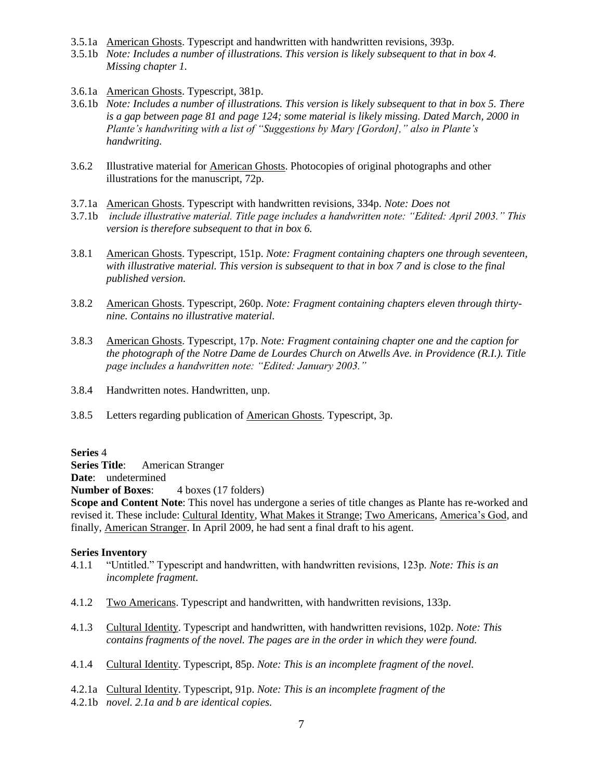- 3.5.1a American Ghosts. Typescript and handwritten with handwritten revisions, 393p.
- 3.5.1b *Note: Includes a number of illustrations. This version is likely subsequent to that in box 4. Missing chapter 1.*
- 3.6.1a American Ghosts. Typescript, 381p.
- 3.6.1b *Note: Includes a number of illustrations. This version is likely subsequent to that in box 5. There is a gap between page 81 and page 124; some material is likely missing. Dated March, 2000 in Plante's handwriting with a list of "Suggestions by Mary [Gordon]," also in Plante's handwriting.*
- 3.6.2 Illustrative material for American Ghosts. Photocopies of original photographs and other illustrations for the manuscript, 72p.
- 3.7.1a American Ghosts. Typescript with handwritten revisions, 334p. *Note: Does not*
- 3.7.1b *include illustrative material. Title page includes a handwritten note: "Edited: April 2003." This version is therefore subsequent to that in box 6.*
- 3.8.1 American Ghosts. Typescript, 151p. *Note: Fragment containing chapters one through seventeen, with illustrative material. This version is subsequent to that in box 7 and is close to the final published version.*
- 3.8.2 American Ghosts. Typescript, 260p. *Note: Fragment containing chapters eleven through thirtynine. Contains no illustrative material.*
- 3.8.3 American Ghosts. Typescript, 17p. *Note: Fragment containing chapter one and the caption for the photograph of the Notre Dame de Lourdes Church on Atwells Ave. in Providence (R.I.). Title page includes a handwritten note: "Edited: January 2003."*
- 3.8.4 Handwritten notes. Handwritten, unp.
- 3.8.5 Letters regarding publication of American Ghosts. Typescript, 3p.

# **Series** 4

**Series Title**: American Stranger

**Date**: undetermined

**Number of Boxes:** 4 boxes (17 folders)

**Scope and Content Note**: This novel has undergone a series of title changes as Plante has re-worked and revised it. These include: Cultural Identity, What Makes it Strange; Two Americans, America's God, and finally, American Stranger. In April 2009, he had sent a final draft to his agent.

- 4.1.1 "Untitled." Typescript and handwritten, with handwritten revisions, 123p. *Note: This is an incomplete fragment.*
- 4.1.2 Two Americans. Typescript and handwritten, with handwritten revisions, 133p.
- 4.1.3 Cultural Identity. Typescript and handwritten, with handwritten revisions, 102p. *Note: This contains fragments of the novel. The pages are in the order in which they were found.*
- 4.1.4 Cultural Identity. Typescript, 85p. *Note: This is an incomplete fragment of the novel.*
- 4.2.1a Cultural Identity. Typescript, 91p. *Note: This is an incomplete fragment of the*
- 4.2.1b *novel. 2.1a and b are identical copies.*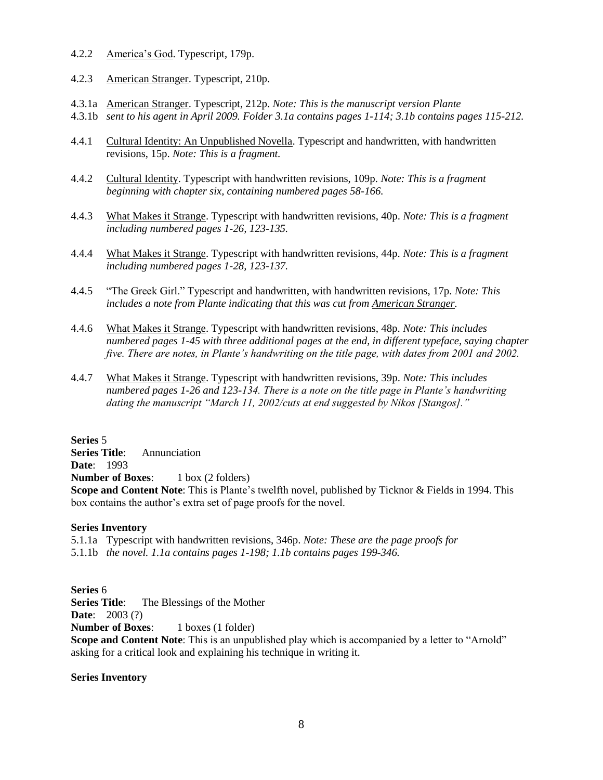- 4.2.2 America's God. Typescript, 179p.
- 4.2.3 American Stranger. Typescript, 210p.
- 4.3.1a American Stranger. Typescript, 212p. *Note: This is the manuscript version Plante*
- 4.3.1b *sent to his agent in April 2009. Folder 3.1a contains pages 1-114; 3.1b contains pages 115-212.*
- 4.4.1 Cultural Identity: An Unpublished Novella. Typescript and handwritten, with handwritten revisions, 15p. *Note: This is a fragment.*
- 4.4.2 Cultural Identity. Typescript with handwritten revisions, 109p. *Note: This is a fragment beginning with chapter six, containing numbered pages 58-166.*
- 4.4.3 What Makes it Strange. Typescript with handwritten revisions, 40p. *Note: This is a fragment including numbered pages 1-26, 123-135.*
- 4.4.4 What Makes it Strange. Typescript with handwritten revisions, 44p. *Note: This is a fragment including numbered pages 1-28, 123-137.*
- 4.4.5 "The Greek Girl." Typescript and handwritten, with handwritten revisions, 17p. *Note: This includes a note from Plante indicating that this was cut from American Stranger.*
- 4.4.6 What Makes it Strange. Typescript with handwritten revisions, 48p. *Note: This includes numbered pages 1-45 with three additional pages at the end, in different typeface, saying chapter five. There are notes, in Plante's handwriting on the title page, with dates from 2001 and 2002.*
- 4.4.7 What Makes it Strange. Typescript with handwritten revisions, 39p. *Note: This includes numbered pages 1-26 and 123-134. There is a note on the title page in Plante's handwriting dating the manuscript "March 11, 2002/cuts at end suggested by Nikos [Stangos]."*

**Series** 5

**Series Title**: Annunciation **Date**: 1993

**Number of Boxes:** 1 box (2 folders)

**Scope and Content Note**: This is Plante's twelfth novel, published by Ticknor & Fields in 1994. This box contains the author's extra set of page proofs for the novel.

# **Series Inventory**

5.1.1a Typescript with handwritten revisions, 346p. *Note: These are the page proofs for* 5.1.1b *the novel. 1.1a contains pages 1-198; 1.1b contains pages 199-346.*

**Series** 6

**Series Title:** The Blessings of the Mother

**Date**: 2003 (?)

**Number of Boxes:** 1 boxes (1 folder)

**Scope and Content Note:** This is an unpublished play which is accompanied by a letter to "Arnold" asking for a critical look and explaining his technique in writing it.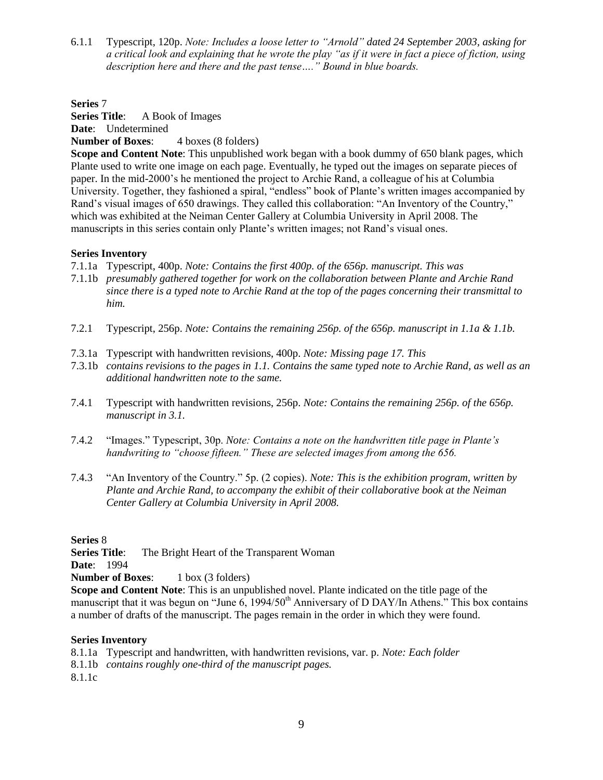6.1.1 Typescript, 120p. *Note: Includes a loose letter to "Arnold" dated 24 September 2003, asking for a critical look and explaining that he wrote the play "as if it were in fact a piece of fiction, using description here and there and the past tense…." Bound in blue boards.*

**Series** 7

**Series Title**: A Book of Images

**Date**: Undetermined

**Number of Boxes:** 4 boxes (8 folders)

**Scope and Content Note**: This unpublished work began with a book dummy of 650 blank pages, which Plante used to write one image on each page. Eventually, he typed out the images on separate pieces of paper. In the mid-2000's he mentioned the project to Archie Rand, a colleague of his at Columbia University. Together, they fashioned a spiral, "endless" book of Plante's written images accompanied by Rand's visual images of 650 drawings. They called this collaboration: "An Inventory of the Country," which was exhibited at the Neiman Center Gallery at Columbia University in April 2008. The manuscripts in this series contain only Plante's written images; not Rand's visual ones.

# **Series Inventory**

- 7.1.1a Typescript, 400p. *Note: Contains the first 400p. of the 656p. manuscript. This was*
- 7.1.1b *presumably gathered together for work on the collaboration between Plante and Archie Rand since there is a typed note to Archie Rand at the top of the pages concerning their transmittal to him.*
- 7.2.1 Typescript, 256p. *Note: Contains the remaining 256p. of the 656p. manuscript in 1.1a & 1.1b.*
- 7.3.1a Typescript with handwritten revisions, 400p. *Note: Missing page 17. This*
- 7.3.1b *contains revisions to the pages in 1.1. Contains the same typed note to Archie Rand, as well as an additional handwritten note to the same.*
- 7.4.1 Typescript with handwritten revisions, 256p. *Note: Contains the remaining 256p. of the 656p. manuscript in 3.1.*
- 7.4.2 "Images." Typescript, 30p. *Note: Contains a note on the handwritten title page in Plante's handwriting to "choose fifteen." These are selected images from among the 656.*
- 7.4.3 "An Inventory of the Country." 5p. (2 copies). *Note: This is the exhibition program, written by Plante and Archie Rand, to accompany the exhibit of their collaborative book at the Neiman Center Gallery at Columbia University in April 2008.*

**Series** 8

**Series Title:** The Bright Heart of the Transparent Woman **Date**: 1994

**Number of Boxes:** 1 box (3 folders)

**Scope and Content Note**: This is an unpublished novel. Plante indicated on the title page of the manuscript that it was begun on "June  $6$ , 1994/50<sup>th</sup> Anniversary of D DAY/In Athens." This box contains a number of drafts of the manuscript. The pages remain in the order in which they were found.

- 8.1.1a Typescript and handwritten, with handwritten revisions, var. p. *Note: Each folder*
- 8.1.1b *contains roughly one-third of the manuscript pages.*
- 8.1.1c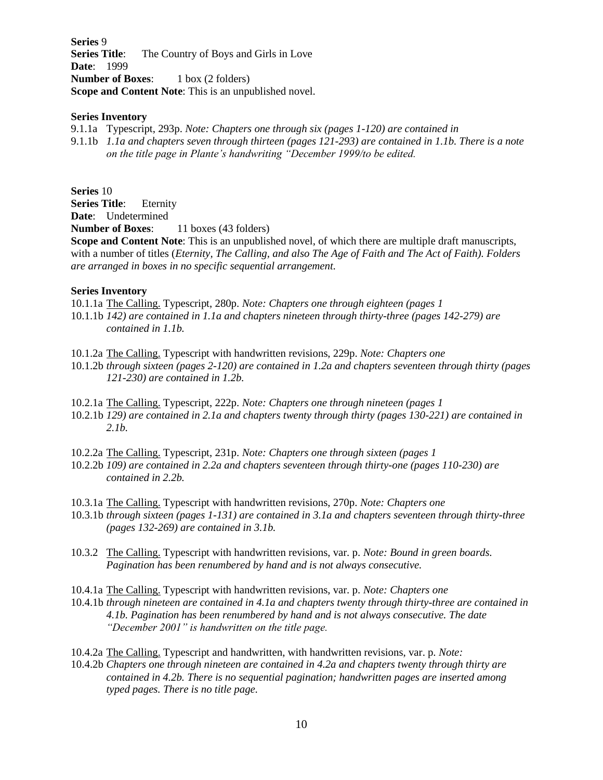**Series** 9 **Series Title:** The Country of Boys and Girls in Love **Date**: 1999 **Number of Boxes:** 1 box (2 folders) **Scope and Content Note**: This is an unpublished novel.

#### **Series Inventory**

9.1.1a Typescript, 293p. *Note: Chapters one through six (pages 1-120) are contained in*

9.1.1b *1.1a and chapters seven through thirteen (pages 121-293) are contained in 1.1b. There is a note on the title page in Plante's handwriting "December 1999/to be edited.*

**Series** 10

**Series Title**: Eternity **Date**: Undetermined

**Number of Boxes:** 11 boxes (43 folders)

**Scope and Content Note**: This is an unpublished novel, of which there are multiple draft manuscripts, with a number of titles (*Eternity, The Calling, and also The Age of Faith and The Act of Faith). Folders are arranged in boxes in no specific sequential arrangement.*

### **Series Inventory**

10.1.1a The Calling. Typescript, 280p. *Note: Chapters one through eighteen (pages 1*

10.1.1b *142) are contained in 1.1a and chapters nineteen through thirty-three (pages 142-279) are contained in 1.1b.* 

10.1.2a The Calling. Typescript with handwritten revisions, 229p. *Note: Chapters one*

- 10.1.2b *through sixteen (pages 2-120) are contained in 1.2a and chapters seventeen through thirty (pages 121-230) are contained in 1.2b.*
- 10.2.1a The Calling. Typescript, 222p. *Note: Chapters one through nineteen (pages 1*
- 10.2.1b *129) are contained in 2.1a and chapters twenty through thirty (pages 130-221) are contained in 2.1b.*
- 10.2.2a The Calling. Typescript, 231p. *Note: Chapters one through sixteen (pages 1*
- 10.2.2b *109) are contained in 2.2a and chapters seventeen through thirty-one (pages 110-230) are contained in 2.2b.*
- 10.3.1a The Calling. Typescript with handwritten revisions, 270p. *Note: Chapters one*
- 10.3.1b *through sixteen (pages 1-131) are contained in 3.1a and chapters seventeen through thirty-three (pages 132-269) are contained in 3.1b.*
- 10.3.2 The Calling. Typescript with handwritten revisions, var. p. *Note: Bound in green boards. Pagination has been renumbered by hand and is not always consecutive.*
- 10.4.1a The Calling. Typescript with handwritten revisions, var. p. *Note: Chapters one*

10.4.1b *through nineteen are contained in 4.1a and chapters twenty through thirty-three are contained in 4.1b. Pagination has been renumbered by hand and is not always consecutive. The date "December 2001" is handwritten on the title page.*

- 10.4.2a The Calling. Typescript and handwritten, with handwritten revisions, var. p. *Note:*
- 10.4.2b *Chapters one through nineteen are contained in 4.2a and chapters twenty through thirty are contained in 4.2b. There is no sequential pagination; handwritten pages are inserted among typed pages. There is no title page.*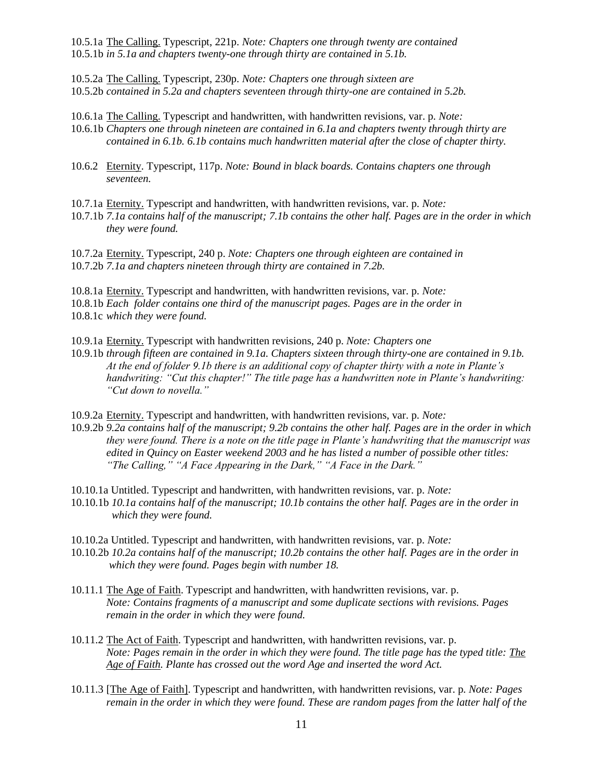10.5.1a The Calling. Typescript, 221p. *Note: Chapters one through twenty are contained* 10.5.1b *in 5.1a and chapters twenty-one through thirty are contained in 5.1b.* 

- 10.5.2a The Calling. Typescript, 230p. *Note: Chapters one through sixteen are* 10.5.2b *contained in 5.2a and chapters seventeen through thirty-one are contained in 5.2b.*
- 10.6.1a The Calling. Typescript and handwritten, with handwritten revisions, var. p. *Note:*
- 10.6.1b *Chapters one through nineteen are contained in 6.1a and chapters twenty through thirty are contained in 6.1b. 6.1b contains much handwritten material after the close of chapter thirty.*
- 10.6.2 Eternity. Typescript, 117p. *Note: Bound in black boards. Contains chapters one through seventeen.*
- 10.7.1a Eternity. Typescript and handwritten, with handwritten revisions, var. p. *Note:*
- 10.7.1b *7.1a contains half of the manuscript; 7.1b contains the other half. Pages are in the order in which they were found.*

10.7.2a Eternity. Typescript, 240 p. *Note: Chapters one through eighteen are contained in* 10.7.2b *7.1a and chapters nineteen through thirty are contained in 7.2b.* 

10.8.1a Eternity. Typescript and handwritten, with handwritten revisions, var. p. *Note:*

10.8.1b *Each folder contains one third of the manuscript pages. Pages are in the order in* 10.8.1c *which they were found.* 

- 10.9.1a Eternity. Typescript with handwritten revisions, 240 p. *Note: Chapters one*
- 10.9.1b *through fifteen are contained in 9.1a. Chapters sixteen through thirty-one are contained in 9.1b. At the end of folder 9.1b there is an additional copy of chapter thirty with a note in Plante's handwriting: "Cut this chapter!" The title page has a handwritten note in Plante's handwriting: "Cut down to novella."*
- 10.9.2a Eternity. Typescript and handwritten, with handwritten revisions, var. p. *Note:*
- 10.9.2b *9.2a contains half of the manuscript; 9.2b contains the other half. Pages are in the order in which they were found. There is a note on the title page in Plante's handwriting that the manuscript was edited in Quincy on Easter weekend 2003 and he has listed a number of possible other titles: "The Calling," "A Face Appearing in the Dark," "A Face in the Dark."*
- 10.10.1a Untitled. Typescript and handwritten, with handwritten revisions, var. p. *Note:*
- 10.10.1b *10.1a contains half of the manuscript; 10.1b contains the other half. Pages are in the order in which they were found.*
- 10.10.2a Untitled. Typescript and handwritten, with handwritten revisions, var. p. *Note:*
- 10.10.2b *10.2a contains half of the manuscript; 10.2b contains the other half. Pages are in the order in which they were found. Pages begin with number 18.*
- 10.11.1 The Age of Faith. Typescript and handwritten, with handwritten revisions, var. p. *Note: Contains fragments of a manuscript and some duplicate sections with revisions. Pages remain in the order in which they were found.*
- 10.11.2 The Act of Faith. Typescript and handwritten, with handwritten revisions, var. p. *Note: Pages remain in the order in which they were found. The title page has the typed title: The Age of Faith. Plante has crossed out the word Age and inserted the word Act.*
- 10.11.3 [The Age of Faith]. Typescript and handwritten, with handwritten revisions, var. p. *Note: Pages remain in the order in which they were found. These are random pages from the latter half of the*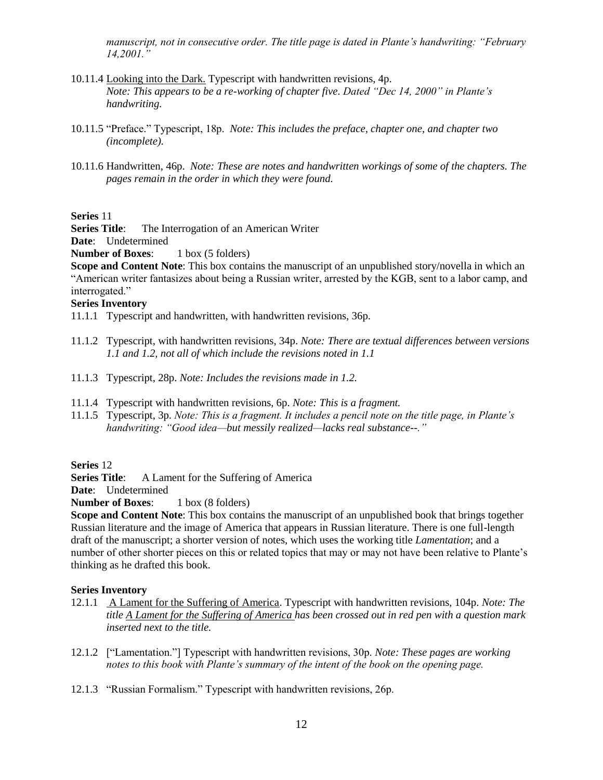*manuscript, not in consecutive order. The title page is dated in Plante's handwriting: "February 14,2001."*

- 10.11.4 Looking into the Dark. Typescript with handwritten revisions, 4p. *Note: This appears to be a re-working of chapter five. Dated "Dec 14, 2000" in Plante's handwriting.*
- 10.11.5 "Preface." Typescript, 18p. *Note: This includes the preface, chapter one, and chapter two (incomplete).*
- 10.11.6 Handwritten, 46p. *Note: These are notes and handwritten workings of some of the chapters. The pages remain in the order in which they were found.*

### **Series** 11

**Series Title:** The Interrogation of an American Writer

# **Date**: Undetermined

**Number of Boxes:** 1 box (5 folders)

**Scope and Content Note**: This box contains the manuscript of an unpublished story/novella in which an "American writer fantasizes about being a Russian writer, arrested by the KGB, sent to a labor camp, and interrogated."

#### **Series Inventory**

- 11.1.1 Typescript and handwritten, with handwritten revisions, 36p.
- 11.1.2 Typescript, with handwritten revisions, 34p. *Note: There are textual differences between versions 1.1 and 1.2, not all of which include the revisions noted in 1.1*
- 11.1.3 Typescript, 28p. *Note: Includes the revisions made in 1.2.*
- 11.1.4 Typescript with handwritten revisions, 6p. *Note: This is a fragment.*
- 11.1.5 Typescript, 3p. *Note: This is a fragment. It includes a pencil note on the title page, in Plante's handwriting: "Good idea—but messily realized—lacks real substance--."*

# **Series** 12

**Series Title:** A Lament for the Suffering of America

**Date**: Undetermined

**Number of Boxes:** 1 box (8 folders)

**Scope and Content Note**: This box contains the manuscript of an unpublished book that brings together Russian literature and the image of America that appears in Russian literature. There is one full-length draft of the manuscript; a shorter version of notes, which uses the working title *Lamentation*; and a number of other shorter pieces on this or related topics that may or may not have been relative to Plante's thinking as he drafted this book.

- 12.1.1 A Lament for the Suffering of America. Typescript with handwritten revisions, 104p. *Note: The title A Lament for the Suffering of America has been crossed out in red pen with a question mark inserted next to the title.*
- 12.1.2 ["Lamentation."] Typescript with handwritten revisions, 30p. *Note: These pages are working notes to this book with Plante's summary of the intent of the book on the opening page.*
- 12.1.3 "Russian Formalism." Typescript with handwritten revisions, 26p.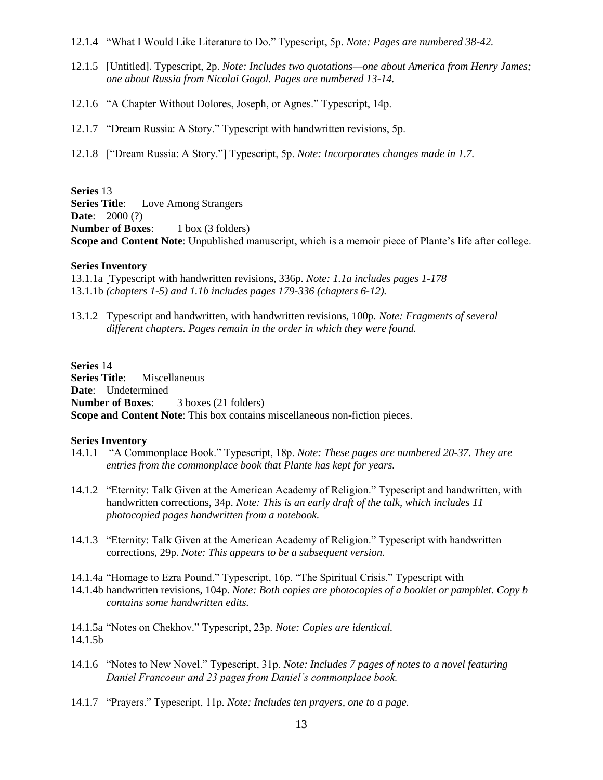- 12.1.4 "What I Would Like Literature to Do." Typescript, 5p. *Note: Pages are numbered 38-42.*
- 12.1.5 [Untitled]. Typescript, 2p. *Note: Includes two quotations—one about America from Henry James; one about Russia from Nicolai Gogol. Pages are numbered 13-14.*
- 12.1.6 "A Chapter Without Dolores, Joseph, or Agnes." Typescript, 14p.
- 12.1.7 "Dream Russia: A Story." Typescript with handwritten revisions, 5p.
- 12.1.8 ["Dream Russia: A Story."] Typescript, 5p. *Note: Incorporates changes made in 1.7.*

**Series** 13 **Series Title**: Love Among Strangers **Date**: 2000 (?) **Number of Boxes:** 1 box (3 folders) **Scope and Content Note**: Unpublished manuscript, which is a memoir piece of Plante's life after college.

### **Series Inventory**

13.1.1a Typescript with handwritten revisions, 336p. *Note: 1.1a includes pages 1-178* 13.1.1b *(chapters 1-5) and 1.1b includes pages 179-336 (chapters 6-12).*

13.1.2 Typescript and handwritten, with handwritten revisions, 100p. *Note: Fragments of several different chapters. Pages remain in the order in which they were found.*

**Series** 14 **Series Title**: Miscellaneous **Date**: Undetermined **Number of Boxes**: 3 boxes (21 folders) **Scope and Content Note**: This box contains miscellaneous non-fiction pieces.

#### **Series Inventory**

- 14.1.1 "A Commonplace Book." Typescript, 18p. *Note: These pages are numbered 20-37. They are entries from the commonplace book that Plante has kept for years.*
- 14.1.2 "Eternity: Talk Given at the American Academy of Religion." Typescript and handwritten, with handwritten corrections, 34p. *Note: This is an early draft of the talk, which includes 11 photocopied pages handwritten from a notebook.*
- 14.1.3 "Eternity: Talk Given at the American Academy of Religion." Typescript with handwritten corrections, 29p. *Note: This appears to be a subsequent version.*
- 14.1.4a "Homage to Ezra Pound." Typescript, 16p. "The Spiritual Crisis." Typescript with

14.1.4b handwritten revisions, 104p. *Note: Both copies are photocopies of a booklet or pamphlet. Copy b contains some handwritten edits.*

14.1.5a "Notes on Chekhov." Typescript, 23p. *Note: Copies are identical.* 14.1.5b

- 14.1.6 "Notes to New Novel." Typescript, 31p. *Note: Includes 7 pages of notes to a novel featuring Daniel Francoeur and 23 pages from Daniel's commonplace book.*
- 14.1.7 "Prayers." Typescript, 11p. *Note: Includes ten prayers, one to a page.*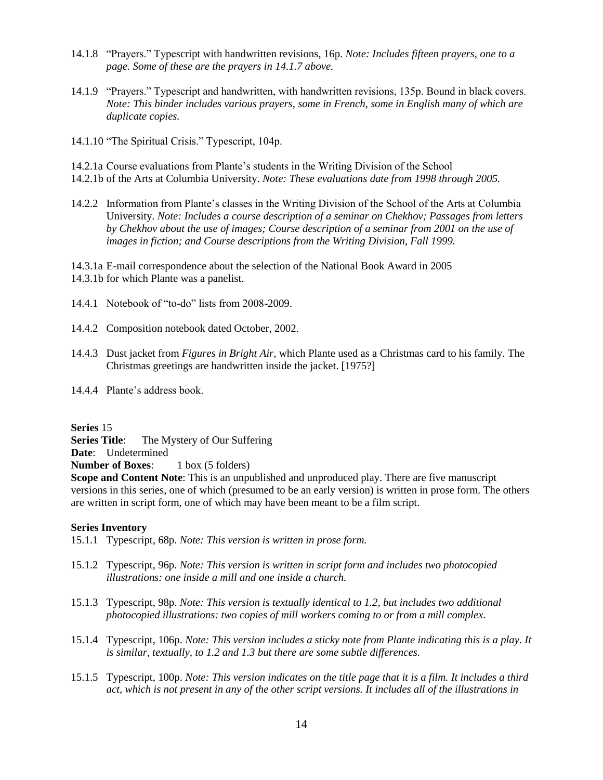- 14.1.8 "Prayers." Typescript with handwritten revisions, 16p. *Note: Includes fifteen prayers, one to a page. Some of these are the prayers in 14.1.7 above.*
- 14.1.9 "Prayers." Typescript and handwritten, with handwritten revisions, 135p. Bound in black covers. *Note: This binder includes various prayers, some in French, some in English many of which are duplicate copies.*
- 14.1.10 "The Spiritual Crisis." Typescript, 104p.
- 14.2.1a Course evaluations from Plante's students in the Writing Division of the School
- 14.2.1b of the Arts at Columbia University. *Note: These evaluations date from 1998 through 2005.*
- 14.2.2 Information from Plante's classes in the Writing Division of the School of the Arts at Columbia University. *Note: Includes a course description of a seminar on Chekhov; Passages from letters by Chekhov about the use of images; Course description of a seminar from 2001 on the use of images in fiction; and Course descriptions from the Writing Division, Fall 1999.*
- 14.3.1a E-mail correspondence about the selection of the National Book Award in 2005 14.3.1b for which Plante was a panelist.
- 14.4.1 Notebook of "to-do" lists from 2008-2009.
- 14.4.2 Composition notebook dated October, 2002.
- 14.4.3 Dust jacket from *Figures in Bright Air*, which Plante used as a Christmas card to his family. The Christmas greetings are handwritten inside the jacket. [1975?]
- 14.4.4 Plante's address book.

**Series** 15

**Series Title:** The Mystery of Our Suffering

**Date**: Undetermined

**Number of Boxes:** 1 box (5 folders)

**Scope and Content Note**: This is an unpublished and unproduced play. There are five manuscript versions in this series, one of which (presumed to be an early version) is written in prose form. The others are written in script form, one of which may have been meant to be a film script.

- 15.1.1 Typescript, 68p. *Note: This version is written in prose form.*
- 15.1.2 Typescript, 96p. *Note: This version is written in script form and includes two photocopied illustrations: one inside a mill and one inside a church.*
- 15.1.3 Typescript, 98p. *Note: This version is textually identical to 1.2, but includes two additional photocopied illustrations: two copies of mill workers coming to or from a mill complex.*
- 15.1.4 Typescript, 106p. *Note: This version includes a sticky note from Plante indicating this is a play. It is similar, textually, to 1.2 and 1.3 but there are some subtle differences.*
- 15.1.5 Typescript, 100p. *Note: This version indicates on the title page that it is a film. It includes a third act, which is not present in any of the other script versions. It includes all of the illustrations in*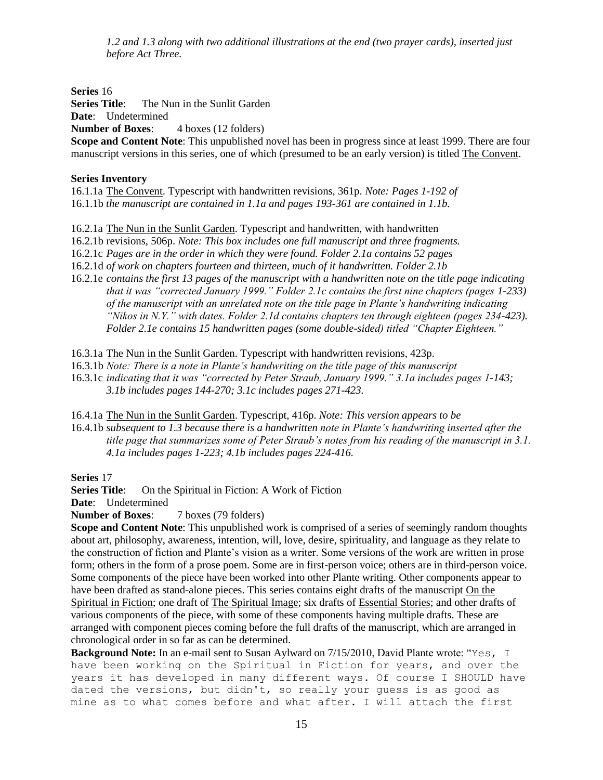*1.2 and 1.3 along with two additional illustrations at the end (two prayer cards), inserted just before Act Three.*

**Series** 16

**Series Title:** The Nun in the Sunlit Garden

**Date**: Undetermined

**Number of Boxes:** 4 boxes (12 folders)

**Scope and Content Note**: This unpublished novel has been in progress since at least 1999. There are four manuscript versions in this series, one of which (presumed to be an early version) is titled The Convent.

# **Series Inventory**

16.1.1a The Convent. Typescript with handwritten revisions, 361p. *Note: Pages 1-192 of*  16.1.1b *the manuscript are contained in 1.1a and pages 193-361 are contained in 1.1b.*

16.2.1a The Nun in the Sunlit Garden. Typescript and handwritten, with handwritten

16.2.1b revisions, 506p. *Note: This box includes one full manuscript and three fragments.*

16.2.1c *Pages are in the order in which they were found. Folder 2.1a contains 52 pages*

16.2.1d *of work on chapters fourteen and thirteen, much of it handwritten. Folder 2.1b*

16.2.1e *contains the first 13 pages of the manuscript with a handwritten note on the title page indicating that it was "corrected January 1999." Folder 2.1c contains the first nine chapters (pages 1-233) of the manuscript with an unrelated note on the title page in Plante's handwriting indicating "Nikos in N.Y." with dates. Folder 2.1d contains chapters ten through eighteen (pages 234-423). Folder 2.1e contains 15 handwritten pages (some double-sided) titled "Chapter Eighteen."*

16.3.1a The Nun in the Sunlit Garden. Typescript with handwritten revisions, 423p.

- 16.3.1b *Note: There is a note in Plante's handwriting on the title page of this manuscript*
- 16.3.1c *indicating that it was "corrected by Peter Straub, January 1999." 3.1a includes pages 1-143; 3.1b includes pages 144-270; 3.1c includes pages 271-423.*

16.4.1a The Nun in the Sunlit Garden. Typescript, 416p. *Note: This version appears to be*

16.4.1b *subsequent to 1.3 because there is a handwritten note in Plante's handwriting inserted after the title page that summarizes some of Peter Straub's notes from his reading of the manuscript in 3.1. 4.1a includes pages 1-223; 4.1b includes pages 224-416.*

**Series** 17

**Series Title:** On the Spiritual in Fiction: A Work of Fiction

**Date**: Undetermined

**Number of Boxes:** 7 boxes (79 folders)

**Scope and Content Note**: This unpublished work is comprised of a series of seemingly random thoughts about art, philosophy, awareness, intention, will, love, desire, spirituality, and language as they relate to the construction of fiction and Plante's vision as a writer. Some versions of the work are written in prose form; others in the form of a prose poem. Some are in first-person voice; others are in third-person voice. Some components of the piece have been worked into other Plante writing. Other components appear to have been drafted as stand-alone pieces. This series contains eight drafts of the manuscript On the Spiritual in Fiction; one draft of The Spiritual Image; six drafts of Essential Stories; and other drafts of various components of the piece, with some of these components having multiple drafts. These are arranged with component pieces coming before the full drafts of the manuscript, which are arranged in chronological order in so far as can be determined.

**Background Note:** In an e-mail sent to Susan Aylward on 7/15/2010, David Plante wrote: "Yes, I have been working on the Spiritual in Fiction for years, and over the years it has developed in many different ways. Of course I SHOULD have dated the versions, but didn't, so really your guess is as good as mine as to what comes before and what after. I will attach the first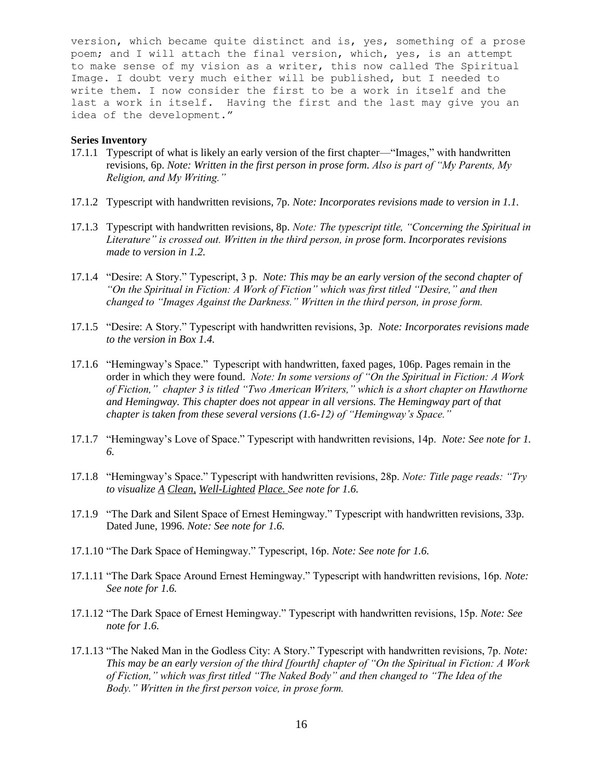version, which became quite distinct and is, yes, something of a prose poem; and I will attach the final version, which, yes, is an attempt to make sense of my vision as a writer, this now called The Spiritual Image. I doubt very much either will be published, but I needed to write them. I now consider the first to be a work in itself and the last a work in itself. Having the first and the last may give you an idea of the development."

- 17.1.1 Typescript of what is likely an early version of the first chapter—"Images," with handwritten revisions, 6p. *Note: Written in the first person in prose form. Also is part of "My Parents, My Religion, and My Writing."*
- 17.1.2 Typescript with handwritten revisions, 7p. *Note: Incorporates revisions made to version in 1.1.*
- 17.1.3 Typescript with handwritten revisions, 8p. *Note: The typescript title, "Concerning the Spiritual in Literature" is crossed out. Written in the third person, in prose form. Incorporates revisions made to version in 1.2.*
- 17.1.4 "Desire: A Story." Typescript, 3 p. *Note: This may be an early version of the second chapter of "On the Spiritual in Fiction: A Work of Fiction" which was first titled "Desire," and then changed to "Images Against the Darkness." Written in the third person, in prose form.*
- 17.1.5 "Desire: A Story." Typescript with handwritten revisions, 3p. *Note: Incorporates revisions made to the version in Box 1.4.*
- 17.1.6 "Hemingway's Space." Typescript with handwritten, faxed pages, 106p. Pages remain in the order in which they were found. *Note: In some versions of "On the Spiritual in Fiction: A Work of Fiction," chapter 3 is titled "Two American Writers," which is a short chapter on Hawthorne and Hemingway. This chapter does not appear in all versions. The Hemingway part of that chapter is taken from these several versions (1.6-12) of "Hemingway's Space."*
- 17.1.7 "Hemingway's Love of Space." Typescript with handwritten revisions, 14p. *Note: See note for 1. 6.*
- 17.1.8 "Hemingway's Space." Typescript with handwritten revisions, 28p. *Note: Title page reads: "Try to visualize A Clean, Well-Lighted Place. See note for 1.6.*
- 17.1.9 "The Dark and Silent Space of Ernest Hemingway." Typescript with handwritten revisions, 33p. Dated June, 1996. *Note: See note for 1.6.*
- 17.1.10 "The Dark Space of Hemingway." Typescript, 16p. *Note: See note for 1.6.*
- 17.1.11 "The Dark Space Around Ernest Hemingway." Typescript with handwritten revisions, 16p. *Note: See note for 1.6.*
- 17.1.12 "The Dark Space of Ernest Hemingway." Typescript with handwritten revisions, 15p. *Note: See note for 1.6.*
- 17.1.13 "The Naked Man in the Godless City: A Story." Typescript with handwritten revisions, 7p. *Note: This may be an early version of the third [fourth] chapter of "On the Spiritual in Fiction: A Work of Fiction," which was first titled "The Naked Body" and then changed to "The Idea of the Body." Written in the first person voice, in prose form.*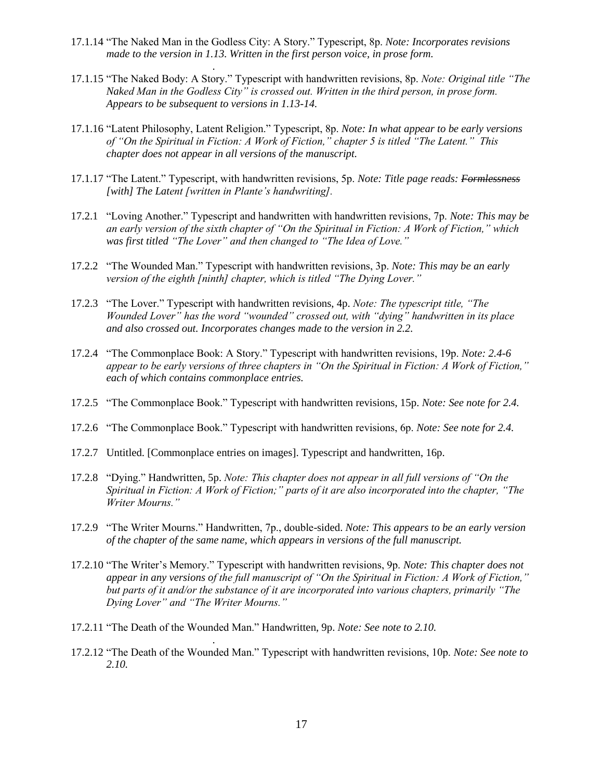17.1.14 "The Naked Man in the Godless City: A Story." Typescript, 8p. *Note: Incorporates revisions made to the version in 1.13. Written in the first person voice, in prose form.*

*.*

- 17.1.15 "The Naked Body: A Story." Typescript with handwritten revisions, 8p. *Note: Original title "The Naked Man in the Godless City" is crossed out. Written in the third person, in prose form. Appears to be subsequent to versions in 1.13-14.*
- 17.1.16 "Latent Philosophy, Latent Religion." Typescript, 8p. *Note: In what appear to be early versions of "On the Spiritual in Fiction: A Work of Fiction," chapter 5 is titled "The Latent." This chapter does not appear in all versions of the manuscript.*
- 17.1.17 "The Latent." Typescript, with handwritten revisions, 5p. *Note: Title page reads: Formlessness [with] The Latent [written in Plante's handwriting].*
- 17.2.1 "Loving Another." Typescript and handwritten with handwritten revisions, 7p. *Note: This may be an early version of the sixth chapter of "On the Spiritual in Fiction: A Work of Fiction," which was first titled "The Lover" and then changed to "The Idea of Love."*
- 17.2.2 "The Wounded Man." Typescript with handwritten revisions, 3p. *Note: This may be an early version of the eighth [ninth] chapter, which is titled "The Dying Lover."*
- 17.2.3 "The Lover." Typescript with handwritten revisions, 4p. *Note: The typescript title, "The Wounded Lover" has the word "wounded" crossed out, with "dying" handwritten in its place and also crossed out. Incorporates changes made to the version in 2.2.*
- 17.2.4 "The Commonplace Book: A Story." Typescript with handwritten revisions, 19p. *Note: 2.4-6 appear to be early versions of three chapters in "On the Spiritual in Fiction: A Work of Fiction," each of which contains commonplace entries.*
- 17.2.5 "The Commonplace Book." Typescript with handwritten revisions, 15p. *Note: See note for 2.4.*
- 17.2.6 "The Commonplace Book." Typescript with handwritten revisions, 6p. *Note: See note for 2.4.*
- 17.2.7 Untitled. [Commonplace entries on images]. Typescript and handwritten, 16p.
- 17.2.8 "Dying." Handwritten, 5p. *Note: This chapter does not appear in all full versions of "On the Spiritual in Fiction: A Work of Fiction;" parts of it are also incorporated into the chapter, "The Writer Mourns."*
- 17.2.9 "The Writer Mourns." Handwritten, 7p., double-sided. *Note: This appears to be an early version of the chapter of the same name, which appears in versions of the full manuscript.*
- 17.2.10 "The Writer's Memory." Typescript with handwritten revisions, 9p. *Note: This chapter does not appear in any versions of the full manuscript of "On the Spiritual in Fiction: A Work of Fiction," but parts of it and/or the substance of it are incorporated into various chapters, primarily "The Dying Lover" and "The Writer Mourns."*
- 17.2.11 "The Death of the Wounded Man." Handwritten, 9p. *Note: See note to 2.10.*

*.*

17.2.12 "The Death of the Wounded Man." Typescript with handwritten revisions, 10p. *Note: See note to 2.10.*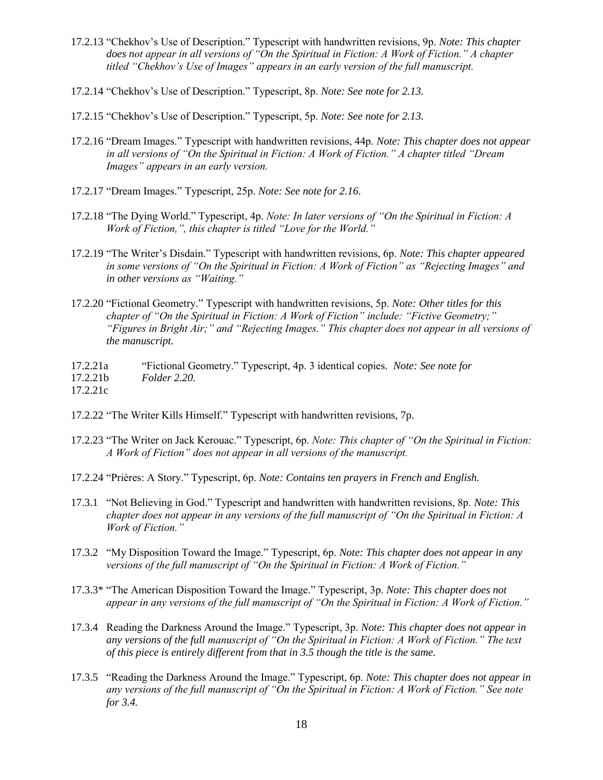- 17.2.13 "Chekhov's Use of Description." Typescript with handwritten revisions, 9p. *Note: This chapter does not appear in all versions of "On the Spiritual in Fiction: A Work of Fiction." A chapter titled "Chekhov's Use of Images" appears in an early version of the full manuscript.*
- 17.2.14 "Chekhov's Use of Description." Typescript, 8p. *Note: See note for 2.13.*
- 17.2.15 "Chekhov's Use of Description." Typescript, 5p. *Note: See note for 2.13.*
- 17.2.16 "Dream Images." Typescript with handwritten revisions, 44p. *Note: This chapter does not appear in all versions of "On the Spiritual in Fiction: A Work of Fiction." A chapter titled "Dream Images" appears in an early version.*
- 17.2.17 "Dream Images." Typescript, 25p. *Note: See note for 2.16.*
- 17.2.18 "The Dying World." Typescript, 4p. *Note: In later versions of "On the Spiritual in Fiction: A Work of Fiction,", this chapter is titled "Love for the World."*
- 17.2.19 "The Writer's Disdain." Typescript with handwritten revisions, 6p. *Note: This chapter appeared in some versions of "On the Spiritual in Fiction: A Work of Fiction" as "Rejecting Images" and in other versions as "Waiting."*
- 17.2.20 "Fictional Geometry." Typescript with handwritten revisions, 5p. *Note: Other titles for this chapter of "On the Spiritual in Fiction: A Work of Fiction" include: "Fictive Geometry;" "Figures in Bright Air;" and "Rejecting Images." This chapter does not appear in all versions of the manuscript.*
- 17.2.21a "Fictional Geometry." Typescript, 4p. 3 identical copies. *Note: See note for*
- 17.2.21b *Folder 2.20.*

17.2.21c

- 17.2.22 "The Writer Kills Himself." Typescript with handwritten revisions, 7p.
- 17.2.23 "The Writer on Jack Kerouac." Typescript, 6p. *Note: This chapter of "On the Spiritual in Fiction: A Work of Fiction" does not appear in all versions of the manuscript.*
- 17.2.24 "Prières: A Story." Typescript, 6p. *Note: Contains ten prayers in French and English.*
- 17.3.1 "Not Believing in God." Typescript and handwritten with handwritten revisions, 8p. *Note: This chapter does not appear in any versions of the full manuscript of "On the Spiritual in Fiction: A Work of Fiction."*
- 17.3.2 "My Disposition Toward the Image." Typescript, 6p. *Note: This chapter does not appear in any versions of the full manuscript of "On the Spiritual in Fiction: A Work of Fiction."*
- 17.3.3\* "The American Disposition Toward the Image." Typescript, 3p. *Note: This chapter does not appear in any versions of the full manuscript of "On the Spiritual in Fiction: A Work of Fiction."*
- 17.3.4 Reading the Darkness Around the Image." Typescript, 3p. *Note: This chapter does not appear in any versions of the full manuscript of "On the Spiritual in Fiction: A Work of Fiction." The text of this piece is entirely different from that in 3.5 though the title is the same.*
- 17.3.5 "Reading the Darkness Around the Image." Typescript, 6p. *Note: This chapter does not appear in any versions of the full manuscript of "On the Spiritual in Fiction: A Work of Fiction." See note for 3.4.*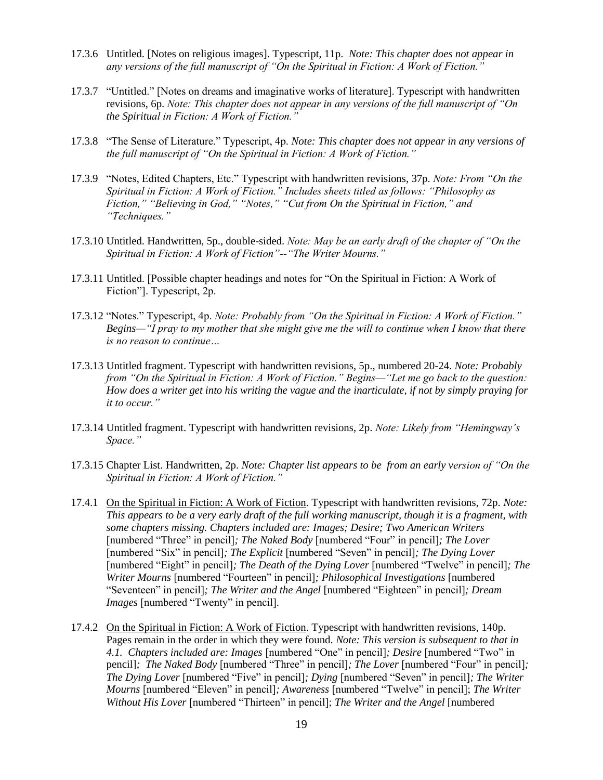- 17.3.6 Untitled. [Notes on religious images]. Typescript, 11p. *Note: This chapter does not appear in any versions of the full manuscript of "On the Spiritual in Fiction: A Work of Fiction."*
- 17.3.7 "Untitled." [Notes on dreams and imaginative works of literature]. Typescript with handwritten revisions, 6p. *Note: This chapter does not appear in any versions of the full manuscript of "On the Spiritual in Fiction: A Work of Fiction."*
- 17.3.8 "The Sense of Literature." Typescript, 4p. *Note: This chapter does not appear in any versions of the full manuscript of "On the Spiritual in Fiction: A Work of Fiction."*
- 17.3.9 "Notes, Edited Chapters, Etc." Typescript with handwritten revisions, 37p. *Note: From "On the Spiritual in Fiction: A Work of Fiction." Includes sheets titled as follows: "Philosophy as Fiction," "Believing in God," "Notes," "Cut from On the Spiritual in Fiction," and "Techniques."*
- 17.3.10 Untitled. Handwritten, 5p., double-sided. *Note: May be an early draft of the chapter of "On the Spiritual in Fiction: A Work of Fiction"--"The Writer Mourns."*
- 17.3.11 Untitled. [Possible chapter headings and notes for "On the Spiritual in Fiction: A Work of Fiction"]. Typescript, 2p.
- 17.3.12 "Notes." Typescript, 4p. *Note: Probably from "On the Spiritual in Fiction: A Work of Fiction." Begins—"I pray to my mother that she might give me the will to continue when I know that there is no reason to continue…*
- 17.3.13 Untitled fragment. Typescript with handwritten revisions, 5p., numbered 20-24. *Note: Probably from "On the Spiritual in Fiction: A Work of Fiction." Begins—"Let me go back to the question: How does a writer get into his writing the vague and the inarticulate, if not by simply praying for it to occur."*
- 17.3.14 Untitled fragment. Typescript with handwritten revisions, 2p. *Note: Likely from "Hemingway's Space."*
- 17.3.15 Chapter List. Handwritten, 2p. *Note: Chapter list appears to be from an early version of "On the Spiritual in Fiction: A Work of Fiction."*
- 17.4.1 On the Spiritual in Fiction: A Work of Fiction. Typescript with handwritten revisions, 72p. *Note: This appears to be a very early draft of the full working manuscript, though it is a fragment, with some chapters missing. Chapters included are: Images; Desire; Two American Writers* [numbered "Three" in pencil]*; The Naked Body* [numbered "Four" in pencil]*; The Lover*  [numbered "Six" in pencil]*; The Explicit* [numbered "Seven" in pencil]*; The Dying Lover*  [numbered "Eight" in pencil]*; The Death of the Dying Lover* [numbered "Twelve" in pencil]*; The Writer Mourns* [numbered "Fourteen" in pencil]*; Philosophical Investigations* [numbered "Seventeen" in pencil]*; The Writer and the Angel* [numbered "Eighteen" in pencil]*; Dream Images* [numbered "Twenty" in pencil]*.*
- 17.4.2 On the Spiritual in Fiction: A Work of Fiction. Typescript with handwritten revisions, 140p. Pages remain in the order in which they were found. *Note: This version is subsequent to that in 4.1. Chapters included are: Images* [numbered "One" in pencil]*; Desire* [numbered "Two" in pencil]*; The Naked Body* [numbered "Three" in pencil]*; The Lover* [numbered "Four" in pencil]*; The Dying Lover* [numbered "Five" in pencil]*; Dying* [numbered "Seven" in pencil]*; The Writer Mourns* [numbered "Eleven" in pencil]*; Awareness* [numbered "Twelve" in pencil]; *The Writer Without His Lover* [numbered "Thirteen" in pencil]; *The Writer and the Angel* [numbered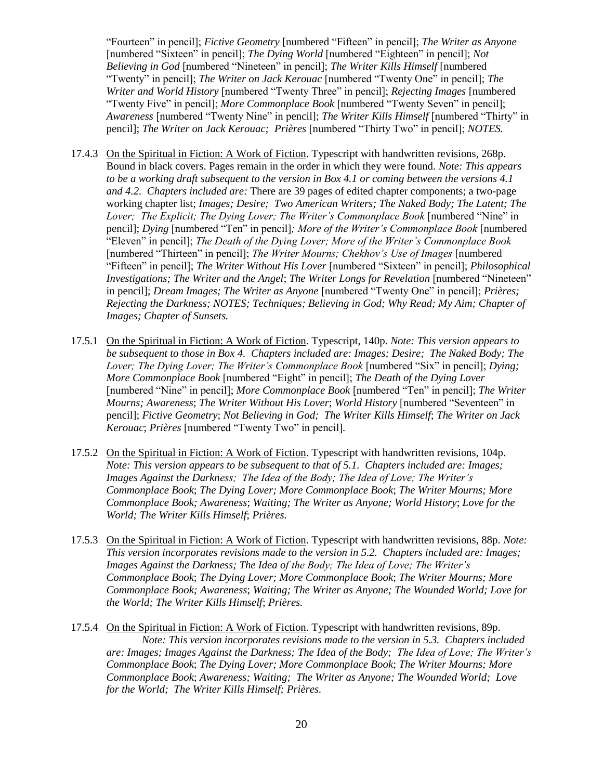"Fourteen" in pencil]; *Fictive Geometry* [numbered "Fifteen" in pencil]; *The Writer as Anyone*  [numbered "Sixteen" in pencil]; *The Dying World* [numbered "Eighteen" in pencil]; *Not Believing in God* [numbered "Nineteen" in pencil]; *The Writer Kills Himself* [numbered "Twenty" in pencil]; *The Writer on Jack Kerouac* [numbered "Twenty One" in pencil]; *The Writer and World History* [numbered "Twenty Three" in pencil]; *Rejecting Images* [numbered "Twenty Five" in pencil]; *More Commonplace Book* [numbered "Twenty Seven" in pencil]; *Awareness* [numbered "Twenty Nine" in pencil]; *The Writer Kills Himself* [numbered "Thirty" in pencil]; *The Writer on Jack Kerouac; Prières* [numbered "Thirty Two" in pencil]; *NOTES.*

- 17.4.3 On the Spiritual in Fiction: A Work of Fiction. Typescript with handwritten revisions, 268p. Bound in black covers. Pages remain in the order in which they were found. *Note: This appears to be a working draft subsequent to the version in Box 4.1 or coming between the versions 4.1 and 4.2. Chapters included are:* There are 39 pages of edited chapter components; a two-page working chapter list; *Images; Desire; Two American Writers; The Naked Body; The Latent; The Lover; The Explicit; The Dying Lover; The Writer's Commonplace Book* [numbered "Nine" in pencil]; *Dying* [numbered "Ten" in pencil]*; More of the Writer's Commonplace Book* [numbered "Eleven" in pencil]; *The Death of the Dying Lover; More of the Writer's Commonplace Book*  [numbered "Thirteen" in pencil]; *The Writer Mourns; Chekhov's Use of Images* [numbered "Fifteen" in pencil]; *The Writer Without His Lover* [numbered "Sixteen" in pencil]; *Philosophical Investigations; The Writer and the Angel*; *The Writer Longs for Revelation* [numbered "Nineteen" in pencil]; *Dream Images; The Writer as Anyone* [numbered "Twenty One" in pencil]; *Prières; Rejecting the Darkness; NOTES; Techniques; Believing in God; Why Read; My Aim; Chapter of Images; Chapter of Sunsets.*
- 17.5.1 On the Spiritual in Fiction: A Work of Fiction. Typescript, 140p. *Note: This version appears to be subsequent to those in Box 4. Chapters included are: Images; Desire; The Naked Body; The Lover; The Dying Lover; The Writer's Commonplace Book* [numbered "Six" in pencil]; *Dying; More Commonplace Book* [numbered "Eight" in pencil]; *The Death of the Dying Lover*  [numbered "Nine" in pencil]; *More Commonplace Book* [numbered "Ten" in pencil]; *The Writer Mourns; Awareness*; *The Writer Without His Lover*; *World History* [numbered "Seventeen" in pencil]; *Fictive Geometry*; *Not Believing in God; The Writer Kills Himself*; *The Writer on Jack Kerouac*; *Prières* [numbered "Twenty Two" in pencil]*.*
- 17.5.2 On the Spiritual in Fiction: A Work of Fiction. Typescript with handwritten revisions, 104p. *Note: This version appears to be subsequent to that of 5.1. Chapters included are: Images; Images Against the Darkness; The Idea of the Body; The Idea of Love; The Writer's Commonplace Book*; *The Dying Lover; More Commonplace Book*; *The Writer Mourns; More Commonplace Book; Awareness*; *Waiting; The Writer as Anyone; World History*; *Love for the World; The Writer Kills Himself*; *Prières.*
- 17.5.3 On the Spiritual in Fiction: A Work of Fiction. Typescript with handwritten revisions, 88p. *Note: This version incorporates revisions made to the version in 5.2. Chapters included are: Images; Images Against the Darkness; The Idea of the Body; The Idea of Love; The Writer's Commonplace Book*; *The Dying Lover; More Commonplace Book*; *The Writer Mourns; More Commonplace Book; Awareness*; *Waiting; The Writer as Anyone; The Wounded World; Love for the World; The Writer Kills Himself*; *Prières.*
- 17.5.4 On the Spiritual in Fiction: A Work of Fiction. Typescript with handwritten revisions, 89p. *Note: This version incorporates revisions made to the version in 5.3. Chapters included are: Images; Images Against the Darkness; The Idea of the Body; The Idea of Love; The Writer's Commonplace Book*; *The Dying Lover; More Commonplace Book*; *The Writer Mourns; More Commonplace Book*; *Awareness; Waiting; The Writer as Anyone; The Wounded World; Love for the World; The Writer Kills Himself; Prières.*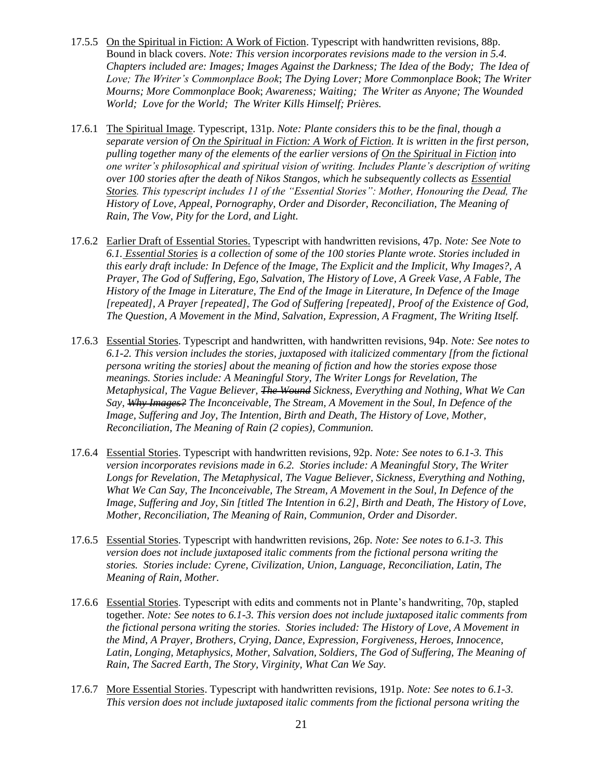- 17.5.5 On the Spiritual in Fiction: A Work of Fiction. Typescript with handwritten revisions, 88p. Bound in black covers. *Note: This version incorporates revisions made to the version in 5.4. Chapters included are: Images; Images Against the Darkness; The Idea of the Body; The Idea of Love; The Writer's Commonplace Book*; *The Dying Lover; More Commonplace Book*; *The Writer Mourns; More Commonplace Book*; *Awareness; Waiting; The Writer as Anyone; The Wounded World; Love for the World; The Writer Kills Himself; Prières.*
- 17.6.1 The Spiritual Image. Typescript, 131p. *Note: Plante considers this to be the final, though a separate version of On the Spiritual in Fiction: A Work of Fiction. It is written in the first person, pulling together many of the elements of the earlier versions of On the Spiritual in Fiction into one writer's philosophical and spiritual vision of writing. Includes Plante's description of writing over 100 stories after the death of Nikos Stangos, which he subsequently collects as Essential Stories. This typescript includes 11 of the "Essential Stories": Mother, Honouring the Dead, The History of Love, Appeal, Pornography, Order and Disorder, Reconciliation, The Meaning of Rain, The Vow, Pity for the Lord, and Light.*
- 17.6.2 Earlier Draft of Essential Stories. Typescript with handwritten revisions, 47p. *Note: See Note to 6.1. Essential Stories is a collection of some of the 100 stories Plante wrote. Stories included in this early draft include: In Defence of the Image, The Explicit and the Implicit, Why Images?, A Prayer, The God of Suffering, Ego, Salvation, The History of Love, A Greek Vase, A Fable, The History of the Image in Literature, The End of the Image in Literature, In Defence of the Image [repeated], A Prayer [repeated], The God of Suffering [repeated], Proof of the Existence of God, The Question, A Movement in the Mind, Salvation, Expression, A Fragment, The Writing Itself.*
- 17.6.3 Essential Stories. Typescript and handwritten, with handwritten revisions, 94p. *Note: See notes to 6.1-2. This version includes the stories, juxtaposed with italicized commentary [from the fictional persona writing the stories] about the meaning of fiction and how the stories expose those meanings. Stories include: A Meaningful Story, The Writer Longs for Revelation, The Metaphysical, The Vague Believer, The Wound Sickness, Everything and Nothing, What We Can Say, Why Images? The Inconceivable, The Stream, A Movement in the Soul, In Defence of the Image, Suffering and Joy, The Intention, Birth and Death, The History of Love, Mother, Reconciliation, The Meaning of Rain (2 copies), Communion.*
- 17.6.4 Essential Stories. Typescript with handwritten revisions, 92p. *Note: See notes to 6.1-3. This version incorporates revisions made in 6.2. Stories include: A Meaningful Story, The Writer Longs for Revelation, The Metaphysical, The Vague Believer, Sickness, Everything and Nothing, What We Can Say, The Inconceivable, The Stream, A Movement in the Soul, In Defence of the Image, Suffering and Joy, Sin [titled The Intention in 6.2], Birth and Death, The History of Love, Mother, Reconciliation, The Meaning of Rain, Communion, Order and Disorder.*
- 17.6.5 Essential Stories. Typescript with handwritten revisions, 26p. *Note: See notes to 6.1-3. This version does not include juxtaposed italic comments from the fictional persona writing the stories. Stories include: Cyrene, Civilization, Union, Language, Reconciliation, Latin, The Meaning of Rain, Mother.*
- 17.6.6 Essential Stories. Typescript with edits and comments not in Plante's handwriting, 70p, stapled together. *Note: See notes to 6.1-3. This version does not include juxtaposed italic comments from the fictional persona writing the stories. Stories included: The History of Love, A Movement in the Mind, A Prayer, Brothers, Crying, Dance, Expression, Forgiveness, Heroes, Innocence, Latin, Longing, Metaphysics, Mother, Salvation, Soldiers, The God of Suffering, The Meaning of Rain, The Sacred Earth, The Story, Virginity, What Can We Say.*
- 17.6.7 More Essential Stories. Typescript with handwritten revisions, 191p. *Note: See notes to 6.1-3. This version does not include juxtaposed italic comments from the fictional persona writing the*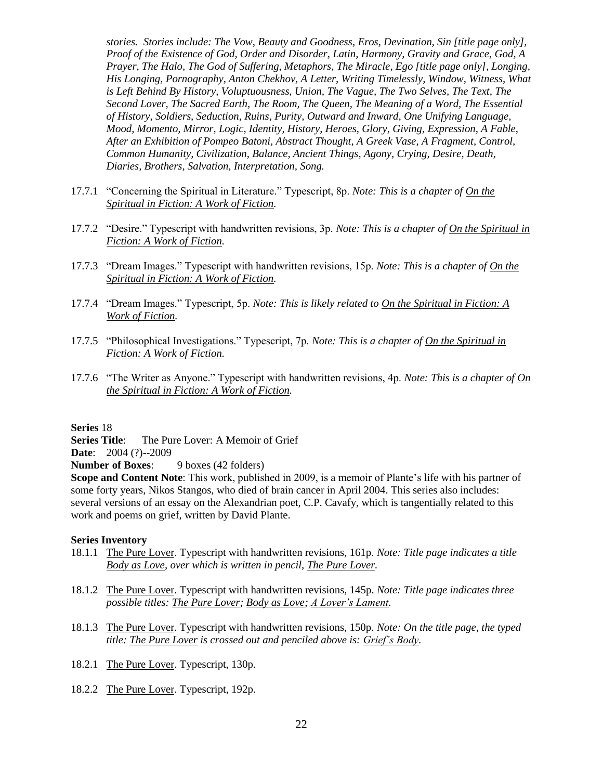*stories. Stories include: The Vow, Beauty and Goodness, Eros, Devination, Sin [title page only], Proof of the Existence of God, Order and Disorder, Latin, Harmony, Gravity and Grace, God, A Prayer, The Halo, The God of Suffering, Metaphors, The Miracle, Ego [title page only], Longing, His Longing, Pornography, Anton Chekhov, A Letter, Writing Timelessly, Window, Witness, What*  is Left Behind By History, Voluptuousness, Union, The Vague, The Two Selves, The Text, The *Second Lover, The Sacred Earth, The Room, The Queen, The Meaning of a Word, The Essential of History, Soldiers, Seduction, Ruins, Purity, Outward and Inward, One Unifying Language, Mood, Momento, Mirror, Logic, Identity, History, Heroes, Glory, Giving, Expression, A Fable, After an Exhibition of Pompeo Batoni, Abstract Thought, A Greek Vase, A Fragment, Control, Common Humanity, Civilization, Balance, Ancient Things, Agony, Crying, Desire, Death, Diaries, Brothers, Salvation, Interpretation, Song.*

- 17.7.1 "Concerning the Spiritual in Literature." Typescript, 8p. *Note: This is a chapter of On the Spiritual in Fiction: A Work of Fiction.*
- 17.7.2 "Desire." Typescript with handwritten revisions, 3p. *Note: This is a chapter of On the Spiritual in Fiction: A Work of Fiction.*
- 17.7.3 "Dream Images." Typescript with handwritten revisions, 15p. *Note: This is a chapter of On the Spiritual in Fiction: A Work of Fiction.*
- 17.7.4 "Dream Images." Typescript, 5p. *Note: This is likely related to On the Spiritual in Fiction: A Work of Fiction.*
- 17.7.5 "Philosophical Investigations." Typescript, 7p. *Note: This is a chapter of On the Spiritual in Fiction: A Work of Fiction.*
- 17.7.6 "The Writer as Anyone." Typescript with handwritten revisions, 4p. *Note: This is a chapter of On the Spiritual in Fiction: A Work of Fiction.*

**Series** 18

**Series Title:** The Pure Lover: A Memoir of Grief

**Date**: 2004 (?)--2009

**Number of Boxes:** 9 boxes (42 folders)

**Scope and Content Note**: This work, published in 2009, is a memoir of Plante's life with his partner of some forty years, Nikos Stangos, who died of brain cancer in April 2004. This series also includes: several versions of an essay on the Alexandrian poet, C.P. Cavafy, which is tangentially related to this work and poems on grief, written by David Plante.

- 18.1.1 The Pure Lover. Typescript with handwritten revisions, 161p. *Note: Title page indicates a title Body as Love, over which is written in pencil, The Pure Lover.*
- 18.1.2 The Pure Lover. Typescript with handwritten revisions, 145p. *Note: Title page indicates three possible titles: The Pure Lover; Body as Love; A Lover's Lament.*
- 18.1.3 The Pure Lover. Typescript with handwritten revisions, 150p. *Note: On the title page, the typed title: The Pure Lover is crossed out and penciled above is: Grief's Body.*
- 18.2.1 The Pure Lover. Typescript, 130p.
- 18.2.2 The Pure Lover. Typescript, 192p.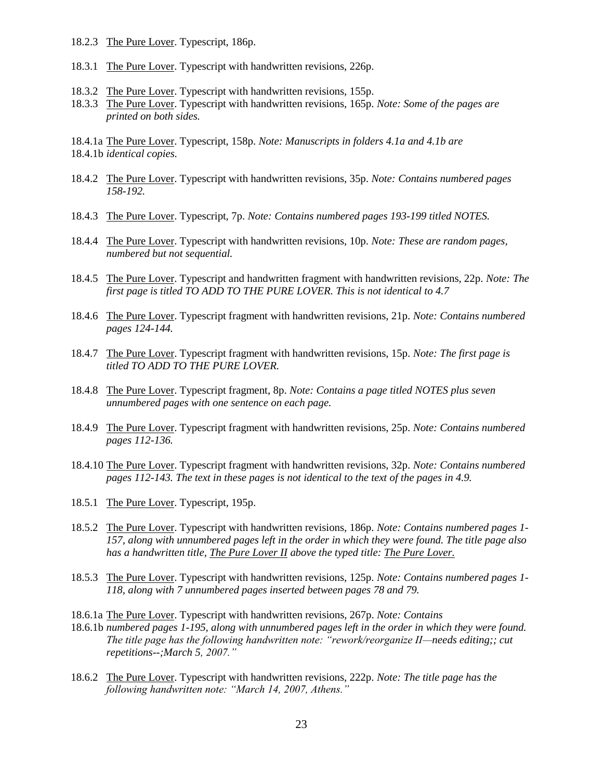- 18.2.3 The Pure Lover. Typescript, 186p.
- 18.3.1 The Pure Lover. Typescript with handwritten revisions, 226p.
- 18.3.2 The Pure Lover. Typescript with handwritten revisions, 155p.
- 18.3.3 The Pure Lover. Typescript with handwritten revisions, 165p. *Note: Some of the pages are printed on both sides.*
- 18.4.1a The Pure Lover. Typescript, 158p. *Note: Manuscripts in folders 4.1a and 4.1b are* 18.4.1b *identical copies.*
- 18.4.2 The Pure Lover. Typescript with handwritten revisions, 35p. *Note: Contains numbered pages 158-192.*
- 18.4.3 The Pure Lover. Typescript, 7p. *Note: Contains numbered pages 193-199 titled NOTES.*
- 18.4.4 The Pure Lover. Typescript with handwritten revisions, 10p. *Note: These are random pages, numbered but not sequential.*
- 18.4.5 The Pure Lover. Typescript and handwritten fragment with handwritten revisions, 22p. *Note: The first page is titled TO ADD TO THE PURE LOVER. This is not identical to 4.7*
- 18.4.6 The Pure Lover. Typescript fragment with handwritten revisions, 21p. *Note: Contains numbered pages 124-144.*
- 18.4.7 The Pure Lover. Typescript fragment with handwritten revisions, 15p. *Note: The first page is titled TO ADD TO THE PURE LOVER.*
- 18.4.8 The Pure Lover. Typescript fragment, 8p. *Note: Contains a page titled NOTES plus seven unnumbered pages with one sentence on each page.*
- 18.4.9 The Pure Lover. Typescript fragment with handwritten revisions, 25p. *Note: Contains numbered pages 112-136.*
- 18.4.10 The Pure Lover. Typescript fragment with handwritten revisions, 32p. *Note: Contains numbered pages 112-143. The text in these pages is not identical to the text of the pages in 4.9.*
- 18.5.1 The Pure Lover. Typescript, 195p.
- 18.5.2 The Pure Lover. Typescript with handwritten revisions, 186p. *Note: Contains numbered pages 1- 157, along with unnumbered pages left in the order in which they were found. The title page also has a handwritten title, The Pure Lover II above the typed title: The Pure Lover.*
- 18.5.3 The Pure Lover. Typescript with handwritten revisions, 125p. *Note: Contains numbered pages 1- 118, along with 7 unnumbered pages inserted between pages 78 and 79.*
- 18.6.1a The Pure Lover. Typescript with handwritten revisions, 267p. *Note: Contains*
- 18.6.1b *numbered pages 1-195, along with unnumbered pages left in the order in which they were found. The title page has the following handwritten note: "rework/reorganize II—needs editing;; cut repetitions--;March 5, 2007."*
- 18.6.2 The Pure Lover. Typescript with handwritten revisions, 222p. *Note: The title page has the following handwritten note: "March 14, 2007, Athens."*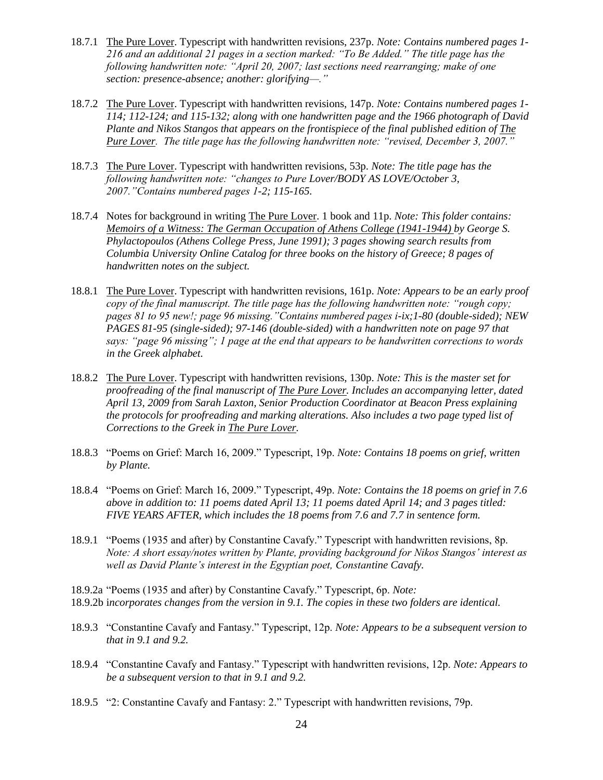- 18.7.1 The Pure Lover. Typescript with handwritten revisions, 237p. *Note: Contains numbered pages 1- 216 and an additional 21 pages in a section marked: "To Be Added." The title page has the following handwritten note: "April 20, 2007; last sections need rearranging; make of one section: presence-absence; another: glorifying—."*
- 18.7.2 The Pure Lover. Typescript with handwritten revisions, 147p. *Note: Contains numbered pages 1- 114; 112-124; and 115-132; along with one handwritten page and the 1966 photograph of David Plante and Nikos Stangos that appears on the frontispiece of the final published edition of The Pure Lover. The title page has the following handwritten note: "revised, December 3, 2007."*
- 18.7.3 The Pure Lover. Typescript with handwritten revisions, 53p. *Note: The title page has the following handwritten note: "changes to Pure Lover/BODY AS LOVE/October 3, 2007."Contains numbered pages 1-2; 115-165.*
- 18.7.4 Notes for background in writing The Pure Lover. 1 book and 11p. *Note: This folder contains: Memoirs of a Witness: The German Occupation of Athens College (1941-1944) by George S. Phylactopoulos (Athens College Press, June 1991); 3 pages showing search results from Columbia University Online Catalog for three books on the history of Greece; 8 pages of handwritten notes on the subject.*
- 18.8.1 The Pure Lover. Typescript with handwritten revisions, 161p. *Note: Appears to be an early proof copy of the final manuscript. The title page has the following handwritten note: "rough copy; pages 81 to 95 new!; page 96 missing."Contains numbered pages i-ix;1-80 (double-sided); NEW PAGES 81-95 (single-sided); 97-146 (double-sided) with a handwritten note on page 97 that says: "page 96 missing"; 1 page at the end that appears to be handwritten corrections to words in the Greek alphabet.*
- 18.8.2 The Pure Lover. Typescript with handwritten revisions, 130p. *Note: This is the master set for proofreading of the final manuscript of The Pure Lover. Includes an accompanying letter, dated April 13, 2009 from Sarah Laxton, Senior Production Coordinator at Beacon Press explaining the protocols for proofreading and marking alterations. Also includes a two page typed list of Corrections to the Greek in The Pure Lover.*
- 18.8.3 "Poems on Grief: March 16, 2009." Typescript, 19p. *Note: Contains 18 poems on grief, written by Plante.*
- 18.8.4 "Poems on Grief: March 16, 2009." Typescript, 49p. *Note: Contains the 18 poems on grief in 7.6 above in addition to: 11 poems dated April 13; 11 poems dated April 14; and 3 pages titled: FIVE YEARS AFTER, which includes the 18 poems from 7.6 and 7.7 in sentence form.*
- 18.9.1 "Poems (1935 and after) by Constantine Cavafy." Typescript with handwritten revisions, 8p. *Note: A short essay/notes written by Plante, providing background for Nikos Stangos' interest as well as David Plante's interest in the Egyptian poet, Constantine Cavafy.*
- 18.9.2a "Poems (1935 and after) by Constantine Cavafy." Typescript, 6p. *Note:* 18.9.2b i*ncorporates changes from the version in 9.1. The copies in these two folders are identical.*
- 18.9.3 "Constantine Cavafy and Fantasy." Typescript, 12p. *Note: Appears to be a subsequent version to that in 9.1 and 9.2.*
- 18.9.4 "Constantine Cavafy and Fantasy." Typescript with handwritten revisions, 12p. *Note: Appears to be a subsequent version to that in 9.1 and 9.2.*
- 18.9.5 "2: Constantine Cavafy and Fantasy: 2." Typescript with handwritten revisions, 79p.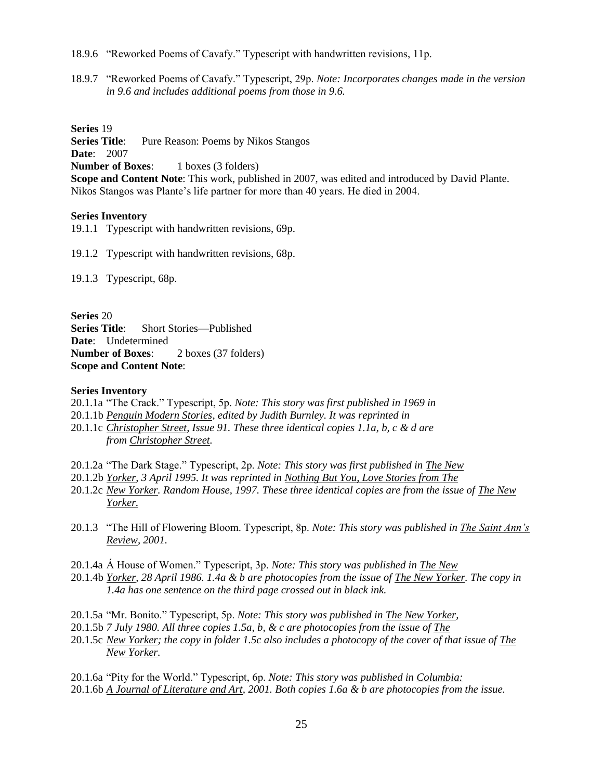18.9.6 "Reworked Poems of Cavafy." Typescript with handwritten revisions, 11p.

18.9.7 "Reworked Poems of Cavafy." Typescript, 29p. *Note: Incorporates changes made in the version in 9.6 and includes additional poems from those in 9.6.*

**Series** 19

**Series Title:** Pure Reason: Poems by Nikos Stangos **Date**: 2007

**Number of Boxes:** 1 boxes (3 folders)

**Scope and Content Note**: This work, published in 2007, was edited and introduced by David Plante. Nikos Stangos was Plante's life partner for more than 40 years. He died in 2004.

#### **Series Inventory**

19.1.1 Typescript with handwritten revisions, 69p.

19.1.2 Typescript with handwritten revisions, 68p.

19.1.3 Typescript, 68p.

**Series** 20 **Series Title**: Short Stories—Published **Date**: Undetermined **Number of Boxes**: 2 boxes (37 folders) **Scope and Content Note**:

#### **Series Inventory**

- 20.1.1a "The Crack." Typescript, 5p. *Note: This story was first published in 1969 in*
- 20.1.1b *Penguin Modern Stories, edited by Judith Burnley. It was reprinted in*
- 20.1.1c *Christopher Street, Issue 91. These three identical copies 1.1a, b, c & d are from Christopher Street.*
- 20.1.2a "The Dark Stage." Typescript, 2p. *Note: This story was first published in The New*
- 20.1.2b *Yorker, 3 April 1995. It was reprinted in Nothing But You, Love Stories from The*
- 20.1.2c *New Yorker. Random House, 1997. These three identical copies are from the issue of The New Yorker.*
- 20.1.3 "The Hill of Flowering Bloom. Typescript, 8p. *Note: This story was published in The Saint Ann's Review, 2001.*
- 20.1.4a Á House of Women." Typescript, 3p. *Note: This story was published in The New*
- 20.1.4b *Yorker, 28 April 1986. 1.4a & b are photocopies from the issue of The New Yorker. The copy in 1.4a has one sentence on the third page crossed out in black ink.*
- 20.1.5a "Mr. Bonito." Typescript, 5p. *Note: This story was published in The New Yorker,*
- 20.1.5b *7 July 1980. All three copies 1.5a, b, & c are photocopies from the issue of The*
- 20.1.5c *New Yorker; the copy in folder 1.5c also includes a photocopy of the cover of that issue of The New Yorker.*

20.1.6a "Pity for the World." Typescript, 6p. *Note: This story was published in Columbia:* 20.1.6b *A Journal of Literature and Art, 2001. Both copies 1.6a & b are photocopies from the issue.*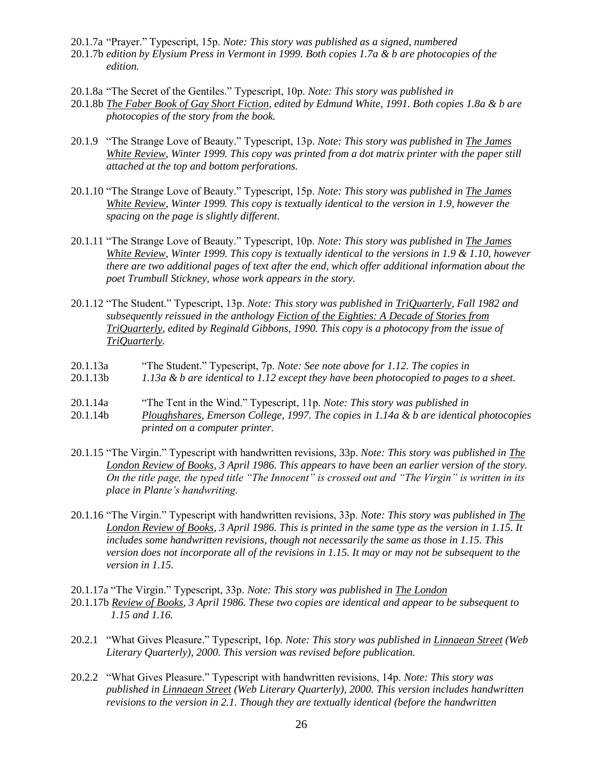- 20.1.7a "Prayer." Typescript, 15p. *Note: This story was published as a signed, numbered*
- 20.1.7b *edition by Elysium Press in Vermont in 1999. Both copies 1.7a & b are photocopies of the edition.*
- 20.1.8a "The Secret of the Gentiles." Typescript, 10p. *Note: This story was published in*
- 20.1.8b *The Faber Book of Gay Short Fiction, edited by Edmund White, 1991. Both copies 1.8a & b are photocopies of the story from the book.*
- 20.1.9 "The Strange Love of Beauty." Typescript, 13p. *Note: This story was published in The James White Review, Winter 1999. This copy was printed from a dot matrix printer with the paper still attached at the top and bottom perforations.*
- 20.1.10 "The Strange Love of Beauty." Typescript, 15p. *Note: This story was published in The James White Review, Winter 1999. This copy is textually identical to the version in 1.9, however the spacing on the page is slightly different.*
- 20.1.11 "The Strange Love of Beauty." Typescript, 10p. *Note: This story was published in The James White Review, Winter 1999. This copy is textually identical to the versions in 1.9 & 1.10, however there are two additional pages of text after the end, which offer additional information about the poet Trumbull Stickney, whose work appears in the story.*
- 20.1.12 "The Student." Typescript, 13p. *Note: This story was published in TriQuarterly, Fall 1982 and subsequently reissued in the anthology Fiction of the Eighties: A Decade of Stories from TriQuarterly, edited by Reginald Gibbons, 1990. This copy is a photocopy from the issue of TriQuarterly.*
- 20.1.13a "The Student." Typescript, 7p. *Note: See note above for 1.12. The copies in*
- 20.1.13b *1.13a & b are identical to 1.12 except they have been photocopied to pages to a sheet.*
- 20.1.14a "The Tent in the Wind." Typescript, 11p. *Note: This story was published in*
- 20.1.14b *Ploughshares, Emerson College, 1997. The copies in 1.14a & b are identical photocopies printed on a computer printer.*
- 20.1.15 "The Virgin." Typescript with handwritten revisions, 33p. *Note: This story was published in The London Review of Books, 3 April 1986. This appears to have been an earlier version of the story. On the title page, the typed title "The Innocent" is crossed out and "The Virgin" is written in its place in Plante's handwriting.*
- 20.1.16 "The Virgin." Typescript with handwritten revisions, 33p. *Note: This story was published in The London Review of Books, 3 April 1986. This is printed in the same type as the version in 1.15. It includes some handwritten revisions, though not necessarily the same as those in 1.15. This version does not incorporate all of the revisions in 1.15. It may or may not be subsequent to the version in 1.15.*
- 20.1.17a "The Virgin." Typescript, 33p. *Note: This story was published in The London*
- 20.1.17b *Review of Books, 3 April 1986. These two copies are identical and appear to be subsequent to 1.15 and 1.16.*
- 20.2.1 "What Gives Pleasure." Typescript, 16p. *Note: This story was published in Linnaean Street (Web Literary Quarterly), 2000. This version was revised before publication.*
- 20.2.2 "What Gives Pleasure." Typescript with handwritten revisions, 14p. *Note: This story was published in Linnaean Street (Web Literary Quarterly), 2000. This version includes handwritten revisions to the version in 2.1. Though they are textually identical (before the handwritten*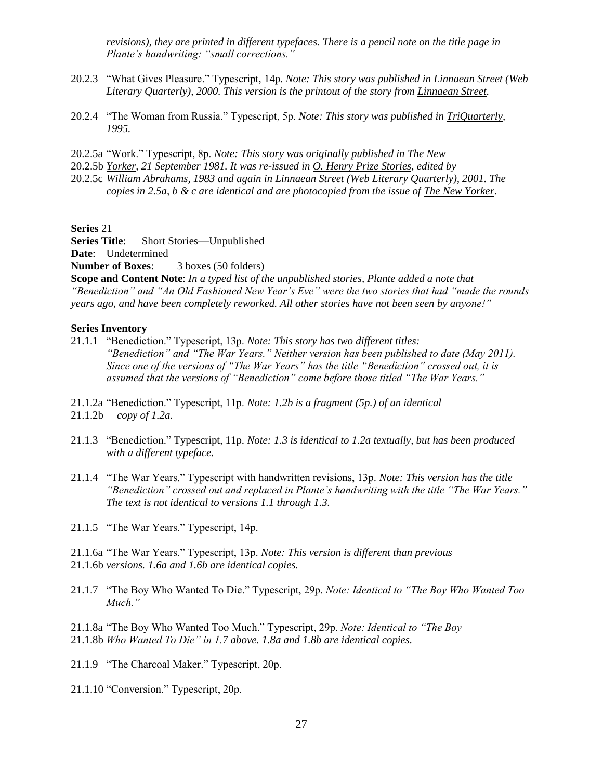*revisions), they are printed in different typefaces. There is a pencil note on the title page in Plante's handwriting: "small corrections."*

- 20.2.3 "What Gives Pleasure." Typescript, 14p. *Note: This story was published in Linnaean Street (Web Literary Quarterly), 2000. This version is the printout of the story from Linnaean Street.*
- 20.2.4 "The Woman from Russia." Typescript, 5p. *Note: This story was published in TriQuarterly, 1995.*
- 20.2.5a "Work." Typescript, 8p. *Note: This story was originally published in The New*
- 20.2.5b *Yorker, 21 September 1981. It was re-issued in O. Henry Prize Stories, edited by*
- 20.2.5c *William Abrahams, 1983 and again in Linnaean Street (Web Literary Quarterly), 2001. The copies in 2.5a, b & c are identical and are photocopied from the issue of The New Yorker.*

**Series** 21

**Series Title**: Short Stories—Unpublished

**Date**: Undetermined

**Number of Boxes:** 3 boxes (50 folders)

**Scope and Content Note**: *In a typed list of the unpublished stories, Plante added a note that "Benediction" and "An Old Fashioned New Year's Eve" were the two stories that had "made the rounds years ago, and have been completely reworked. All other stories have not been seen by anyone!"*

#### **Series Inventory**

21.1.1 "Benediction." Typescript, 13p. *Note: This story has two different titles: "Benediction" and "The War Years." Neither version has been published to date (May 2011). Since one of the versions of "The War Years" has the title "Benediction" crossed out, it is assumed that the versions of "Benediction" come before those titled "The War Years."*

21.1.2a "Benediction." Typescript, 11p. *Note: 1.2b is a fragment (5p.) of an identical*  21.1.2b *copy of 1.2a.* 

- 21.1.3 "Benediction." Typescript, 11p. *Note: 1.3 is identical to 1.2a textually, but has been produced with a different typeface.*
- 21.1.4 "The War Years." Typescript with handwritten revisions, 13p. *Note: This version has the title "Benediction" crossed out and replaced in Plante's handwriting with the title "The War Years." The text is not identical to versions 1.1 through 1.3.*

21.1.5 "The War Years." Typescript, 14p.

21.1.6a "The War Years." Typescript, 13p. *Note: This version is different than previous* 21.1.6b *versions. 1.6a and 1.6b are identical copies.*

21.1.7 "The Boy Who Wanted To Die." Typescript, 29p. *Note: Identical to "The Boy Who Wanted Too Much."*

21.1.8a "The Boy Who Wanted Too Much." Typescript, 29p. *Note: Identical to "The Boy* 21.1.8b *Who Wanted To Die" in 1.7 above. 1.8a and 1.8b are identical copies.*

21.1.9 "The Charcoal Maker." Typescript, 20p.

21.1.10 "Conversion." Typescript, 20p.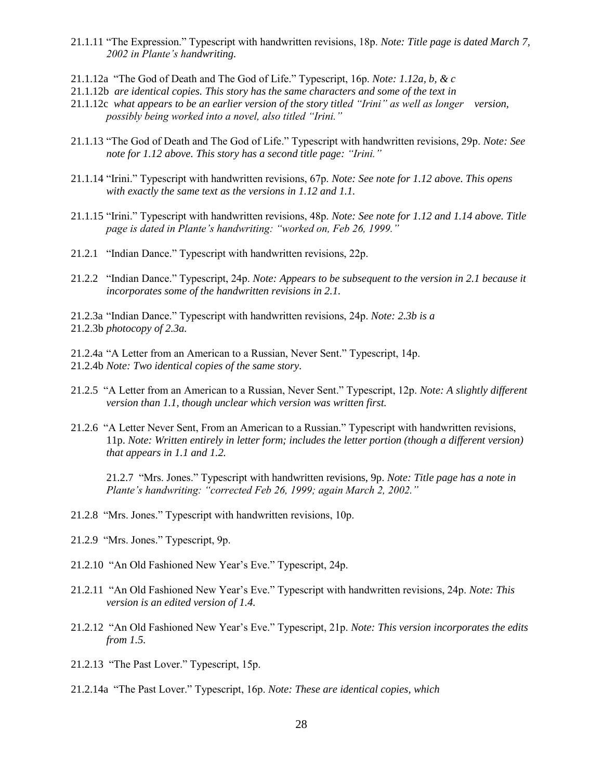- 21.1.11 "The Expression." Typescript with handwritten revisions, 18p. *Note: Title page is dated March 7, 2002 in Plante's handwriting.*
- 21.1.12a "The God of Death and The God of Life." Typescript, 16p. *Note: 1.12a, b, & c*
- 21.1.12b *are identical copies. This story has the same characters and some of the text in*
- 21.1.12c *what appears to be an earlier version of the story titled "Irini" as well as longer version, possibly being worked into a novel, also titled "Irini."*
- 21.1.13 "The God of Death and The God of Life." Typescript with handwritten revisions, 29p. *Note: See note for 1.12 above. This story has a second title page: "Irini."*
- 21.1.14 "Irini." Typescript with handwritten revisions, 67p. *Note: See note for 1.12 above. This opens with exactly the same text as the versions in 1.12 and 1.1.*
- 21.1.15 "Irini." Typescript with handwritten revisions, 48p. *Note: See note for 1.12 and 1.14 above. Title page is dated in Plante's handwriting: "worked on, Feb 26, 1999."*
- 21.2.1 "Indian Dance." Typescript with handwritten revisions, 22p.
- 21.2.2 "Indian Dance." Typescript, 24p. *Note: Appears to be subsequent to the version in 2.1 because it incorporates some of the handwritten revisions in 2.1.*

21.2.3a "Indian Dance." Typescript with handwritten revisions, 24p. *Note: 2.3b is a* 21.2.3b *photocopy of 2.3a.*

21.2.4a "A Letter from an American to a Russian, Never Sent." Typescript, 14p. 21.2.4b *Note: Two identical copies of the same story.* 

- 21.2.5 "A Letter from an American to a Russian, Never Sent." Typescript, 12p. *Note: A slightly different version than 1.1, though unclear which version was written first.*
- 21.2.6 "A Letter Never Sent, From an American to a Russian." Typescript with handwritten revisions, 11p. *Note: Written entirely in letter form; includes the letter portion (though a different version) that appears in 1.1 and 1.2.*

21.2.7 "Mrs. Jones." Typescript with handwritten revisions, 9p. *Note: Title page has a note in Plante's handwriting: "corrected Feb 26, 1999; again March 2, 2002."*

- 21.2.8 "Mrs. Jones." Typescript with handwritten revisions, 10p.
- 21.2.9 "Mrs. Jones." Typescript, 9p.
- 21.2.10 "An Old Fashioned New Year's Eve." Typescript, 24p.
- 21.2.11 "An Old Fashioned New Year's Eve." Typescript with handwritten revisions, 24p. *Note: This version is an edited version of 1.4.*
- 21.2.12 "An Old Fashioned New Year's Eve." Typescript, 21p. *Note: This version incorporates the edits from 1.5.*
- 21.2.13 "The Past Lover." Typescript, 15p.
- 21.2.14a "The Past Lover." Typescript, 16p. *Note: These are identical copies, which*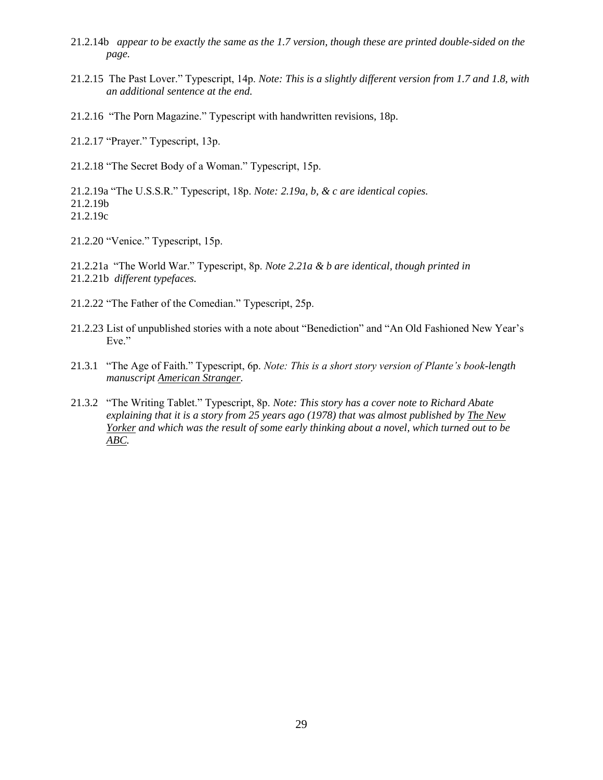- 21.2.14b *appear to be exactly the same as the 1.7 version, though these are printed double-sided on the page.*
- 21.2.15 The Past Lover." Typescript, 14p. *Note: This is a slightly different version from 1.7 and 1.8, with an additional sentence at the end.*
- 21.2.16 "The Porn Magazine." Typescript with handwritten revisions, 18p.
- 21.2.17 "Prayer." Typescript, 13p.
- 21.2.18 "The Secret Body of a Woman." Typescript, 15p.

21.2.19a "The U.S.S.R." Typescript, 18p. *Note: 2.19a, b, & c are identical copies.* 21.2.19b

21.2.19c

21.2.20 "Venice." Typescript, 15p.

21.2.21a "The World War." Typescript, 8p. *Note 2.21a & b are identical, though printed in*  21.2.21b *different typefaces.*

- 21.2.22 "The Father of the Comedian." Typescript, 25p.
- 21.2.23 List of unpublished stories with a note about "Benediction" and "An Old Fashioned New Year's Eve."
- 21.3.1 "The Age of Faith." Typescript, 6p. *Note: This is a short story version of Plante's book-length manuscript American Stranger.*
- 21.3.2 "The Writing Tablet." Typescript, 8p. *Note: This story has a cover note to Richard Abate explaining that it is a story from 25 years ago (1978) that was almost published by The New Yorker and which was the result of some early thinking about a novel, which turned out to be ABC.*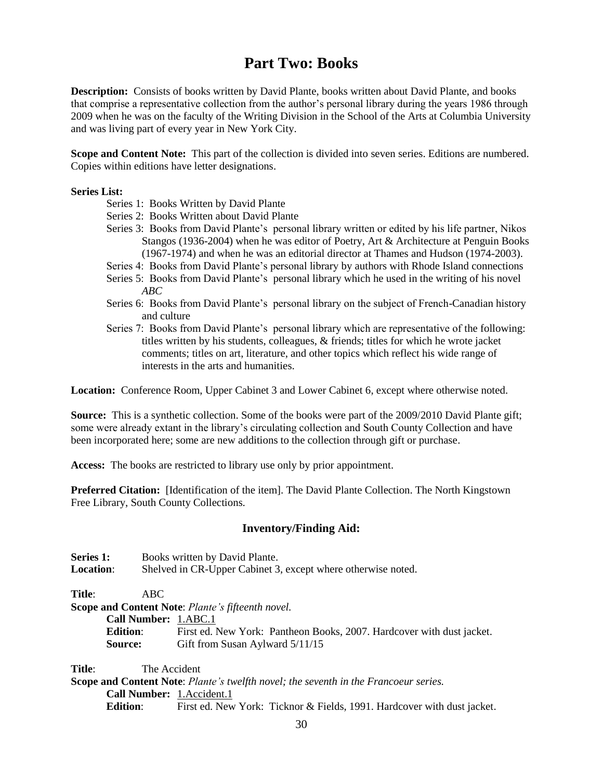# **Part Two: Books**

**Description:** Consists of books written by David Plante, books written about David Plante, and books that comprise a representative collection from the author's personal library during the years 1986 through 2009 when he was on the faculty of the Writing Division in the School of the Arts at Columbia University and was living part of every year in New York City.

**Scope and Content Note:** This part of the collection is divided into seven series. Editions are numbered. Copies within editions have letter designations.

### **Series List:**

- Series 1: Books Written by David Plante
- Series 2: Books Written about David Plante
- Series 3: Books from David Plante's personal library written or edited by his life partner, Nikos Stangos (1936-2004) when he was editor of Poetry, Art & Architecture at Penguin Books (1967-1974) and when he was an editorial director at Thames and Hudson (1974-2003).
- Series 4: Books from David Plante's personal library by authors with Rhode Island connections
- Series 5: Books from David Plante's personal library which he used in the writing of his novel *ABC*
- Series 6: Books from David Plante's personal library on the subject of French-Canadian history and culture
- Series 7: Books from David Plante's personal library which are representative of the following: titles written by his students, colleagues, & friends; titles for which he wrote jacket comments; titles on art, literature, and other topics which reflect his wide range of interests in the arts and humanities.

**Location:** Conference Room, Upper Cabinet 3 and Lower Cabinet 6, except where otherwise noted.

**Source:** This is a synthetic collection. Some of the books were part of the 2009/2010 David Plante gift; some were already extant in the library's circulating collection and South County Collection and have been incorporated here; some are new additions to the collection through gift or purchase.

**Access:** The books are restricted to library use only by prior appointment.

**Preferred Citation:** [Identification of the item]. The David Plante Collection. The North Kingstown Free Library, South County Collections.

# **Inventory/Finding Aid:**

| Series 1:<br>Books written by David Plante. |                      |                                                                                             |  |  |
|---------------------------------------------|----------------------|---------------------------------------------------------------------------------------------|--|--|
| <b>Location:</b>                            |                      | Shelved in CR-Upper Cabinet 3, except where otherwise noted.                                |  |  |
| Title:                                      | ABC.                 |                                                                                             |  |  |
|                                             |                      | <b>Scope and Content Note: Plante's fifteenth novel.</b>                                    |  |  |
|                                             | Call Number: 1.ABC.1 |                                                                                             |  |  |
|                                             | <b>Edition:</b>      | First ed. New York: Pantheon Books, 2007. Hardcover with dust jacket.                       |  |  |
|                                             | <b>Source:</b>       | Gift from Susan Aylward 5/11/15                                                             |  |  |
| Title:                                      | The Accident         |                                                                                             |  |  |
|                                             |                      | <b>Scope and Content Note:</b> Plante's twelfth novel; the seventh in the Francoeur series. |  |  |
|                                             |                      | Call Number: 1. Accident. 1                                                                 |  |  |

**Edition:** First ed. New York: Ticknor & Fields, 1991. Hardcover with dust jacket.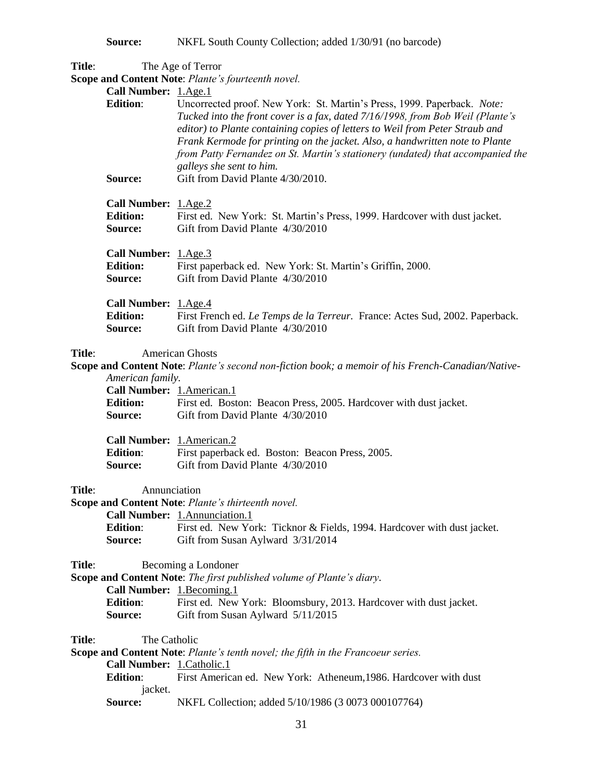**Source:** NKFL South County Collection; added  $1/30/91$  (no barcode)

**Title**: The Age of Terror

**Scope and Content Note**: *Plante's fourteenth novel.* 

|                                                                                                                                                           | <b>Scope and Content Note:</b> Plante's fourteenth novel.                                                                                                                                                                                                                                                                                                                                                                               |
|-----------------------------------------------------------------------------------------------------------------------------------------------------------|-----------------------------------------------------------------------------------------------------------------------------------------------------------------------------------------------------------------------------------------------------------------------------------------------------------------------------------------------------------------------------------------------------------------------------------------|
| Call Number: 1.Age.1<br><b>Edition:</b>                                                                                                                   | Uncorrected proof. New York: St. Martin's Press, 1999. Paperback. Note:<br>Tucked into the front cover is a fax, dated 7/16/1998, from Bob Weil (Plante's<br>editor) to Plante containing copies of letters to Weil from Peter Straub and<br>Frank Kermode for printing on the jacket. Also, a handwritten note to Plante<br>from Patty Fernandez on St. Martin's stationery (undated) that accompanied the<br>galleys she sent to him. |
| Source:                                                                                                                                                   | Gift from David Plante 4/30/2010.                                                                                                                                                                                                                                                                                                                                                                                                       |
| Call Number: 1.Age.2<br><b>Edition:</b><br>Source:                                                                                                        | First ed. New York: St. Martin's Press, 1999. Hardcover with dust jacket.<br>Gift from David Plante 4/30/2010                                                                                                                                                                                                                                                                                                                           |
| Call Number: 1.Age.3<br><b>Edition:</b><br>Source:                                                                                                        | First paperback ed. New York: St. Martin's Griffin, 2000.<br>Gift from David Plante 4/30/2010                                                                                                                                                                                                                                                                                                                                           |
| Call Number: 1.Age.4<br><b>Edition:</b><br>Source:                                                                                                        | First French ed. Le Temps de la Terreur. France: Actes Sud, 2002. Paperback.<br>Gift from David Plante 4/30/2010                                                                                                                                                                                                                                                                                                                        |
| Title:<br><b>American Ghosts</b><br>Scope and Content Note: Plante's second non-fiction book; a memoir of his French-Canadian/Native-<br>American family. |                                                                                                                                                                                                                                                                                                                                                                                                                                         |
| Call Number: 1.American.1<br><b>Edition:</b><br><b>Source:</b>                                                                                            | First ed. Boston: Beacon Press, 2005. Hardcover with dust jacket.<br>Gift from David Plante 4/30/2010                                                                                                                                                                                                                                                                                                                                   |
| Call Number: 1.American.2<br><b>Edition:</b><br>Source:                                                                                                   | First paperback ed. Boston: Beacon Press, 2005.<br>Gift from David Plante 4/30/2010                                                                                                                                                                                                                                                                                                                                                     |
| Title:<br>Annunciation                                                                                                                                    |                                                                                                                                                                                                                                                                                                                                                                                                                                         |
|                                                                                                                                                           | Scope and Content Note: Plante's thirteenth novel.                                                                                                                                                                                                                                                                                                                                                                                      |
| <b>Edition:</b><br>Source:                                                                                                                                | Call Number: 1. Annunciation. 1<br>First ed. New York: Ticknor & Fields, 1994. Hardcover with dust jacket.<br>Gift from Susan Aylward 3/31/2014                                                                                                                                                                                                                                                                                         |
| Title:<br>Call Number: 1.Becoming.1<br><b>Edition:</b><br>Source:                                                                                         | Becoming a Londoner<br>Scope and Content Note: The first published volume of Plante's diary.<br>First ed. New York: Bloomsbury, 2013. Hardcover with dust jacket.<br>Gift from Susan Aylward 5/11/2015                                                                                                                                                                                                                                  |
| The Catholic<br>Title:<br>Call Number: 1. Catholic. 1<br><b>Edition:</b>                                                                                  | Scope and Content Note: Plante's tenth novel; the fifth in the Francoeur series.<br>First American ed. New York: Atheneum, 1986. Hardcover with dust                                                                                                                                                                                                                                                                                    |
| jacket.<br>Source:                                                                                                                                        | NKFL Collection; added 5/10/1986 (3 0073 000107764)                                                                                                                                                                                                                                                                                                                                                                                     |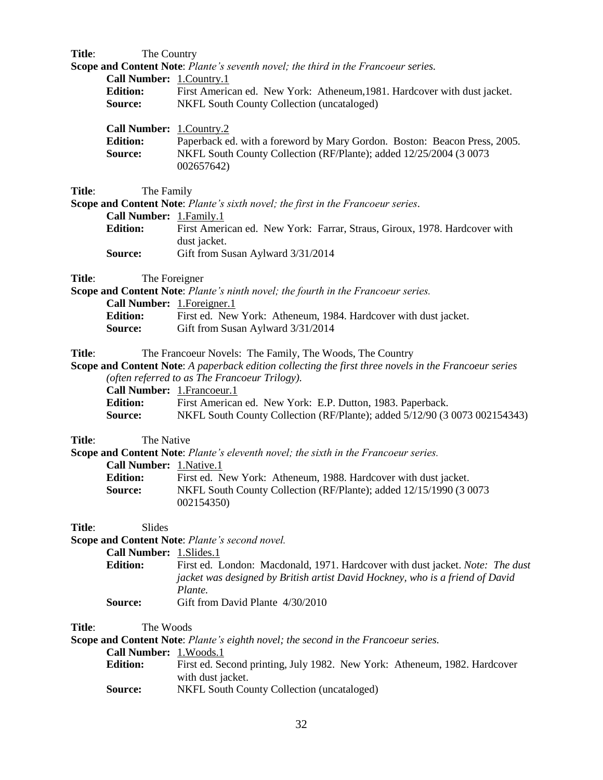| Title: | The Country                                            |                                                                                                                                                                                                                    |
|--------|--------------------------------------------------------|--------------------------------------------------------------------------------------------------------------------------------------------------------------------------------------------------------------------|
|        |                                                        | Scope and Content Note: Plante's seventh novel; the third in the Francoeur series.                                                                                                                                 |
|        | Call Number: 1.Country.1                               |                                                                                                                                                                                                                    |
|        | <b>Edition:</b><br>Source:                             | First American ed. New York: Atheneum, 1981. Hardcover with dust jacket.<br><b>NKFL South County Collection (uncataloged)</b>                                                                                      |
|        | Call Number: 1.Country.2<br><b>Edition:</b><br>Source: | Paperback ed. with a foreword by Mary Gordon. Boston: Beacon Press, 2005.<br>NKFL South County Collection (RF/Plante); added 12/25/2004 (3 0073<br>002657642)                                                      |
| Title: | The Family                                             |                                                                                                                                                                                                                    |
|        |                                                        | Scope and Content Note: Plante's sixth novel; the first in the Francoeur series.                                                                                                                                   |
|        | Call Number: 1.Family.1                                |                                                                                                                                                                                                                    |
|        | <b>Edition:</b>                                        | First American ed. New York: Farrar, Straus, Giroux, 1978. Hardcover with<br>dust jacket.                                                                                                                          |
|        | Source:                                                | Gift from Susan Aylward 3/31/2014                                                                                                                                                                                  |
| Title: | The Foreigner                                          |                                                                                                                                                                                                                    |
|        |                                                        | Scope and Content Note: Plante's ninth novel; the fourth in the Francoeur series.                                                                                                                                  |
|        | Call Number: 1. Foreigner. 1                           |                                                                                                                                                                                                                    |
|        | <b>Edition:</b>                                        | First ed. New York: Atheneum, 1984. Hardcover with dust jacket.                                                                                                                                                    |
|        | Source:                                                | Gift from Susan Aylward 3/31/2014                                                                                                                                                                                  |
| Title: | Call Number: 1.Francoeur.1                             | The Francoeur Novels: The Family, The Woods, The Country<br>Scope and Content Note: A paperback edition collecting the first three novels in the Francoeur series<br>(often referred to as The Francoeur Trilogy). |
|        | <b>Edition:</b>                                        | First American ed. New York: E.P. Dutton, 1983. Paperback.                                                                                                                                                         |
|        | Source:                                                | NKFL South County Collection (RF/Plante); added 5/12/90 (3 0073 002154343)                                                                                                                                         |
| Title: | The Native                                             |                                                                                                                                                                                                                    |
|        |                                                        | Scope and Content Note: Plante's eleventh novel; the sixth in the Francoeur series.                                                                                                                                |
|        | Call Number: 1. Native.1                               |                                                                                                                                                                                                                    |
|        | <b>Edition:</b>                                        | First ed. New York: Atheneum, 1988. Hardcover with dust jacket.                                                                                                                                                    |
|        | Source:                                                | NKFL South County Collection (RF/Plante); added 12/15/1990 (3 0073<br>002154350)                                                                                                                                   |
| Title: | Slides                                                 |                                                                                                                                                                                                                    |
|        |                                                        | Scope and Content Note: Plante's second novel.                                                                                                                                                                     |
|        | Call Number: 1. Slides. 1                              |                                                                                                                                                                                                                    |
|        | <b>Edition:</b>                                        | First ed. London: Macdonald, 1971. Hardcover with dust jacket. Note: The dust                                                                                                                                      |
|        |                                                        | jacket was designed by British artist David Hockney, who is a friend of David                                                                                                                                      |
|        | Source:                                                | Plante.<br>Gift from David Plante 4/30/2010                                                                                                                                                                        |
|        |                                                        |                                                                                                                                                                                                                    |
| Title: | The Woods                                              |                                                                                                                                                                                                                    |
|        |                                                        | Scope and Content Note: Plante's eighth novel; the second in the Francoeur series.                                                                                                                                 |
|        | Call Number: 1. Woods.1                                |                                                                                                                                                                                                                    |
|        | <b>Edition:</b>                                        | First ed. Second printing, July 1982. New York: Atheneum, 1982. Hardcover<br>with dust jacket.                                                                                                                     |
|        | Source:                                                | NKFL South County Collection (uncataloged)                                                                                                                                                                         |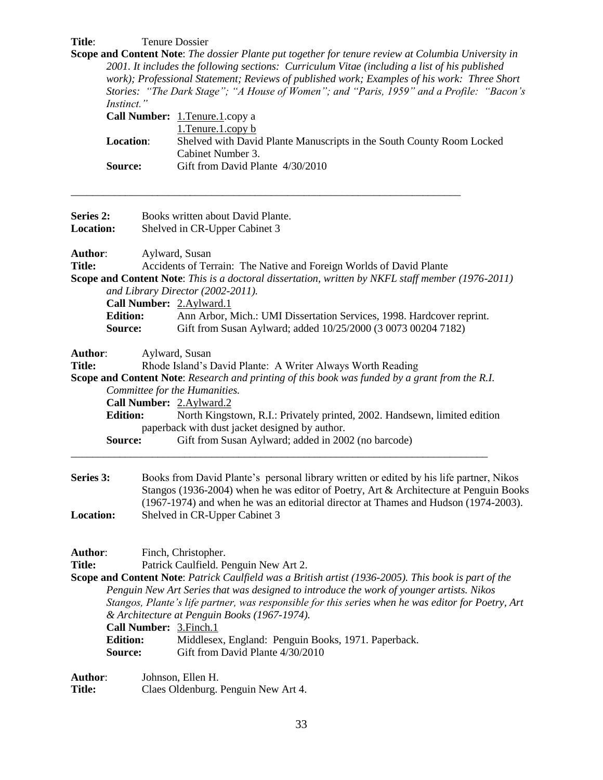# Title: Tenure Dossier

**Scope and Content Note**: *The dossier Plante put together for tenure review at Columbia University in 2001. It includes the following sections: Curriculum Vitae (including a list of his published work); Professional Statement; Reviews of published work; Examples of his work: Three Short Stories: "The Dark Stage"; "A House of Women"; and "Paris, 1959" and a Profile: "Bacon's Instinct."* 

|                  | <b>Call Number:</b> 1. Tenure 1. copy a                               |
|------------------|-----------------------------------------------------------------------|
|                  | 1. Tenure 1. copy b                                                   |
| <b>Location:</b> | Shelved with David Plante Manuscripts in the South County Room Locked |
|                  | Cabinet Number 3.                                                     |
| Source:          | Gift from David Plante 4/30/2010                                      |

\_\_\_\_\_\_\_\_\_\_\_\_\_\_\_\_\_\_\_\_\_\_\_\_\_\_\_\_\_\_\_\_\_\_\_\_\_\_\_\_\_\_\_\_\_\_\_\_\_\_\_\_\_\_\_\_\_\_\_\_\_\_\_\_\_\_\_\_\_\_\_\_

| Series 2:        | Books written about David Plante.                                                                     |  |  |  |
|------------------|-------------------------------------------------------------------------------------------------------|--|--|--|
| <b>Location:</b> | Shelved in CR-Upper Cabinet 3                                                                         |  |  |  |
|                  |                                                                                                       |  |  |  |
| Author:          | Aylward, Susan                                                                                        |  |  |  |
| <b>Title:</b>    | Accidents of Terrain: The Native and Foreign Worlds of David Plante                                   |  |  |  |
|                  | Scope and Content Note: This is a doctoral dissertation, written by NKFL staff member (1976-2011)     |  |  |  |
|                  | and Library Director (2002-2011).                                                                     |  |  |  |
|                  | Call Number: 2.Aylward.1                                                                              |  |  |  |
| <b>Edition:</b>  | Ann Arbor, Mich.: UMI Dissertation Services, 1998. Hardcover reprint.                                 |  |  |  |
| Source:          | Gift from Susan Aylward; added 10/25/2000 (3 0073 00204 7182)                                         |  |  |  |
|                  |                                                                                                       |  |  |  |
| Author:          | Aylward, Susan                                                                                        |  |  |  |
| <b>Title:</b>    | Rhode Island's David Plante: A Writer Always Worth Reading                                            |  |  |  |
|                  | <b>Scope and Content Note:</b> Research and printing of this book was funded by a grant from the R.I. |  |  |  |
|                  | Committee for the Humanities.                                                                         |  |  |  |
|                  | Call Number: 2.Aylward.2                                                                              |  |  |  |
| <b>Edition:</b>  | North Kingstown, R.I.: Privately printed, 2002. Handsewn, limited edition                             |  |  |  |
|                  | paperback with dust jacket designed by author.                                                        |  |  |  |
| Source:          | Gift from Susan Aylward; added in 2002 (no barcode)                                                   |  |  |  |
|                  |                                                                                                       |  |  |  |
| Series 3:        | Books from David Plante's personal library written or edited by his life partner, Nikos               |  |  |  |
|                  | Stangos (1936-2004) when he was editor of Poetry, Art & Architecture at Penguin Books                 |  |  |  |
|                  | (1967-1974) and when he was an editorial director at Thames and Hudson (1974-2003).                   |  |  |  |
| Location:        | Shelved in CR-Upper Cabinet 3                                                                         |  |  |  |
|                  |                                                                                                       |  |  |  |
|                  |                                                                                                       |  |  |  |
| Author:          | Finch, Christopher.                                                                                   |  |  |  |
| <b>Title:</b>    | Patrick Caulfield. Penguin New Art 2.                                                                 |  |  |  |
|                  | Scope and Content Note: Patrick Caulfield was a British artist (1936-2005). This book is part of the  |  |  |  |
|                  | Penguin New Art Series that was designed to introduce the work of younger artists. Nikos              |  |  |  |
|                  | Stangos, Plante's life partner, was responsible for this series when he was editor for Poetry, Art    |  |  |  |
|                  | & Architecture at Penguin Books (1967-1974).                                                          |  |  |  |
|                  | Call Number: 3. Finch. 1                                                                              |  |  |  |
| <b>Edition:</b>  | Middlesex, England: Penguin Books, 1971. Paperback.                                                   |  |  |  |
| Source:          | Gift from David Plante 4/30/2010                                                                      |  |  |  |
|                  |                                                                                                       |  |  |  |
| Author:          | Johnson, Ellen H.                                                                                     |  |  |  |
| <b>Title:</b>    | Claes Oldenburg. Penguin New Art 4.                                                                   |  |  |  |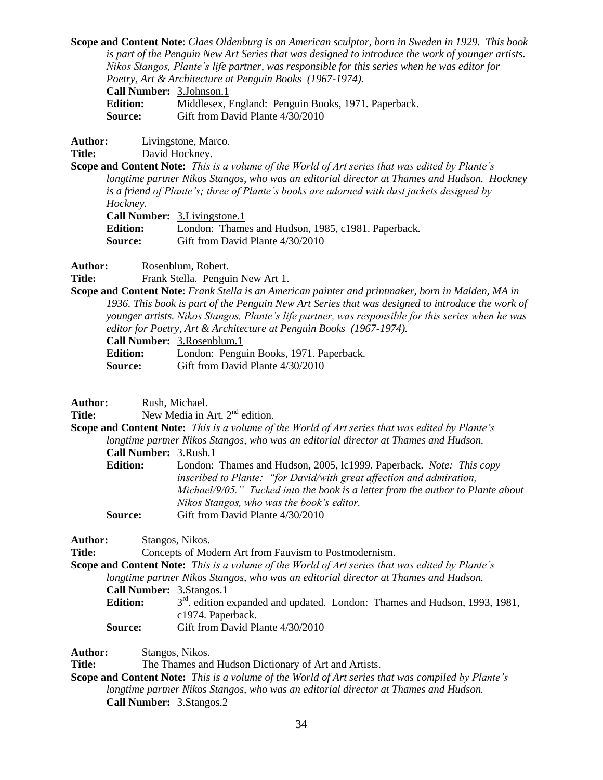**Scope and Content Note**: *Claes Oldenburg is an American sculptor, born in Sweden in 1929. This book is part of the Penguin New Art Series that was designed to introduce the work of younger artists. Nikos Stangos, Plante's life partner, was responsible for this series when he was editor for Poetry, Art & Architecture at Penguin Books (1967-1974).*

**Call Number:** 3.Johnson.1

**Edition:** Middlesex, England: Penguin Books, 1971. Paperback. **Source:** Gift from David Plante 4/30/2010

**Author:** Livingstone, Marco.

**Title:** David Hockney.

**Scope and Content Note:** *This is a volume of the World of Art series that was edited by Plante's longtime partner Nikos Stangos, who was an editorial director at Thames and Hudson. Hockney is a friend of Plante's; three of Plante's books are adorned with dust jackets designed by Hockney.*

**Call Number:** 3.Livingstone.1

**Edition:** London: Thames and Hudson, 1985, c1981. Paperback. **Source:** Gift from David Plante 4/30/2010

**Author:** Rosenblum, Robert.

Title: Frank Stella. Penguin New Art 1.

**Scope and Content Note**: *Frank Stella is an American painter and printmaker, born in Malden, MA in 1936. This book is part of the Penguin New Art Series that was designed to introduce the work of younger artists. Nikos Stangos, Plante's life partner, was responsible for this series when he was editor for Poetry, Art & Architecture at Penguin Books (1967-1974).*

**Call Number:** 3.Rosenblum.1

**Edition:** London: Penguin Books, 1971. Paperback.

**Source:** Gift from David Plante 4/30/2010

**Author:** Rush, Michael.

**Title:** New Media in Art. 2<sup>nd</sup> edition.

**Scope and Content Note:** *This is a volume of the World of Art series that was edited by Plante's longtime partner Nikos Stangos, who was an editorial director at Thames and Hudson.*  **Call Number:** 3.Rush.1

| <b>Edition:</b> | London: Thames and Hudson, 2005, 1c1999. Paperback. Note: This copy             |
|-----------------|---------------------------------------------------------------------------------|
|                 | inscribed to Plante: "for David/with great affection and admiration,            |
|                 | Michael/9/05." Tucked into the book is a letter from the author to Plante about |
|                 | Nikos Stangos, who was the book's editor.                                       |
| <b>Source:</b>  | Gift from David Plante 4/30/2010                                                |

**Author:** Stangos, Nikos.

**Title:** Concepts of Modern Art from Fauvism to Postmodernism.

**Scope and Content Note:** *This is a volume of the World of Art series that was edited by Plante's* 

*longtime partner Nikos Stangos, who was an editorial director at Thames and Hudson.* 

**Call Number:** 3.Stangos.1

**Edition:**  $3<sup>rd</sup>$ . edition expanded and updated. London: Thames and Hudson, 1993, 1981, c1974. Paperback.

**Source:** Gift from David Plante 4/30/2010

**Author:** Stangos, Nikos.

**Title:** The Thames and Hudson Dictionary of Art and Artists.

**Scope and Content Note:** *This is a volume of the World of Art series that was compiled by Plante's longtime partner Nikos Stangos, who was an editorial director at Thames and Hudson.*  **Call Number:** 3.Stangos.2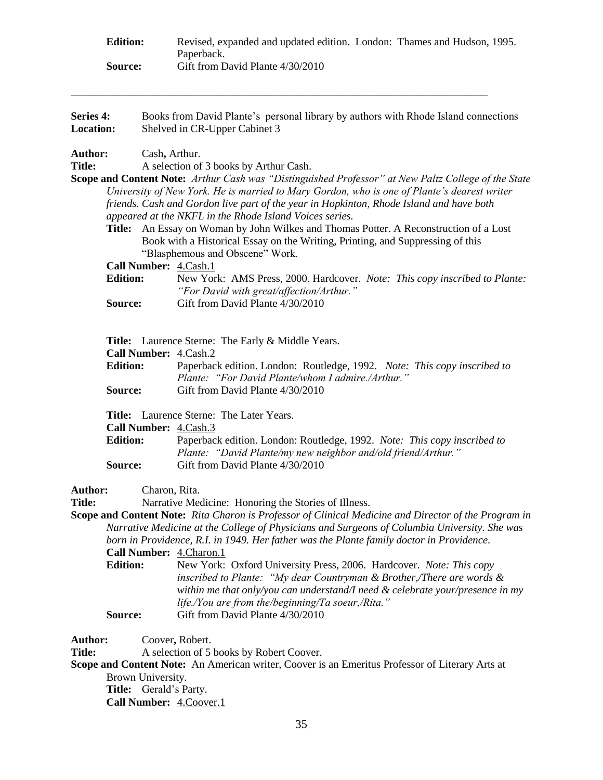| <b>Edition:</b> | Revised, expanded and updated edition. London: Thames and Hudson, 1995. |  |
|-----------------|-------------------------------------------------------------------------|--|
|                 | Paperback.                                                              |  |
| <b>Source:</b>  | Gift from David Plante 4/30/2010                                        |  |

\_\_\_\_\_\_\_\_\_\_\_\_\_\_\_\_\_\_\_\_\_\_\_\_\_\_\_\_\_\_\_\_\_\_\_\_\_\_\_\_\_\_\_\_\_\_\_\_\_\_\_\_\_\_\_\_\_\_\_\_\_\_\_\_\_\_\_\_\_\_\_\_\_\_\_\_\_

| Series 4:<br>Location:                                                  | Books from David Plante's personal library by authors with Rhode Island connections<br>Shelved in CR-Upper Cabinet 3 |                                                                                                                                                                                                                                                                                                                                                                                                                                                                                                                                                                                                                                                                                                                                                                                                                   |  |  |
|-------------------------------------------------------------------------|----------------------------------------------------------------------------------------------------------------------|-------------------------------------------------------------------------------------------------------------------------------------------------------------------------------------------------------------------------------------------------------------------------------------------------------------------------------------------------------------------------------------------------------------------------------------------------------------------------------------------------------------------------------------------------------------------------------------------------------------------------------------------------------------------------------------------------------------------------------------------------------------------------------------------------------------------|--|--|
| <b>Author:</b><br><b>Title:</b><br>Title:<br><b>Edition:</b><br>Source: |                                                                                                                      | Cash, Arthur.<br>A selection of 3 books by Arthur Cash.<br>Scope and Content Note: Arthur Cash was "Distinguished Professor" at New Paltz College of the State<br>University of New York. He is married to Mary Gordon, who is one of Plante's dearest writer<br>friends. Cash and Gordon live part of the year in Hopkinton, Rhode Island and have both<br>appeared at the NKFL in the Rhode Island Voices series.<br>An Essay on Woman by John Wilkes and Thomas Potter. A Reconstruction of a Lost<br>Book with a Historical Essay on the Writing, Printing, and Suppressing of this<br>"Blasphemous and Obscene" Work.<br>Call Number: 4.Cash.1<br>New York: AMS Press, 2000. Hardcover. Note: This copy inscribed to Plante:<br>"For David with great/affection/Arthur."<br>Gift from David Plante 4/30/2010 |  |  |
| <b>Edition:</b><br>Source:                                              |                                                                                                                      | <b>Title:</b> Laurence Sterne: The Early & Middle Years.<br>Call Number: 4.Cash.2<br>Paperback edition. London: Routledge, 1992. Note: This copy inscribed to<br>Plante: "For David Plante/whom I admire./Arthur."<br>Gift from David Plante 4/30/2010                                                                                                                                                                                                                                                                                                                                                                                                                                                                                                                                                            |  |  |
|                                                                         | <b>Edition:</b><br>Source:                                                                                           | Title: Laurence Sterne: The Later Years.<br>Call Number: 4.Cash.3<br>Paperback edition. London: Routledge, 1992. Note: This copy inscribed to<br>Plante: "David Plante/my new neighbor and/old friend/Arthur."<br>Gift from David Plante 4/30/2010                                                                                                                                                                                                                                                                                                                                                                                                                                                                                                                                                                |  |  |
| <b>Author:</b><br><b>Title:</b>                                         | <b>Edition:</b><br>Source:                                                                                           | Charon, Rita.<br>Narrative Medicine: Honoring the Stories of Illness.<br>Scope and Content Note: Rita Charon is Professor of Clinical Medicine and Director of the Program in<br>Narrative Medicine at the College of Physicians and Surgeons of Columbia University. She was<br>born in Providence, R.I. in 1949. Her father was the Plante family doctor in Providence.<br>Call Number: 4.Charon.1<br>New York: Oxford University Press, 2006. Hardcover. Note: This copy<br>inscribed to Plante: "My dear Countryman $\&$ Brother, There are words $\&$<br>within me that only/you can understand/I need & celebrate your/presence in my<br>life./You are from the/beginning/Ta soeur,/Rita."<br>Gift from David Plante 4/30/2010                                                                              |  |  |
| <b>Author:</b><br><b>Title:</b>                                         |                                                                                                                      | Coover, Robert.<br>A selection of 5 books by Robert Coover.<br>Scope and Content Note: An American writer, Coover is an Emeritus Professor of Literary Arts at<br>Brown University.                                                                                                                                                                                                                                                                                                                                                                                                                                                                                                                                                                                                                               |  |  |

**Title:** Gerald's Party.

**Call Number:** 4.Coover.1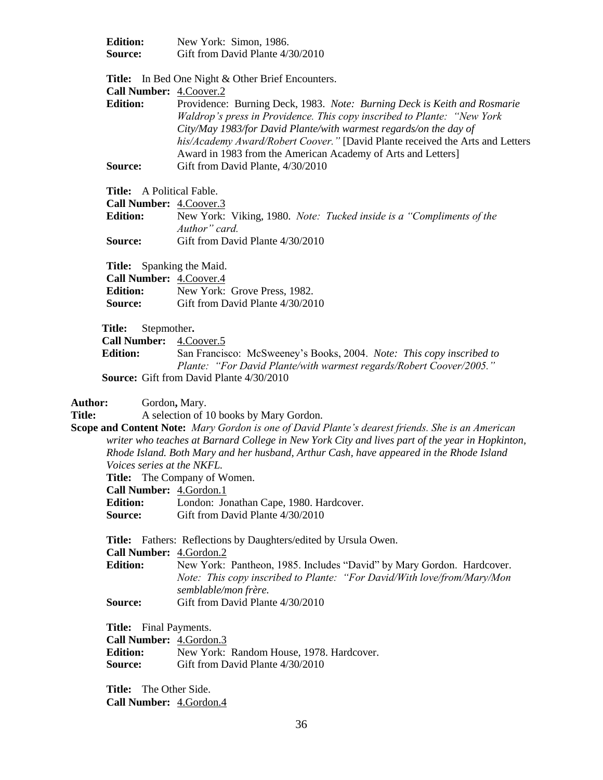| <b>Edition:</b><br><b>Source:</b>                                                                  | New York: Simon, 1986.<br>Gift from David Plante 4/30/2010                                                                                                                                                                                                                                                                                                                                                                            |  |  |  |
|----------------------------------------------------------------------------------------------------|---------------------------------------------------------------------------------------------------------------------------------------------------------------------------------------------------------------------------------------------------------------------------------------------------------------------------------------------------------------------------------------------------------------------------------------|--|--|--|
| <b>Call Number:</b> 4. Coover. 2<br><b>Edition:</b>                                                | <b>Title:</b> In Bed One Night & Other Brief Encounters.<br>Providence: Burning Deck, 1983. Note: Burning Deck is Keith and Rosmarie<br>Waldrop's press in Providence. This copy inscribed to Plante: "New York<br>City/May 1983/for David Plante/with warmest regards/on the day of<br>his/Academy Award/Robert Coover." [David Plante received the Arts and Letters<br>Award in 1983 from the American Academy of Arts and Letters] |  |  |  |
| Source:                                                                                            | Gift from David Plante, 4/30/2010                                                                                                                                                                                                                                                                                                                                                                                                     |  |  |  |
| Title: A Political Fable.<br><b>Call Number:</b> 4. Coover. 3<br><b>Edition:</b><br><b>Source:</b> | New York: Viking, 1980. Note: Tucked inside is a "Compliments of the<br>Author" card.<br>Gift from David Plante 4/30/2010                                                                                                                                                                                                                                                                                                             |  |  |  |
| <b>Title:</b> Spanking the Maid.<br>Call Number: 4.Coover.4<br><b>Source:</b>                      | <b>Edition:</b> New York: Grove Press, 1982.<br>Gift from David Plante 4/30/2010                                                                                                                                                                                                                                                                                                                                                      |  |  |  |

**Title:** Stepmother**.**

Call Number: 4.Coover.5

**Edition:** San Francisco: McSweeney's Books, 2004. *Note: This copy inscribed to Plante: "For David Plante/with warmest regards/Robert Coover/2005."* **Source:** Gift from David Plante 4/30/2010

**Author:** Gordon**,** Mary.

**Title:** A selection of 10 books by Mary Gordon.

**Scope and Content Note:** *Mary Gordon is one of David Plante's dearest friends. She is an American writer who teaches at Barnard College in New York City and lives part of the year in Hopkinton, Rhode Island. Both Mary and her husband, Arthur Cash, have appeared in the Rhode Island Voices series at the NKFL.*

**Title:** The Company of Women.

**Call Number:** 4.Gordon.1

**Edition:** London: Jonathan Cape, 1980. Hardcover.

**Source:** Gift from David Plante 4/30/2010

**Title:** Fathers:Reflections by Daughters/edited by Ursula Owen.

**Call Number:** 4.Gordon.2

**Edition:** New York: Pantheon, 1985. Includes "David" by Mary Gordon. Hardcover. *Note: This copy inscribed to Plante: "For David/With love/from/Mary/Mon semblable/mon frère.*

**Source:** Gift from David Plante 4/30/2010

**Title:** Final Payments.

| <b>Call Number:</b> 4. Gordon. 3 |                                          |
|----------------------------------|------------------------------------------|
| <b>Edition:</b>                  | New York: Random House, 1978. Hardcover. |
| <b>Source:</b>                   | Gift from David Plante 4/30/2010         |

**Title:** The Other Side. **Call Number:** 4.Gordon.4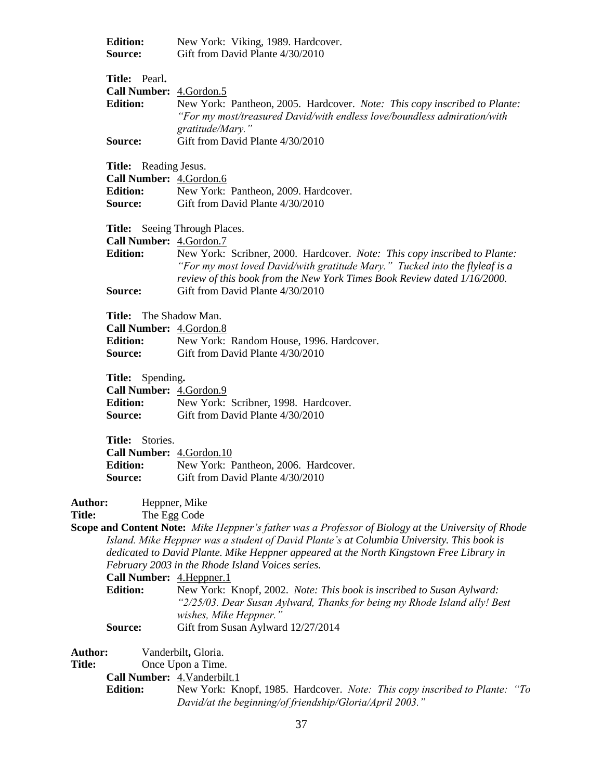|                                 | <b>Edition:</b><br>Source:                                                             | New York: Viking, 1989. Hardcover.<br>Gift from David Plante 4/30/2010                                                                                                                                                                                                                                                                                                                                                                                                                                                                                                                 |
|---------------------------------|----------------------------------------------------------------------------------------|----------------------------------------------------------------------------------------------------------------------------------------------------------------------------------------------------------------------------------------------------------------------------------------------------------------------------------------------------------------------------------------------------------------------------------------------------------------------------------------------------------------------------------------------------------------------------------------|
|                                 | Title: Pearl.<br>Call Number: 4.Gordon.5<br><b>Edition:</b>                            | New York: Pantheon, 2005. Hardcover. Note: This copy inscribed to Plante:<br>"For my most/treasured David/with endless love/boundless admiration/with<br>gratitude/Mary."                                                                                                                                                                                                                                                                                                                                                                                                              |
|                                 | Source:                                                                                | Gift from David Plante 4/30/2010                                                                                                                                                                                                                                                                                                                                                                                                                                                                                                                                                       |
|                                 | Title: Reading Jesus.<br>Call Number: 4.Gordon.6<br><b>Edition:</b><br>Source:         | New York: Pantheon, 2009. Hardcover.<br>Gift from David Plante 4/30/2010                                                                                                                                                                                                                                                                                                                                                                                                                                                                                                               |
|                                 | Call Number: 4.Gordon.7<br><b>Edition:</b><br>Source:                                  | <b>Title:</b> Seeing Through Places.<br>New York: Scribner, 2000. Hardcover. Note: This copy inscribed to Plante:<br>"For my most loved David/with gratitude Mary." Tucked into the flyleaf is a<br>review of this book from the New York Times Book Review dated 1/16/2000.<br>Gift from David Plante 4/30/2010                                                                                                                                                                                                                                                                       |
|                                 | <b>Title:</b> The Shadow Man.<br>Call Number: 4.Gordon.8<br><b>Edition:</b><br>Source: | New York: Random House, 1996. Hardcover.<br>Gift from David Plante 4/30/2010                                                                                                                                                                                                                                                                                                                                                                                                                                                                                                           |
|                                 | Title: Spending.<br>Call Number: 4.Gordon.9<br><b>Edition:</b><br>Source:              | New York: Scribner, 1998. Hardcover.<br>Gift from David Plante 4/30/2010                                                                                                                                                                                                                                                                                                                                                                                                                                                                                                               |
|                                 | Title: Stories.<br>Call Number: 4.Gordon.10<br><b>Edition:</b><br>Source:              | New York: Pantheon, 2006. Hardcover.<br>Gift from David Plante 4/30/2010                                                                                                                                                                                                                                                                                                                                                                                                                                                                                                               |
| Author:<br><b>Title:</b>        | The Egg Code<br>Call Number: 4. Heppner. 1<br><b>Edition:</b><br>Source:               | Heppner, Mike<br>Scope and Content Note: Mike Heppner's father was a Professor of Biology at the University of Rhode<br>Island. Mike Heppner was a student of David Plante's at Columbia University. This book is<br>dedicated to David Plante. Mike Heppner appeared at the North Kingstown Free Library in<br>February 2003 in the Rhode Island Voices series.<br>New York: Knopf, 2002. Note: This book is inscribed to Susan Aylward:<br>"2/25/03. Dear Susan Aylward, Thanks for being my Rhode Island ally! Best<br>wishes, Mike Heppner."<br>Gift from Susan Aylward 12/27/2014 |
| <b>Author:</b><br><b>Title:</b> | Call Number: 4. Vanderbilt. 1<br><b>Edition:</b>                                       | Vanderbilt, Gloria.<br>Once Upon a Time.<br>New York: Knopf, 1985. Hardcover. Note: This copy inscribed to Plante: "To<br>David/at the beginning/of friendship/Gloria/April 2003."                                                                                                                                                                                                                                                                                                                                                                                                     |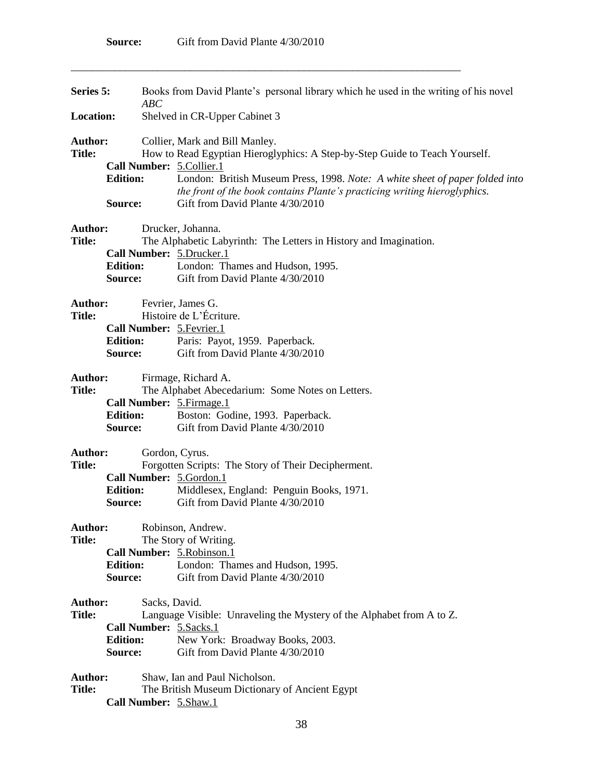\_\_\_\_\_\_\_\_\_\_\_\_\_\_\_\_\_\_\_\_\_\_\_\_\_\_\_\_\_\_\_\_\_\_\_\_\_\_\_\_\_\_\_\_\_\_\_\_\_\_\_\_\_\_\_\_\_\_\_\_\_\_\_\_\_\_\_\_\_\_\_\_

| Series 5:<br>ABC                                                                                                                                                                                             |                            |                                                                                                                                                                                               | Books from David Plante's personal library which he used in the writing of his novel                                                                                                       |
|--------------------------------------------------------------------------------------------------------------------------------------------------------------------------------------------------------------|----------------------------|-----------------------------------------------------------------------------------------------------------------------------------------------------------------------------------------------|--------------------------------------------------------------------------------------------------------------------------------------------------------------------------------------------|
| <b>Location:</b>                                                                                                                                                                                             |                            |                                                                                                                                                                                               | Shelved in CR-Upper Cabinet 3                                                                                                                                                              |
| <b>Author:</b><br>Collier, Mark and Bill Manley.<br><b>Title:</b><br>How to Read Egyptian Hieroglyphics: A Step-by-Step Guide to Teach Yourself.<br>Call Number: 5. Collier. 1<br><b>Edition:</b><br>Source: |                            | London: British Museum Press, 1998. Note: A white sheet of paper folded into<br>the front of the book contains Plante's practicing writing hieroglyphics.<br>Gift from David Plante 4/30/2010 |                                                                                                                                                                                            |
| Author:<br><b>Title:</b>                                                                                                                                                                                     | <b>Edition:</b><br>Source: |                                                                                                                                                                                               | Drucker, Johanna.<br>The Alphabetic Labyrinth: The Letters in History and Imagination.<br>Call Number: 5.Drucker.1<br>London: Thames and Hudson, 1995.<br>Gift from David Plante 4/30/2010 |
| <b>Author:</b><br><b>Title:</b>                                                                                                                                                                              | <b>Edition:</b><br>Source: |                                                                                                                                                                                               | Fevrier, James G.<br>Histoire de L'Écriture.<br>Call Number: 5. Fevrier. 1<br>Paris: Payot, 1959. Paperback.<br>Gift from David Plante 4/30/2010                                           |
| Author:<br><b>Title:</b>                                                                                                                                                                                     | <b>Edition:</b><br>Source: |                                                                                                                                                                                               | Firmage, Richard A.<br>The Alphabet Abecedarium: Some Notes on Letters.<br>Call Number: 5. Firmage. 1<br>Boston: Godine, 1993. Paperback.<br>Gift from David Plante 4/30/2010              |
| Author:<br><b>Title:</b>                                                                                                                                                                                     | <b>Edition:</b><br>Source: |                                                                                                                                                                                               | Gordon, Cyrus.<br>Forgotten Scripts: The Story of Their Decipherment.<br>Call Number: 5.Gordon.1<br>Middlesex, England: Penguin Books, 1971.<br>Gift from David Plante 4/30/2010           |
| <b>Author:</b><br><b>Title:</b>                                                                                                                                                                              | <b>Edition:</b><br>Source: |                                                                                                                                                                                               | Robinson, Andrew.<br>The Story of Writing.<br>Call Number: 5. Robinson. 1<br>London: Thames and Hudson, 1995.<br>Gift from David Plante 4/30/2010                                          |
| <b>Author:</b><br><b>Title:</b>                                                                                                                                                                              | <b>Edition:</b><br>Source: | Sacks, David.                                                                                                                                                                                 | Language Visible: Unraveling the Mystery of the Alphabet from A to Z.<br>Call Number: 5.Sacks.1<br>New York: Broadway Books, 2003.<br>Gift from David Plante 4/30/2010                     |
| <b>Author:</b><br><b>Title:</b>                                                                                                                                                                              |                            |                                                                                                                                                                                               | Shaw, Ian and Paul Nicholson.<br>The British Museum Dictionary of Ancient Egypt<br>Call Number: 5.Shaw.1                                                                                   |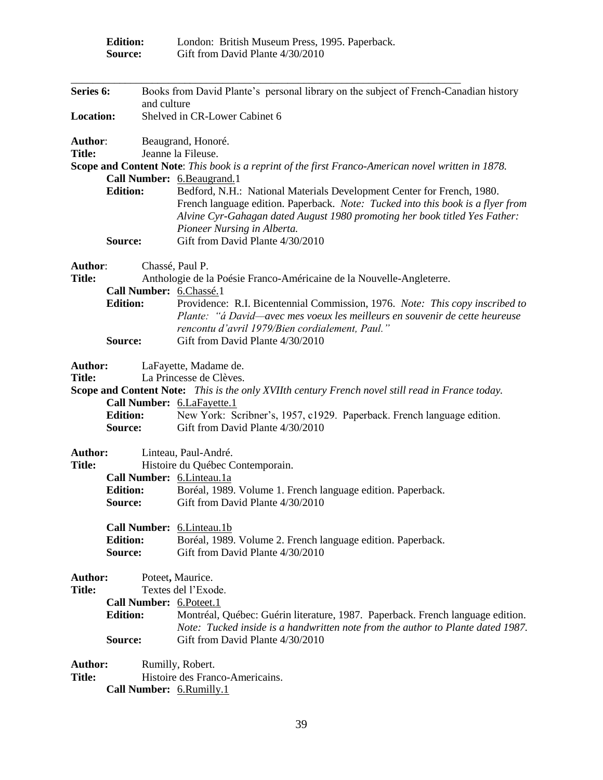|                                 | <b>Edition:</b><br>Source: |             | London: British Museum Press, 1995. Paperback.<br>Gift from David Plante 4/30/2010                                                                                                                                                                                                                         |
|---------------------------------|----------------------------|-------------|------------------------------------------------------------------------------------------------------------------------------------------------------------------------------------------------------------------------------------------------------------------------------------------------------------|
| Series 6:                       |                            | and culture | Books from David Plante's personal library on the subject of French-Canadian history                                                                                                                                                                                                                       |
| Location:                       |                            |             | Shelved in CR-Lower Cabinet 6                                                                                                                                                                                                                                                                              |
| Author:<br><b>Title:</b>        |                            |             | Beaugrand, Honoré.<br>Jeanne la Fileuse.                                                                                                                                                                                                                                                                   |
|                                 |                            |             | Scope and Content Note: This book is a reprint of the first Franco-American novel written in 1878.                                                                                                                                                                                                         |
|                                 |                            |             | Call Number: 6.Beaugrand.1                                                                                                                                                                                                                                                                                 |
|                                 | <b>Edition:</b><br>Source: |             | Bedford, N.H.: National Materials Development Center for French, 1980.<br>French language edition. Paperback. Note: Tucked into this book is a flyer from<br>Alvine Cyr-Gahagan dated August 1980 promoting her book titled Yes Father:<br>Pioneer Nursing in Alberta.<br>Gift from David Plante 4/30/2010 |
|                                 |                            |             |                                                                                                                                                                                                                                                                                                            |
| Author:                         |                            |             | Chassé, Paul P.                                                                                                                                                                                                                                                                                            |
| <b>Title:</b>                   |                            |             | Anthologie de la Poésie Franco-Américaine de la Nouvelle-Angleterre.                                                                                                                                                                                                                                       |
|                                 | <b>Edition:</b>            |             | Call Number: 6.Chassé.1<br>Providence: R.I. Bicentennial Commission, 1976. Note: This copy inscribed to<br>Plante: "á David—avec mes voeux les meilleurs en souvenir de cette heureuse<br>rencontu d'avril 1979/Bien cordialement, Paul."                                                                  |
|                                 | Source:                    |             | Gift from David Plante 4/30/2010                                                                                                                                                                                                                                                                           |
| <b>Author:</b><br><b>Title:</b> |                            |             | LaFayette, Madame de.<br>La Princesse de Clèves.                                                                                                                                                                                                                                                           |
|                                 |                            |             | Scope and Content Note: This is the only XVIIth century French novel still read in France today.                                                                                                                                                                                                           |
|                                 |                            |             | Call Number: 6.LaFayette.1                                                                                                                                                                                                                                                                                 |
|                                 | <b>Edition:</b>            |             | New York: Scribner's, 1957, c1929. Paperback. French language edition.                                                                                                                                                                                                                                     |
|                                 | Source:                    |             | Gift from David Plante 4/30/2010                                                                                                                                                                                                                                                                           |
| <b>Author:</b>                  |                            |             | Linteau, Paul-André.                                                                                                                                                                                                                                                                                       |
| <b>Title:</b>                   |                            |             | Histoire du Québec Contemporain.                                                                                                                                                                                                                                                                           |
|                                 |                            |             | Call Number: 6.Linteau.1a                                                                                                                                                                                                                                                                                  |
|                                 | <b>Edition:</b>            |             | Boréal, 1989. Volume 1. French language edition. Paperback.                                                                                                                                                                                                                                                |
|                                 | Source:                    |             | Gift from David Plante 4/30/2010                                                                                                                                                                                                                                                                           |
|                                 |                            |             | Call Number: 6.Linteau.1b                                                                                                                                                                                                                                                                                  |
|                                 | <b>Edition:</b>            |             | Boréal, 1989. Volume 2. French language edition. Paperback.                                                                                                                                                                                                                                                |
|                                 | Source:                    |             | Gift from David Plante 4/30/2010                                                                                                                                                                                                                                                                           |
| <b>Author:</b>                  |                            |             | Poteet, Maurice.                                                                                                                                                                                                                                                                                           |
| <b>Title:</b>                   |                            |             | Textes del l'Exode.                                                                                                                                                                                                                                                                                        |
|                                 |                            |             | Call Number: 6.Poteet.1                                                                                                                                                                                                                                                                                    |
|                                 | <b>Edition:</b>            |             | Montréal, Québec: Guérin literature, 1987. Paperback. French language edition.                                                                                                                                                                                                                             |
|                                 | Source:                    |             | Note: Tucked inside is a handwritten note from the author to Plante dated 1987.<br>Gift from David Plante 4/30/2010                                                                                                                                                                                        |
|                                 |                            |             |                                                                                                                                                                                                                                                                                                            |
| <b>Author:</b>                  |                            |             | Rumilly, Robert.                                                                                                                                                                                                                                                                                           |
| <b>Title:</b>                   |                            |             | Histoire des Franco-Americains.                                                                                                                                                                                                                                                                            |

**Call Number:** 6.Rumilly.1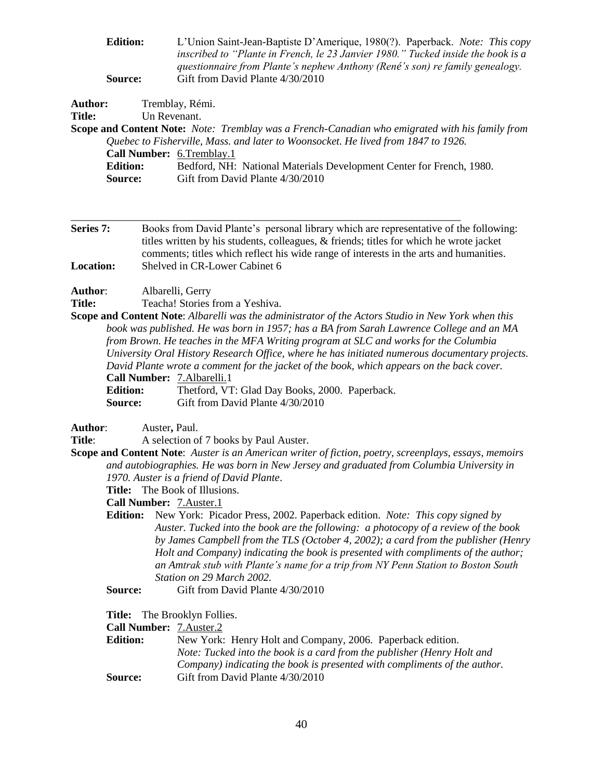| <b>Edition:</b> | L'Union Saint-Jean-Baptiste D'Amerique, 1980(?). Paperback. Note: This copy      |
|-----------------|----------------------------------------------------------------------------------|
|                 | inscribed to "Plante in French, le 23 Janvier 1980." Tucked inside the book is a |
|                 | questionnaire from Plante's nephew Anthony (René's son) re family genealogy.     |
| <b>Source:</b>  | Gift from David Plante 4/30/2010                                                 |

| Author: | Tremblay, Rémi. |
|---------|-----------------|
| Title:  | Un Revenant     |

**Scope and Content Note:** *Note: Tremblay was a French-Canadian who emigrated with his family from Quebec to Fisherville, Mass. and later to Woonsocket. He lived from 1847 to 1926.*

| <b>Call Number: 6. Tremblay. 1</b> |                                                                      |
|------------------------------------|----------------------------------------------------------------------|
| <b>Edition:</b>                    | Bedford, NH: National Materials Development Center for French, 1980. |
| <b>Source:</b>                     | Gift from David Plante 4/30/2010                                     |

**Series 7:** Books from David Plante's personal library which are representative of the following: titles written by his students, colleagues, & friends; titles for which he wrote jacket comments; titles which reflect his wide range of interests in the arts and humanities. **Location:** Shelved in CR-Lower Cabinet 6

\_\_\_\_\_\_\_\_\_\_\_\_\_\_\_\_\_\_\_\_\_\_\_\_\_\_\_\_\_\_\_\_\_\_\_\_\_\_\_\_\_\_\_\_\_\_\_\_\_\_\_\_\_\_\_\_\_\_\_\_\_\_\_\_\_\_\_\_\_\_\_\_

**Author**: Albarelli, Gerry

**Title:** Teacha! Stories from a Yeshiva.

**Scope and Content Note**: *Albarelli was the administrator of the Actors Studio in New York when this book was published. He was born in 1957; has a BA from Sarah Lawrence College and an MA from Brown. He teaches in the MFA Writing program at SLC and works for the Columbia University Oral History Research Office, where he has initiated numerous documentary projects. David Plante wrote a comment for the jacket of the book, which appears on the back cover.* **Call Number:** 7.Albarelli.1 **Edition:** Thetford, VT: Glad Day Books, 2000. Paperback.

**Source:** Gift from David Plante 4/30/2010

**Author**: Auster**,** Paul.

**Title:** A selection of 7 books by Paul Auster.

**Scope and Content Note**: *Auster is an American writer of fiction, poetry, screenplays, essays, memoirs and autobiographies. He was born in New Jersey and graduated from Columbia University in 1970. Auster is a friend of David Plante*.

**Title:** The Book of Illusions.

**Call Number:** 7.Auster.1

**Edition:** New York: Picador Press, 2002. Paperback edition. *Note: This copy signed by Auster. Tucked into the book are the following: a photocopy of a review of the book by James Campbell from the TLS (October 4, 2002); a card from the publisher (Henry Holt and Company) indicating the book is presented with compliments of the author; an Amtrak stub with Plante's name for a trip from NY Penn Station to Boston South Station on 29 March 2002.*

**Source:** Gift from David Plante 4/30/2010

**Title:** The Brooklyn Follies.

| Call Number: 7.Auster.2 |  |
|-------------------------|--|
|-------------------------|--|

| <b>Edition:</b> | New York: Henry Holt and Company, 2006. Paperback edition.                |
|-----------------|---------------------------------------------------------------------------|
|                 | Note: Tucked into the book is a card from the publisher (Henry Holt and   |
|                 | Company) indicating the book is presented with compliments of the author. |
| Source:         | Gift from David Plante 4/30/2010                                          |
|                 |                                                                           |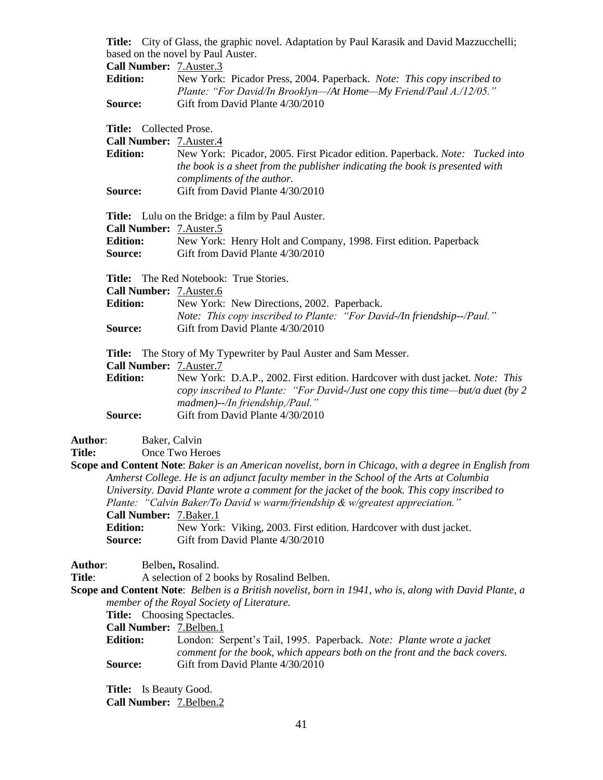**Title:** City of Glass, the graphic novel. Adaptation by Paul Karasik and David Mazzucchelli; based on the novel by Paul Auster.<br> $C_2$ <sup>11</sup> Number:  $7$  Auster 3  $C_2$ Il Mumbe

| Call Number: /.Auster.5 |                                                                        |
|-------------------------|------------------------------------------------------------------------|
| <b>Edition:</b>         | New York: Picador Press, 2004. Paperback. Note: This copy inscribed to |
|                         | Plante: "For David/In Brooklyn—/At Home—My Friend/Paul A./12/05."      |
| Source:                 | Gift from David Plante 4/30/2010                                       |

#### **Title:** Collected Prose.

**Call Number:** 7.Auster.4

| New York: Picador, 2005. First Picador edition. Paperback. Note: Tucked into |
|------------------------------------------------------------------------------|
| the book is a sheet from the publisher indicating the book is presented with |
| compliments of the author.                                                   |
| Gift from David Plante 4/30/2010                                             |
|                                                                              |

**Title:** Lulu on the Bridge: a film by Paul Auster. **Call Number:** 7.Auster.5

| <b>Edition:</b> | New York: Henry Holt and Company, 1998. First edition. Paperback |
|-----------------|------------------------------------------------------------------|
| <b>Source:</b>  | Gift from David Plante 4/30/2010                                 |

**Title:** The Red Notebook: True Stories.

| <b>Call Number: 7. Auster.6</b> |                                                                         |
|---------------------------------|-------------------------------------------------------------------------|
| Edition:                        | New York: New Directions, 2002. Paperback.                              |
|                                 | Note: This copy inscribed to Plante: "For David-/In friendship--/Paul." |
| <b>Source:</b>                  | Gift from David Plante 4/30/2010                                        |

**Title:** The Story of My Typewriter by Paul Auster and Sam Messer.

**Call Number:** 7.Auster.7

**Edition:** New York: D.A.P., 2002. First edition. Hardcover with dust jacket. *Note: This copy inscribed to Plante: "For David-/Just one copy this time—but/a duet (by 2 madmen)--/In friendship,/Paul."* **Source:** Gift from David Plante 4/30/2010

# **Author**: Baker, Calvin

**Title:** Once Two Heroes

**Scope and Content Note**: *Baker is an American novelist, born in Chicago, with a degree in English from Amherst College. He is an adjunct faculty member in the School of the Arts at Columbia University. David Plante wrote a comment for the jacket of the book. This copy inscribed to Plante: "Calvin Baker/To David w warm/friendship & w/greatest appreciation."* **Call Number:** 7.Baker.1 **Edition:** New York: Viking, 2003. First edition. Hardcover with dust jacket. **Source:** Gift from David Plante 4/30/2010

**Author**: Belben**,** Rosalind.

**Title:** A selection of 2 books by Rosalind Belben.

**Scope and Content Note**: *Belben is a British novelist, born in 1941, who is, along with David Plante, a member of the Royal Society of Literature.*

**Title:** Choosing Spectacles.

**Call Number:** 7.Belben.1

**Edition:** London: Serpent's Tail, 1995. Paperback. *Note: Plante wrote a jacket comment for the book, which appears both on the front and the back covers.* **Source:** Gift from David Plante 4/30/2010

**Title:** Is Beauty Good. **Call Number:** 7.Belben.2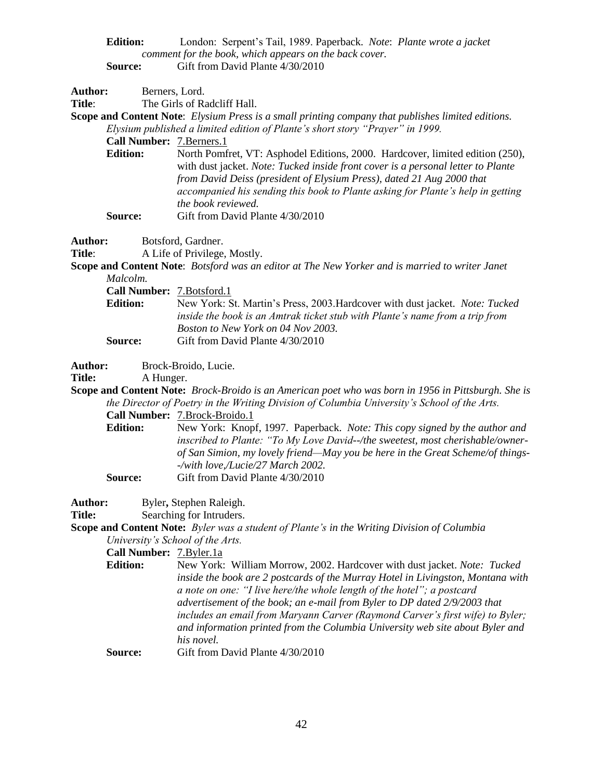| <b>Edition:</b> | London: Serpent's Tail, 1989. Paperback. Note: Plante wrote a jacket |
|-----------------|----------------------------------------------------------------------|
|                 | comment for the book, which appears on the back cover.               |
| <b>Source:</b>  | Gift from David Plante 4/30/2010                                     |

| Author:        |                                   | Berners, Lord.                                                                                                                                                                                                                                                     |
|----------------|-----------------------------------|--------------------------------------------------------------------------------------------------------------------------------------------------------------------------------------------------------------------------------------------------------------------|
| Title:         |                                   | The Girls of Radcliff Hall.                                                                                                                                                                                                                                        |
|                |                                   | <b>Scope and Content Note:</b> Elysium Press is a small printing company that publishes limited editions.                                                                                                                                                          |
|                |                                   | Elysium published a limited edition of Plante's short story "Prayer" in 1999.                                                                                                                                                                                      |
|                | <b>Call Number: 7. Berners. 1</b> |                                                                                                                                                                                                                                                                    |
|                | <b>Edition:</b>                   | North Pomfret, VT: Asphodel Editions, 2000. Hardcover, limited edition (250),                                                                                                                                                                                      |
|                |                                   | with dust jacket. Note: Tucked inside front cover is a personal letter to Plante<br>from David Deiss (president of Elysium Press), dated 21 Aug 2000 that<br>accompanied his sending this book to Plante asking for Plante's help in getting<br>the book reviewed. |
|                | Source:                           | Gift from David Plante 4/30/2010                                                                                                                                                                                                                                   |
| <b>Author:</b> |                                   | Botsford, Gardner.                                                                                                                                                                                                                                                 |

Title: A Life of Privilege, Mostly.

**Scope and Content Note**: *Botsford was an editor at The New Yorker and is married to writer Janet Malcolm.*

| <b>Call Number:</b> 7. Botsford. 1 |                                                                              |
|------------------------------------|------------------------------------------------------------------------------|
| <b>Edition:</b>                    | New York: St. Martin's Press, 2003. Hardcover with dust jacket. Note: Tucked |
|                                    | inside the book is an Amtrak ticket stub with Plante's name from a trip from |
|                                    | Boston to New York on 04 Nov 2003.                                           |
| Source:                            | Gift from David Plante 4/30/2010                                             |

**Author:** Brock-Broido, Lucie.

Title: A Hunger.

**Scope and Content Note:** *Brock-Broido is an American poet who was born in 1956 in Pittsburgh. She is the Director of Poetry in the Writing Division of Columbia University's School of the Arts.*

**Call Number:** 7.Brock-Broido.1

**Edition:** New York: Knopf, 1997. Paperback. *Note: This copy signed by the author and inscribed to Plante: "To My Love David--/the sweetest, most cherishable/ownerof San Simion, my lovely friend—May you be here in the Great Scheme/of things- -/with love,/Lucie/27 March 2002.* **Source:** Gift from David Plante 4/30/2010

Author: Byler, Stephen Raleigh.

**Title:** Searching for Intruders.

**Scope and Content Note:** *Byler was a student of Plante's in the Writing Division of Columbia University's School of the Arts.*

# **Call Number:** 7.Byler.1a

**Edition:** New York: William Morrow, 2002. Hardcover with dust jacket. *Note: Tucked inside the book are 2 postcards of the Murray Hotel in Livingston, Montana with a note on one: "I live here/the whole length of the hotel"; a postcard advertisement of the book; an e-mail from Byler to DP dated 2/9/2003 that includes an email from Maryann Carver (Raymond Carver's first wife) to Byler; and information printed from the Columbia University web site about Byler and his novel.*

**Source:** Gift from David Plante 4/30/2010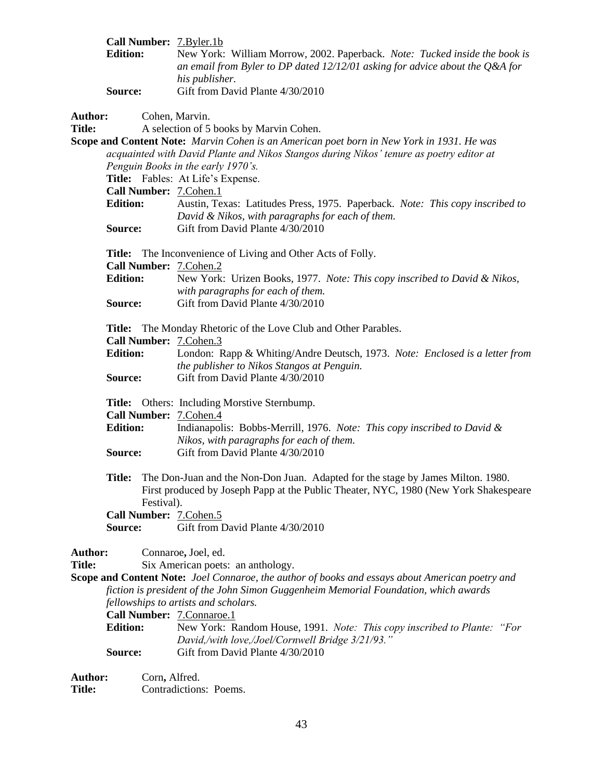|                                 | <b>Edition:</b>            |               | Call Number: 7.Byler.1b<br>New York: William Morrow, 2002. Paperback. Note: Tucked inside the book is<br>an email from Byler to DP dated $12/12/01$ asking for advice about the Q&A for<br>his publisher.                                                                                                                      |
|---------------------------------|----------------------------|---------------|--------------------------------------------------------------------------------------------------------------------------------------------------------------------------------------------------------------------------------------------------------------------------------------------------------------------------------|
|                                 | Source:                    |               | Gift from David Plante 4/30/2010                                                                                                                                                                                                                                                                                               |
| <b>Author:</b><br><b>Title:</b> |                            |               | Cohen, Marvin.<br>A selection of 5 books by Marvin Cohen.<br><b>Scope and Content Note:</b> Marvin Cohen is an American poet born in New York in 1931. He was                                                                                                                                                                  |
|                                 |                            |               | acquainted with David Plante and Nikos Stangos during Nikos' tenure as poetry editor at<br>Penguin Books in the early 1970's.<br>Title: Fables: At Life's Expense.                                                                                                                                                             |
|                                 |                            |               | Call Number: 7. Cohen. 1                                                                                                                                                                                                                                                                                                       |
|                                 | <b>Edition:</b><br>Source: |               | Austin, Texas: Latitudes Press, 1975. Paperback. Note: This copy inscribed to<br>David & Nikos, with paragraphs for each of them.<br>Gift from David Plante 4/30/2010                                                                                                                                                          |
|                                 |                            |               | <b>Title:</b> The Inconvenience of Living and Other Acts of Folly.<br>Call Number: 7. Cohen. 2                                                                                                                                                                                                                                 |
|                                 | <b>Edition:</b><br>Source: |               | New York: Urizen Books, 1977. Note: This copy inscribed to David & Nikos,<br>with paragraphs for each of them.<br>Gift from David Plante 4/30/2010                                                                                                                                                                             |
|                                 |                            |               |                                                                                                                                                                                                                                                                                                                                |
|                                 |                            |               | <b>Title:</b> The Monday Rhetoric of the Love Club and Other Parables.<br>Call Number: 7. Cohen. 3                                                                                                                                                                                                                             |
|                                 | <b>Edition:</b>            |               | London: Rapp & Whiting/Andre Deutsch, 1973. Note: Enclosed is a letter from<br>the publisher to Nikos Stangos at Penguin.                                                                                                                                                                                                      |
|                                 | Source:                    |               | Gift from David Plante 4/30/2010                                                                                                                                                                                                                                                                                               |
|                                 | <b>Edition:</b>            |               | Title: Others: Including Morstive Sternbump.<br>Call Number: 7.Cohen.4<br>Indianapolis: Bobbs-Merrill, 1976. Note: This copy inscribed to David &<br>Nikos, with paragraphs for each of them.                                                                                                                                  |
|                                 | Source:                    |               | Gift from David Plante 4/30/2010                                                                                                                                                                                                                                                                                               |
|                                 | <b>Title:</b>              | Festival).    | The Don-Juan and the Non-Don Juan. Adapted for the stage by James Milton. 1980.<br>First produced by Joseph Papp at the Public Theater, NYC, 1980 (New York Shakespeare                                                                                                                                                        |
|                                 |                            |               | Call Number: 7.Cohen.5                                                                                                                                                                                                                                                                                                         |
|                                 | Source:                    |               | Gift from David Plante 4/30/2010                                                                                                                                                                                                                                                                                               |
| Author:<br><b>Title:</b>        |                            |               | Connaroe, Joel, ed.<br>Six American poets: an anthology.<br><b>Scope and Content Note:</b> Joel Connaroe, the author of books and essays about American poetry and<br>fiction is president of the John Simon Guggenheim Memorial Foundation, which awards<br>fellowships to artists and scholars.<br>Call Number: 7.Connaroe.1 |
|                                 | <b>Edition:</b><br>Source: |               | New York: Random House, 1991. Note: This copy inscribed to Plante: "For<br>David,/with love,/Joel/Cornwell Bridge 3/21/93."<br>Gift from David Plante 4/30/2010                                                                                                                                                                |
| <b>Author:</b>                  |                            | Corn, Alfred. |                                                                                                                                                                                                                                                                                                                                |

Autho<br>Title: Contradictions: Poems.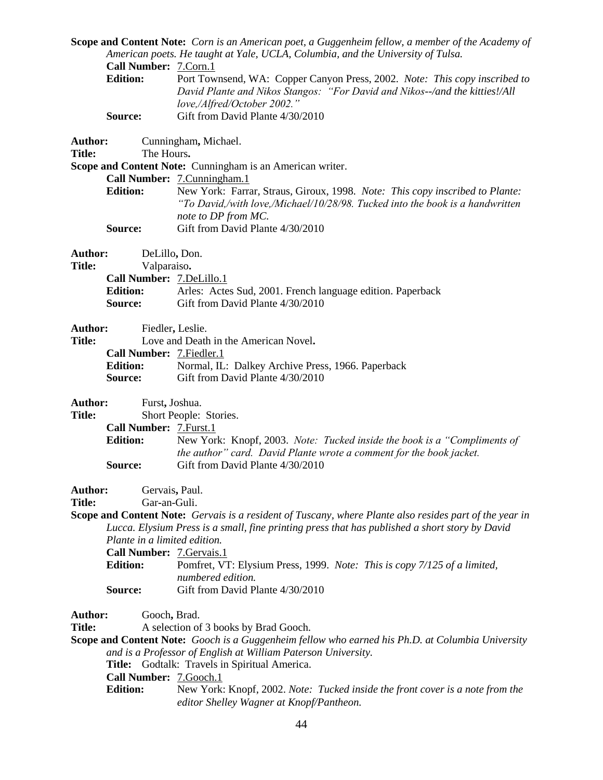**Scope and Content Note:** *Corn is an American poet, a Guggenheim fellow, a member of the Academy of American poets. He taught at Yale, UCLA, Columbia, and the University of Tulsa.* **Call Number:** 7.Corn.1 **Edition:** Port Townsend, WA: Copper Canyon Press, 2002. *Note: This copy inscribed to David Plante and Nikos Stangos: "For David and Nikos--/and the kitties!/All love,/Alfred/October 2002."* **Source:** Gift from David Plante 4/30/2010 **Author:** Cunningham**,** Michael. **Title:** The Hours**. Scope and Content Note:** Cunningham is an American writer. **Call Number:** 7.Cunningham.1 **Edition:** New York: Farrar, Straus, Giroux, 1998. *Note: This copy inscribed to Plante: "To David,/with love,/Michael/10/28/98. Tucked into the book is a handwritten note to DP from MC.* **Source:** Gift from David Plante 4/30/2010 **Author:** DeLillo**,** Don. **Title:** Valparaiso**. Call Number:** 7.DeLillo.1 **Edition:** Arles: Actes Sud, 2001. French language edition. Paperback **Source:** Gift from David Plante 4/30/2010 **Author:** Fiedler**,** Leslie. **Title:** Love and Death in the American Novel**. Call Number:** 7.Fiedler.1 **Edition:** Normal, IL: Dalkey Archive Press, 1966. Paperback **Source:** Gift from David Plante 4/30/2010 **Author:** Furst**,** Joshua. **Title:** Short People: Stories. **Call Number:** 7.Furst.1 **Edition:** New York: Knopf, 2003. *Note: Tucked inside the book is a "Compliments of the author" card. David Plante wrote a comment for the book jacket.* **Source:** Gift from David Plante 4/30/2010 Author: Gervais, Paul. **Title:** Gar**-**an-Guli. **Scope and Content Note:** *Gervais is a resident of Tuscany, where Plante also resides part of the year in Lucca. Elysium Press is a small, fine printing press that has published a short story by David Plante in a limited edition.* **Call Number:** 7.Gervais.1 **Edition:** Pomfret, VT: Elysium Press, 1999. *Note: This is copy 7/125 of a limited, numbered edition.*  **Source:** Gift from David Plante 4/30/2010 **Author:** Gooch**,** Brad. **Title:** A selection of 3 books by Brad Gooch. **Scope and Content Note:** *Gooch is a Guggenheim fellow who earned his Ph.D. at Columbia University and is a Professor of English at William Paterson University.* **Title:** Godtalk: Travels in Spiritual America. **Call Number:** 7.Gooch.1 **Edition:** New York: Knopf, 2002. *Note: Tucked inside the front cover is a note from the* 

*editor Shelley Wagner at Knopf/Pantheon.*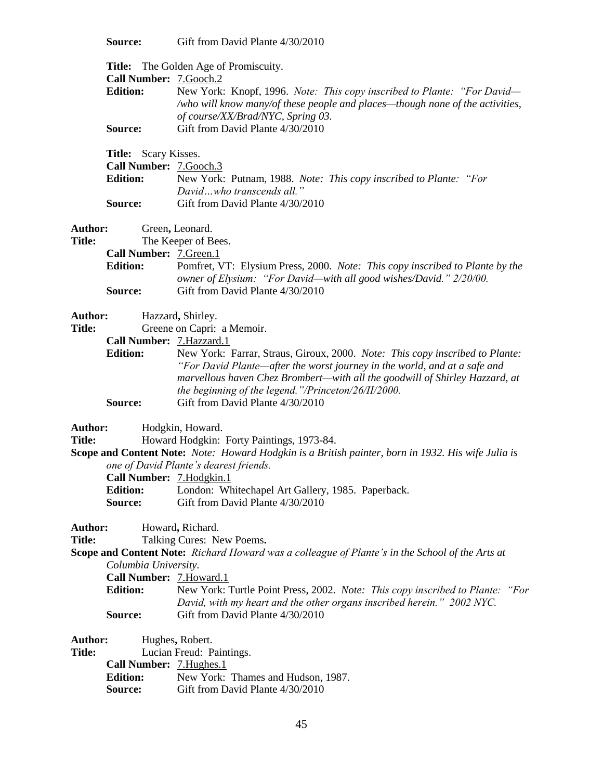**Source:** Gift from David Plante 4/30/2010

|                          |                                                | Title: The Golden Age of Promiscuity.                                                              |
|--------------------------|------------------------------------------------|----------------------------------------------------------------------------------------------------|
|                          | Call Number: 7.Gooch.2<br><b>Edition:</b>      | New York: Knopf, 1996. Note: This copy inscribed to Plante: "For David-                            |
|                          |                                                | /who will know many/of these people and places-though none of the activities,                      |
|                          |                                                | of course/XX/Brad/NYC, Spring 03.                                                                  |
|                          | Source:                                        | Gift from David Plante 4/30/2010                                                                   |
|                          |                                                |                                                                                                    |
|                          | Title: Scary Kisses.<br>Call Number: 7.Gooch.3 |                                                                                                    |
|                          | <b>Edition:</b>                                | New York: Putnam, 1988. Note: This copy inscribed to Plante: "For                                  |
|                          |                                                | Davidwho transcends all."                                                                          |
|                          | Source:                                        | Gift from David Plante 4/30/2010                                                                   |
|                          |                                                |                                                                                                    |
| Author:                  |                                                | Green, Leonard.                                                                                    |
| <b>Title:</b>            |                                                | The Keeper of Bees.                                                                                |
|                          | Call Number: 7.Green.1                         |                                                                                                    |
|                          | <b>Edition:</b>                                | Pomfret, VT: Elysium Press, 2000. Note: This copy inscribed to Plante by the                       |
|                          |                                                | owner of Elysium: "For David—with all good wishes/David." 2/20/00.                                 |
|                          | Source:                                        | Gift from David Plante 4/30/2010                                                                   |
| Author:                  |                                                | Hazzard, Shirley.                                                                                  |
| <b>Title:</b>            |                                                | Greene on Capri: a Memoir.                                                                         |
|                          | Call Number: 7. Hazzard. 1                     |                                                                                                    |
|                          | <b>Edition:</b>                                | New York: Farrar, Straus, Giroux, 2000. Note: This copy inscribed to Plante:                       |
|                          |                                                | "For David Plante—after the worst journey in the world, and at a safe and                          |
|                          |                                                | marvellous haven Chez Brombert-with all the goodwill of Shirley Hazzard, at                        |
|                          |                                                | the beginning of the legend."/Princeton/26/II/2000.                                                |
|                          | Source:                                        | Gift from David Plante 4/30/2010                                                                   |
| Author:                  |                                                | Hodgkin, Howard.                                                                                   |
| <b>Title:</b>            |                                                | Howard Hodgkin: Forty Paintings, 1973-84.                                                          |
|                          |                                                | Scope and Content Note: Note: Howard Hodgkin is a British painter, born in 1932. His wife Julia is |
|                          |                                                | one of David Plante's dearest friends.                                                             |
|                          | Call Number: 7. Hodgkin. 1                     |                                                                                                    |
|                          | <b>Edition:</b>                                | London: Whitechapel Art Gallery, 1985. Paperback.                                                  |
|                          | Source:                                        | Gift from David Plante 4/30/2010                                                                   |
| <b>Author:</b>           |                                                | Howard, Richard.                                                                                   |
| <b>Title:</b>            |                                                | Talking Cures: New Poems.                                                                          |
|                          |                                                | Scope and Content Note: Richard Howard was a colleague of Plante's in the School of the Arts at    |
|                          | Columbia University.                           |                                                                                                    |
|                          | Call Number: 7. Howard.1                       |                                                                                                    |
|                          | <b>Edition:</b>                                | New York: Turtle Point Press, 2002. Note: This copy inscribed to Plante: "For                      |
|                          |                                                | David, with my heart and the other organs inscribed herein." 2002 NYC.                             |
|                          | Source:                                        | Gift from David Plante 4/30/2010                                                                   |
|                          |                                                |                                                                                                    |
| Author:<br><b>Title:</b> |                                                | Hughes, Robert.<br>Lucian Freud: Paintings.                                                        |
|                          | Call Number: 7. Hughes. 1                      |                                                                                                    |
|                          | <b>Edition:</b>                                | New York: Thames and Hudson, 1987.                                                                 |
|                          | Source:                                        | Gift from David Plante 4/30/2010                                                                   |
|                          |                                                |                                                                                                    |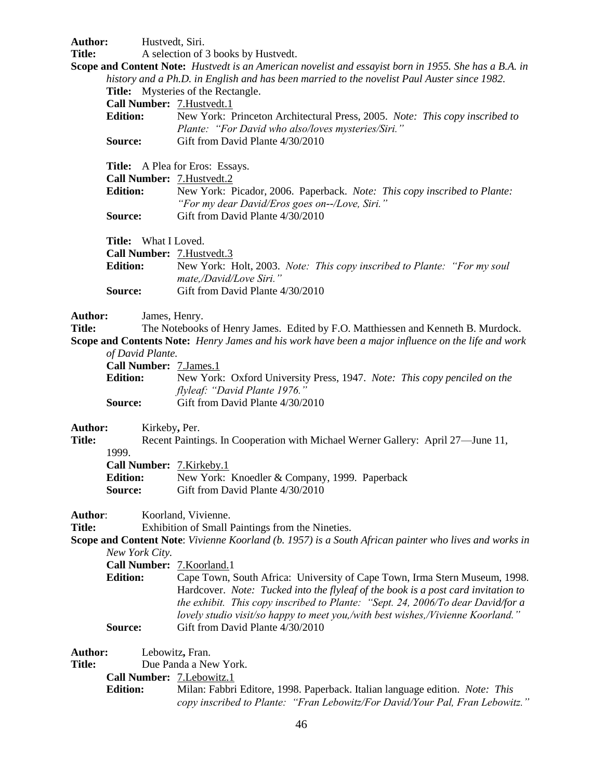Author: Hustvedt, Siri. **Title:** A selection of 3 books by Hustvedt. **Scope and Content Note:** *Hustvedt is an American novelist and essayist born in 1955. She has a B.A. in history and a Ph.D. in English and has been married to the novelist Paul Auster since 1982.* **Title:** Mysteries of the Rectangle. **Call Number:** 7.Hustvedt.1 **Edition:** New York: Princeton Architectural Press, 2005. *Note: This copy inscribed to Plante: "For David who also/loves mysteries/Siri."* **Source:** Gift from David Plante 4/30/2010 **Title:** A Plea for Eros: Essays. **Call Number:** 7.Hustvedt.2 **Edition:** New York: Picador, 2006. Paperback. *Note: This copy inscribed to Plante: "For my dear David/Eros goes on--/Love, Siri."* **Source:** Gift from David Plante 4/30/2010 **Title:** What I Loved. **Call Number:** 7.Hustvedt.3 **Edition:** New York: Holt, 2003. *Note: This copy inscribed to Plante: "For my soul mate,/David/Love Siri."* **Source:** Gift from David Plante 4/30/2010 **Author:** James, Henry. **Title:** The Notebooks of Henry James. Edited by F.O. Matthiessen and Kenneth B. Murdock. **Scope and Contents Note:** *Henry James and his work have been a major influence on the life and work of David Plante.* **Call Number:** 7.James.1 **Edition:** New York: Oxford University Press, 1947. *Note: This copy penciled on the flyleaf: "David Plante 1976."* **Source:** Gift from David Plante 4/30/2010 **Author:** Kirkeby**,** Per. **Title:** Recent Paintings. In Cooperation with Michael Werner Gallery: April 27—June 11, 1999. **Call Number:** 7.Kirkeby.1 **Edition:** New York: Knoedler & Company, 1999. Paperback **Source:** Gift from David Plante 4/30/2010 Author: Koorland, Vivienne. **Title:** Exhibition of Small Paintings from the Nineties. **Scope and Content Note**: *Vivienne Koorland (b. 1957) is a South African painter who lives and works in New York City.* **Call Number:** 7.Koorland.1 **Edition:** Cape Town, South Africa: University of Cape Town, Irma Stern Museum, 1998. Hardcover. *Note: Tucked into the flyleaf of the book is a post card invitation to the exhibit. This copy inscribed to Plante: "Sept. 24, 2006/To dear David/for a lovely studio visit/so happy to meet you,/with best wishes,/Vivienne Koorland."* **Source:** Gift from David Plante 4/30/2010 **Author:** Lebowitz**,** Fran. **Title:** Due Panda a New York. **Call Number:** 7.Lebowitz.1 **Edition:** Milan: Fabbri Editore, 1998. Paperback. Italian language edition. *Note: This copy inscribed to Plante: "Fran Lebowitz/For David/Your Pal, Fran Lebowitz."*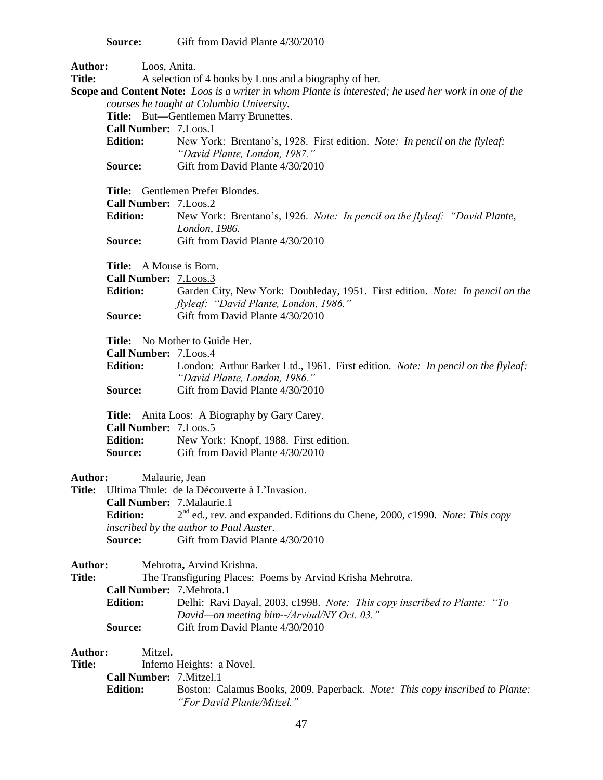**Source:** Gift from David Plante 4/30/2010

| Author:                  |                                                                                                              | Loos, Anita.                                                                            |  |  |
|--------------------------|--------------------------------------------------------------------------------------------------------------|-----------------------------------------------------------------------------------------|--|--|
| <b>Title:</b>            |                                                                                                              | A selection of 4 books by Loos and a biography of her.                                  |  |  |
|                          | <b>Scope and Content Note:</b> Loos is a writer in whom Plante is interested; he used her work in one of the |                                                                                         |  |  |
|                          | courses he taught at Columbia University.                                                                    |                                                                                         |  |  |
|                          |                                                                                                              | Title: But—Gentlemen Marry Brunettes.                                                   |  |  |
|                          | Call Number: 7.Loos.1                                                                                        |                                                                                         |  |  |
|                          | <b>Edition:</b>                                                                                              | New York: Brentano's, 1928. First edition. Note: In pencil on the flyleaf:              |  |  |
|                          |                                                                                                              | "David Plante, London, 1987."                                                           |  |  |
|                          | Source:                                                                                                      | Gift from David Plante 4/30/2010                                                        |  |  |
|                          |                                                                                                              | Title: Gentlemen Prefer Blondes.                                                        |  |  |
|                          | Call Number: 7.Loos.2                                                                                        |                                                                                         |  |  |
|                          | <b>Edition:</b>                                                                                              | New York: Brentano's, 1926. Note: In pencil on the flyleaf: "David Plante,              |  |  |
|                          |                                                                                                              | London, 1986.                                                                           |  |  |
|                          | Source:                                                                                                      | Gift from David Plante 4/30/2010                                                        |  |  |
|                          |                                                                                                              |                                                                                         |  |  |
|                          | Title: A Mouse is Born.                                                                                      |                                                                                         |  |  |
|                          | Call Number: 7.Loos.3                                                                                        |                                                                                         |  |  |
|                          | <b>Edition:</b>                                                                                              | Garden City, New York: Doubleday, 1951. First edition. Note: In pencil on the           |  |  |
|                          |                                                                                                              | flyleaf: "David Plante, London, 1986."                                                  |  |  |
|                          | Source:                                                                                                      | Gift from David Plante 4/30/2010                                                        |  |  |
|                          |                                                                                                              |                                                                                         |  |  |
|                          |                                                                                                              | Title: No Mother to Guide Her.                                                          |  |  |
|                          | Call Number: 7.Loos.4                                                                                        |                                                                                         |  |  |
|                          | <b>Edition:</b>                                                                                              | London: Arthur Barker Ltd., 1961. First edition. Note: In pencil on the flyleaf:        |  |  |
|                          | Source:                                                                                                      | "David Plante, London, 1986."<br>Gift from David Plante 4/30/2010                       |  |  |
|                          |                                                                                                              |                                                                                         |  |  |
|                          |                                                                                                              | Title: Anita Loos: A Biography by Gary Carey.                                           |  |  |
|                          | Call Number: 7.Loos.5                                                                                        |                                                                                         |  |  |
|                          | <b>Edition:</b>                                                                                              | New York: Knopf, 1988. First edition.                                                   |  |  |
|                          | Source:                                                                                                      | Gift from David Plante 4/30/2010                                                        |  |  |
|                          |                                                                                                              |                                                                                         |  |  |
| Author:                  |                                                                                                              | Malaurie, Jean                                                                          |  |  |
|                          |                                                                                                              | Title: Ultima Thule: de la Découverte à L'Invasion.                                     |  |  |
|                          |                                                                                                              | Call Number: 7. Malaurie. 1                                                             |  |  |
|                          | <b>Edition:</b>                                                                                              | $2nd$ ed., rev. and expanded. Editions du Chene, 2000, c1990. Note: This copy           |  |  |
|                          |                                                                                                              | inscribed by the author to Paul Auster.                                                 |  |  |
|                          | Source:                                                                                                      | Gift from David Plante 4/30/2010                                                        |  |  |
|                          |                                                                                                              |                                                                                         |  |  |
| Author:<br><b>Title:</b> |                                                                                                              | Mehrotra, Arvind Krishna.<br>The Transfiguring Places: Poems by Arvind Krisha Mehrotra. |  |  |
|                          |                                                                                                              | Call Number: 7. Mehrota.1                                                               |  |  |
|                          | <b>Edition:</b>                                                                                              | Delhi: Ravi Dayal, 2003, c1998. Note: This copy inscribed to Plante: "To                |  |  |
|                          |                                                                                                              | David—on meeting him--/Arvind/NY Oct. 03."                                              |  |  |
|                          | Source:                                                                                                      | Gift from David Plante 4/30/2010                                                        |  |  |
|                          |                                                                                                              |                                                                                         |  |  |
| Author:                  | Mitzel.                                                                                                      |                                                                                         |  |  |
| <b>Title:</b>            |                                                                                                              | Inferno Heights: a Novel.                                                               |  |  |
|                          | Call Number: 7. Mitzel. 1                                                                                    |                                                                                         |  |  |
|                          | <b>Edition:</b>                                                                                              | Boston: Calamus Books, 2009. Paperback. Note: This copy inscribed to Plante:            |  |  |
|                          |                                                                                                              | "For David Plante/Mitzel."                                                              |  |  |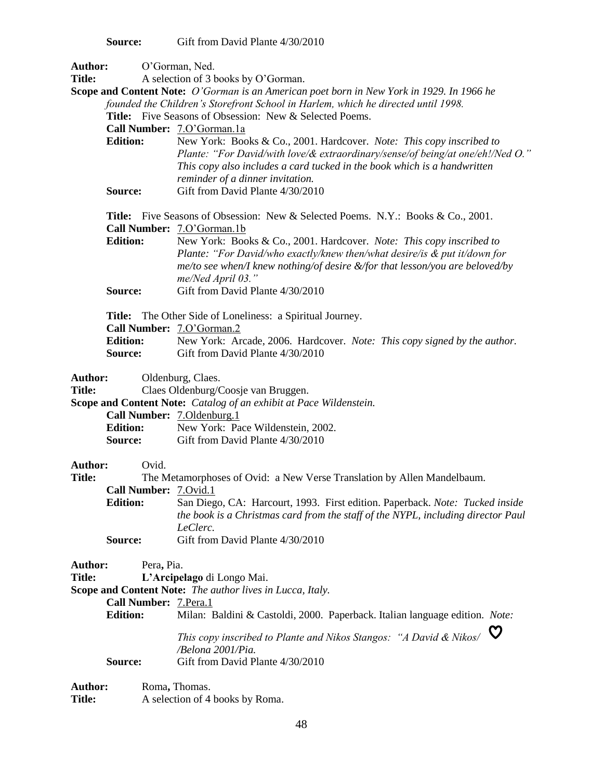**Source:** Gift from David Plante 4/30/2010

| <b>Author:</b>                  |                                                              |                                                                                                                                                                                                                                                                                                                                                                                   |  |
|---------------------------------|--------------------------------------------------------------|-----------------------------------------------------------------------------------------------------------------------------------------------------------------------------------------------------------------------------------------------------------------------------------------------------------------------------------------------------------------------------------|--|
| <b>Title:</b>                   | O'Gorman, Ned.<br>A selection of 3 books by O'Gorman.        |                                                                                                                                                                                                                                                                                                                                                                                   |  |
| <b>Edition:</b>                 |                                                              | Scope and Content Note: O'Gorman is an American poet born in New York in 1929. In 1966 he<br>founded the Children's Storefront School in Harlem, which he directed until 1998.<br>Title: Five Seasons of Obsession: New & Selected Poems.<br>Call Number: 7.0'Gorman.1a<br>New York: Books & Co., 2001. Hardcover. Note: This copy inscribed to                                   |  |
|                                 | Source:                                                      | Plante: "For David/with love/& extraordinary/sense/of being/at one/eh!/Ned O."<br>This copy also includes a card tucked in the book which is a handwritten<br>reminder of a dinner invitation.<br>Gift from David Plante 4/30/2010                                                                                                                                                |  |
|                                 | <b>Edition:</b>                                              | <b>Title:</b> Five Seasons of Obsession: New & Selected Poems. N.Y.: Books & Co., 2001.<br>Call Number: 7.O'Gorman.1b<br>New York: Books & Co., 2001. Hardcover. Note: This copy inscribed to<br>Plante: "For David/who exactly/knew then/what desire/is & put it/down for<br>$me/to$ see when/I knew nothing/of desire &/for that lesson/you are beloved/by<br>me/Ned April 03." |  |
|                                 | Source:                                                      | Gift from David Plante 4/30/2010                                                                                                                                                                                                                                                                                                                                                  |  |
|                                 | <b>Edition:</b><br>Source:                                   | Title: The Other Side of Loneliness: a Spiritual Journey.<br>Call Number: 7.0'Gorman.2<br>New York: Arcade, 2006. Hardcover. Note: This copy signed by the author.<br>Gift from David Plante 4/30/2010                                                                                                                                                                            |  |
| <b>Author:</b><br><b>Title:</b> | <b>Edition:</b>                                              | Oldenburg, Claes.<br>Claes Oldenburg/Coosje van Bruggen.<br>Scope and Content Note: Catalog of an exhibit at Pace Wildenstein.<br>Call Number: 7.Oldenburg.1<br>New York: Pace Wildenstein, 2002.<br><b>Source:</b> Gift from David Plante 4/30/2010                                                                                                                              |  |
| <b>Author:</b><br><b>Title:</b> | Ovid.<br>Call Number: 7.Ovid.1<br><b>Edition:</b><br>Source: | The Metamorphoses of Ovid: a New Verse Translation by Allen Mandelbaum.<br>San Diego, CA: Harcourt, 1993. First edition. Paperback. Note: Tucked inside<br>the book is a Christmas card from the staff of the NYPL, including director Paul<br>LeClerc.<br>Gift from David Plante 4/30/2010                                                                                       |  |
| Author:<br><b>Title:</b>        | Pera, Pia.<br>Call Number: 7.Pera.1<br><b>Edition:</b>       | L'Arcipelago di Longo Mai.<br>Scope and Content Note: The author lives in Lucca, Italy.<br>Milan: Baldini & Castoldi, 2000. Paperback. Italian language edition. Note:<br>This copy inscribed to Plante and Nikos Stangos: "A David & Nikos/                                                                                                                                      |  |

- */Belona 2001/Pia.*
- **Source:** Gift from David Plante 4/30/2010

| Author:       | Roma, Thomas.                   |
|---------------|---------------------------------|
| <b>Title:</b> | A selection of 4 books by Roma. |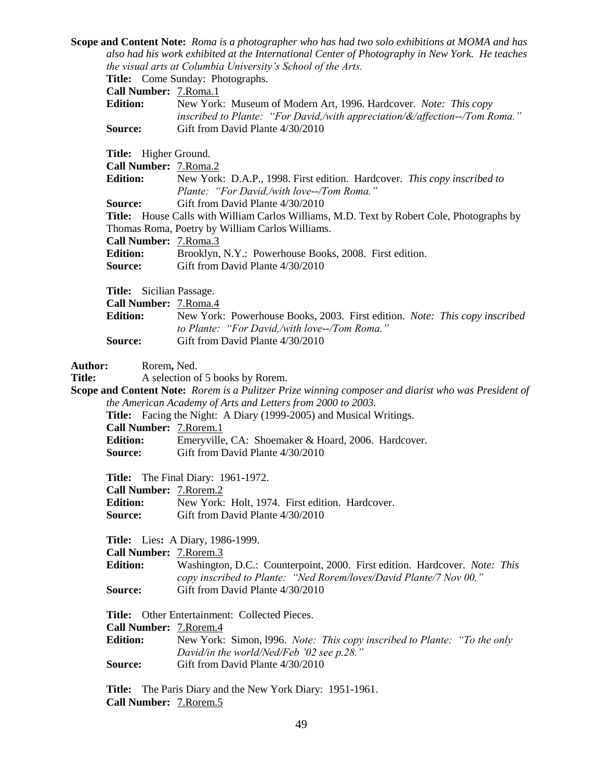**Scope and Content Note:** *Roma is a photographer who has had two solo exhibitions at MOMA and has also had his work exhibited at the International Center of Photography in New York. He teaches the visual arts at Columbia University's School of the Arts.*

**Title:** Come Sunday: Photographs.

**Call Number:** 7.Roma.1

| <b>Edition:</b> | New York: Museum of Modern Art, 1996. Hardcover. Note: This copy                 |
|-----------------|----------------------------------------------------------------------------------|
|                 | inscribed to Plante: "For David,/with appreciation/ $\&$ /affection--/Tom Roma." |
| <b>Source:</b>  | Gift from David Plante 4/30/2010                                                 |

**Title:** Higher Ground.

| <b>Call Number: 7. Roma.2</b>   |                                                                                                  |
|---------------------------------|--------------------------------------------------------------------------------------------------|
| <b>Edition:</b>                 | New York: D.A.P., 1998. First edition. Hardcover. This copy inscribed to                         |
|                                 | Plante: "For David,/with love--/Tom Roma."                                                       |
| <b>Source:</b>                  | Gift from David Plante 4/30/2010                                                                 |
|                                 | <b>Title:</b> House Calls with William Carlos Williams, M.D. Text by Robert Cole, Photographs by |
|                                 | Thomas Roma, Poetry by William Carlos Williams.                                                  |
| <b>Call Number:</b> 7. Roma. 3  |                                                                                                  |
| <b>Edition:</b>                 | Brooklyn, N.Y.: Powerhouse Books, 2008. First edition.                                           |
| <b>Source:</b>                  | Gift from David Plante 4/30/2010                                                                 |
|                                 |                                                                                                  |
| <b>Title:</b> Sicilian Passage. |                                                                                                  |

**Call Number:** 7.Roma.4

|                | .                                                                                 |
|----------------|-----------------------------------------------------------------------------------|
| Edition:       | New York: Powerhouse Books, 2003. First edition. <i>Note: This copy inscribed</i> |
|                | to Plante: "For David./with love--/Tom Roma."                                     |
| <b>Source:</b> | Gift from David Plante 4/30/2010                                                  |

**Author:** Rorem**,** Ned.

Title: A selection of 5 books by Rorem.

**Scope and Content Note:** *Rorem is a Pulitzer Prize winning composer and diarist who was President of the American Academy of Arts and Letters from 2000 to 2003.*

|                                 | <b>Title:</b> Facing the Night: A Diary (1999-2005) and Musical Writings. |
|---------------------------------|---------------------------------------------------------------------------|
| <b>Call Number:</b> 7. Rorem. 1 |                                                                           |
| <b>Edition:</b>                 | Emeryville, CA: Shoemaker & Hoard, 2006. Hardcover.                       |
| Source:                         | Gift from David Plante 4/30/2010                                          |

**Title:** The Final Diary: 1961-1972.

**Call Number:** 7.Rorem.2

| <b>Edition:</b> | New York: Holt, 1974. First edition. Hardcover. |  |
|-----------------|-------------------------------------------------|--|
| <b>Source:</b>  | Gift from David Plante 4/30/2010                |  |

**Title:** Lies**:** A Diary, 1986-1999.

| <b>Call Number:</b> 7. Rorem. 3 |                                                                                   |
|---------------------------------|-----------------------------------------------------------------------------------|
| <b>Edition:</b>                 | Washington, D.C.: Counterpoint, 2000. First edition. Hardcover. <i>Note: This</i> |
|                                 | copy inscribed to Plante: "Ned Rorem/loves/David Plante/7 Nov 00."                |
| <b>Source:</b>                  | Gift from David Plante 4/30/2010                                                  |

**Title:** Other Entertainment: Collected Pieces.

**Call Number:** 7.Rorem.4

**Edition:** New York: Simon, l996. *Note: This copy inscribed to Plante: "To the only David/in the world/Ned/Feb '02 see p.28."* **Source:** Gift from David Plante 4/30/2010

**Title:** The Paris Diary and the New York Diary: 1951-1961. **Call Number:** 7.Rorem.5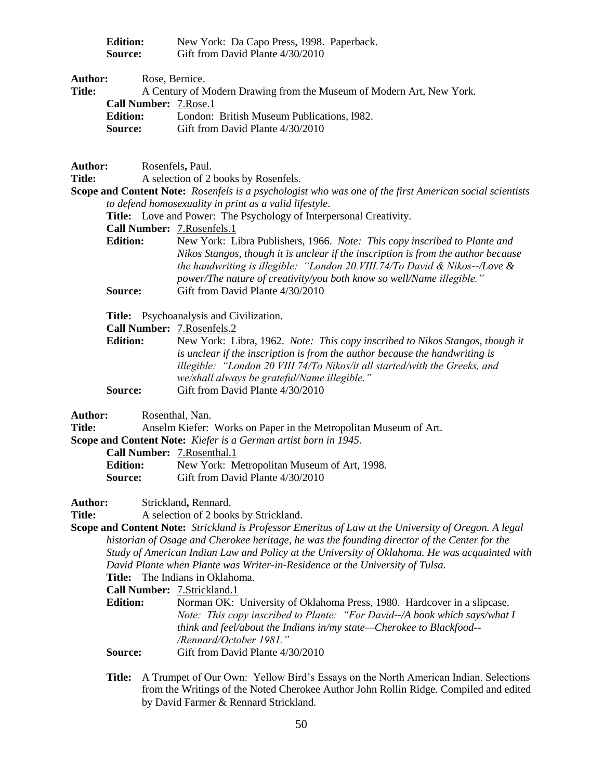| <b>Edition:</b> | New York: Da Capo Press, 1998. Paperback. |
|-----------------|-------------------------------------------|
| Source:         | Gift from David Plante 4/30/2010          |

| <b>Author:</b> |                                | Rose, Bernice.                                                       |
|----------------|--------------------------------|----------------------------------------------------------------------|
| <b>Title:</b>  |                                | A Century of Modern Drawing from the Museum of Modern Art, New York. |
|                | <b>Call Number:</b> 7. Rose. 1 |                                                                      |
|                | <b>Edition:</b>                | London: British Museum Publications, 1982.                           |
|                | <b>Source:</b>                 | Gift from David Plante 4/30/2010                                     |

| Author:       |                 | Rosenfels, Paul.                                                                                        |
|---------------|-----------------|---------------------------------------------------------------------------------------------------------|
| <b>Title:</b> |                 | A selection of 2 books by Rosenfels.                                                                    |
|               |                 | Scope and Content Note: Rosenfels is a psychologist who was one of the first American social scientists |
|               |                 | to defend homosexuality in print as a valid lifestyle.                                                  |
|               |                 | <b>Title:</b> Love and Power: The Psychology of Interpersonal Creativity.                               |
|               |                 | Call Number: 7. Rosenfels. 1                                                                            |
|               | <b>Edition:</b> | New York: Libra Publishers, 1966. <i>Note: This copy inscribed to Plante and</i>                        |
|               |                 | Nikos Stangos, though it is unclear if the inscription is from the author because                       |
|               |                 | the handwriting is illegible: "London 20. VIII.74/To David & Nikos--/Love &                             |
|               |                 | power/The nature of creativity/you both know so well/Name illegible."                                   |
|               | Source:         | Gift from David Plante 4/30/2010                                                                        |
|               |                 |                                                                                                         |
|               |                 | <b>Title:</b> Psychoanalysis and Civilization.                                                          |
|               |                 | <b>Call Number: 7. Rosenfels. 2</b>                                                                     |

**Edition:** New York: Libra, 1962. *Note: This copy inscribed to Nikos Stangos, though it is unclear if the inscription is from the author because the handwriting is illegible: "London 20 VIII 74/To Nikos/it all started/with the Greeks, and we/shall always be grateful/Name illegible."* **Source:** Gift from David Plante 4/30/2010

**Author:** Rosenthal, Nan.

**Title:** Anselm Kiefer: Works on Paper in the Metropolitan Museum of Art.

**Scope and Content Note:** *Kiefer is a German artist born in 1945.*

**Call Number:** 7.Rosenthal.1

**Edition:** New York: Metropolitan Museum of Art, 1998. **Source:** Gift from David Plante 4/30/2010

**Author:** Strickland**,** Rennard.

**Title:** A selection of 2 books by Strickland.

**Scope and Content Note:** *Strickland is Professor Emeritus of Law at the University of Oregon. A legal historian of Osage and Cherokee heritage, he was the founding director of the Center for the Study of American Indian Law and Policy at the University of Oklahoma. He was acquainted with David Plante when Plante was Writer-in-Residence at the University of Tulsa.*

**Title:** The Indians in Oklahoma.

**Call Number:** 7.Strickland.1

**Edition:** Norman OK: University of Oklahoma Press, 1980. Hardcover in a slipcase. *Note: This copy inscribed to Plante: "For David--/A book which says/what I think and feel/about the Indians in/my state—Cherokee to Blackfood-- /Rennard/October 1981."*

**Source:** Gift from David Plante 4/30/2010

**Title:** A Trumpet of Our Own: Yellow Bird's Essays on the North American Indian. Selections from the Writings of the Noted Cherokee Author John Rollin Ridge. Compiled and edited by David Farmer & Rennard Strickland.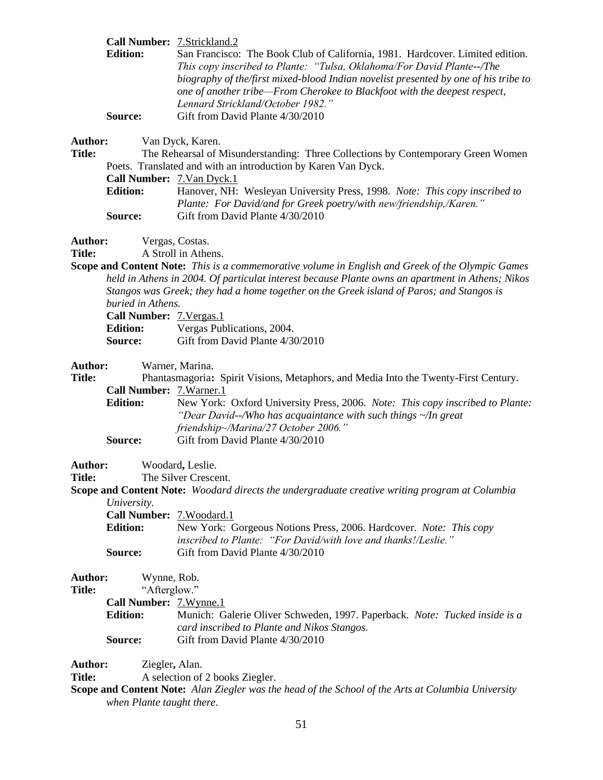|                          | Call Number: 7.Strickland.2                                                                                                                                                                           |
|--------------------------|-------------------------------------------------------------------------------------------------------------------------------------------------------------------------------------------------------|
| <b>Edition:</b>          | San Francisco: The Book Club of California, 1981. Hardcover. Limited edition.                                                                                                                         |
|                          | This copy inscribed to Plante: "Tulsa, Oklahoma/For David Plante--/The                                                                                                                                |
|                          | biography of the first mixed-blood Indian novelist presented by one of his tribe to<br>one of another tribe—From Cherokee to Blackfoot with the deepest respect,<br>Lennard Strickland/October 1982." |
| Source:                  | Gift from David Plante 4/30/2010                                                                                                                                                                      |
| Author:<br><b>Title:</b> | Van Dyck, Karen.<br>The Rehearsal of Misunderstanding: Three Collections by Contemporary Green Women<br>Poets. Translated and with an introduction by Karen Van Dyck.                                 |
|                          |                                                                                                                                                                                                       |

**Call Number:** 7.Van Dyck.1

**Edition:** Hanover, NH: Wesleyan University Press, 1998. *Note: This copy inscribed to Plante: For David/and for Greek poetry/with new/friendship,/Karen."* **Source:** Gift from David Plante 4/30/2010

**Author:** Vergas, Costas.

**Title:** A Stroll in Athens.

**Scope and Content Note:** *This is a commemorative volume in English and Greek of the Olympic Games held in Athens in 2004. Of particulat interest because Plante owns an apartment in Athens; Nikos Stangos was Greek; they had a home together on the Greek island of Paros; and Stangos is buried in Athens.*

| <b>Call Number: 7. Vergas. 1</b> |                                  |
|----------------------------------|----------------------------------|
| <b>Edition:</b>                  | Vergas Publications, 2004.       |
| <b>Source:</b>                   | Gift from David Plante 4/30/2010 |

**Author:** Warner, Marina.

**Title:** Phantasmagoria**:** Spirit Visions, Metaphors, and Media Into the Twenty-First Century. **Call Number:** 7.Warner.1 **Edition:** New York: Oxford University Press, 2006. *Note: This copy inscribed to Plante: "Dear David--/Who has acquaintance with such things ~/In great* 

|         | friendship~/Marina/27 October 2006." |
|---------|--------------------------------------|
| Source: | Gift from David Plante 4/30/2010     |

Author: Woodard, Leslie.

**Title:** The Silver Crescent.

**Scope and Content Note:** *Woodard directs the undergraduate creative writing program at Columbia University.* 

**Call Number:** 7.Woodard.1

| <b>Edition:</b> | New York: Gorgeous Notions Press, 2006. Hardcover. <i>Note: This copy</i> |
|-----------------|---------------------------------------------------------------------------|
|                 | <i>inscribed to Plante: "For David/with love and thanks!/Leslie."</i>     |
| <b>Source:</b>  | Gift from David Plante 4/30/2010                                          |

**Author:** Wynne, Rob. **Title:** "Afterglow." **Call Number:** 7.Wynne.1 **Edition:** Munich: Galerie Oliver Schweden, 1997. Paperback. *Note: Tucked inside is a card inscribed to Plante and Nikos Stangos.* **Source:** Gift from David Plante 4/30/2010

**Author:** Ziegler**,** Alan.

**Title:** A selection of 2 books Ziegler.

**Scope and Content Note:** *Alan Ziegler was the head of the School of the Arts at Columbia University when Plante taught there.*